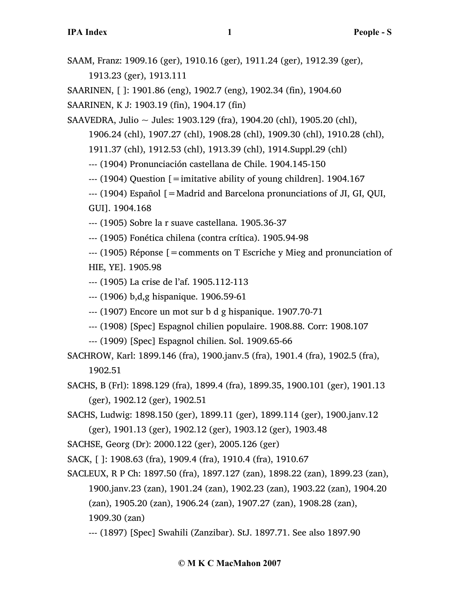SAAM, Franz: 1909.16 (ger), 1910.16 (ger), 1911.24 (ger), 1912.39 (ger),

1913.23 (ger), 1913.111

SAARINEN, [ ]: 1901.86 (eng), 1902.7 (eng), 1902.34 (fin), 1904.60

SAARINEN, K J: 1903.19 (fin), 1904.17 (fin)

SAAVEDRA, Julio ~ Jules: 1903.129 (fra), 1904.20 (chl), 1905.20 (chl),

1906.24 (chl), 1907.27 (chl), 1908.28 (chl), 1909.30 (chl), 1910.28 (chl),

1911.37 (chl), 1912.53 (chl), 1913.39 (chl), 1914.Suppl.29 (chl)

--- (1904) Pronunciación castellana de Chile. 1904.145-150

 $-$ --- (1904) Question  $\mathfrak{[} =$  imitative ability of young children]. 1904.167

--- (1904) Español [=Madrid and Barcelona pronunciations of JI, GI, QUI,

GUI]. 1904.168

--- (1905) Sobre la r suave castellana. 1905.36-37

--- (1905) Fonética chilena (contra crítica). 1905.94-98

--- (1905) Réponse [=comments on T Escriche y Mieg and pronunciation of HIE, YE]. 1905.98

--- (1905) La crise de l'af. 1905.112-113

--- (1906) b,d,g hispanique. 1906.59-61

- --- (1907) Encore un mot sur b d g hispanique. 1907.70-71
- --- (1908) [Spec] Espagnol chilien populaire. 1908.88. Corr: 1908.107
- --- (1909) [Spec] Espagnol chilien. Sol. 1909.65-66

SACHROW, Karl: 1899.146 (fra), 1900.janv.5 (fra), 1901.4 (fra), 1902.5 (fra), 1902.51

SACHS, B (Frl): 1898.129 (fra), 1899.4 (fra), 1899.35, 1900.101 (ger), 1901.13 (ger), 1902.12 (ger), 1902.51

SACHS, Ludwig: 1898.150 (ger), 1899.11 (ger), 1899.114 (ger), 1900.janv.12 (ger), 1901.13 (ger), 1902.12 (ger), 1903.12 (ger), 1903.48

SACHSE, Georg (Dr): 2000.122 (ger), 2005.126 (ger)

SACK, [ ]: 1908.63 (fra), 1909.4 (fra), 1910.4 (fra), 1910.67

SACLEUX, R P Ch: 1897.50 (fra), 1897.127 (zan), 1898.22 (zan), 1899.23 (zan), 1900.janv.23 (zan), 1901.24 (zan), 1902.23 (zan), 1903.22 (zan), 1904.20 (zan), 1905.20 (zan), 1906.24 (zan), 1907.27 (zan), 1908.28 (zan), 1909.30 (zan)

--- (1897) [Spec] Swahili (Zanzibar). StJ. 1897.71. See also 1897.90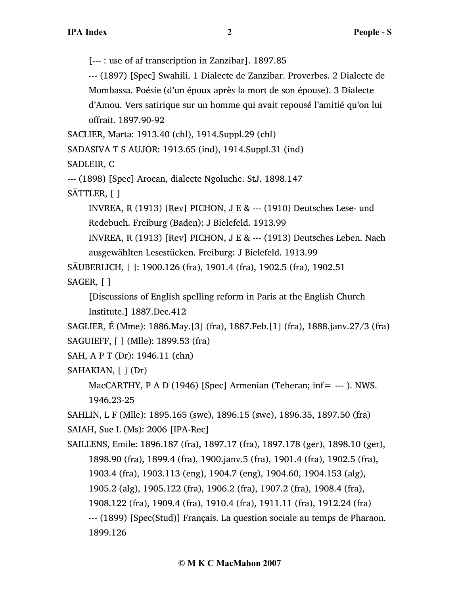[--- : use of af transcription in Zanzibar]. 1897.85

--- (1897) [Spec] Swahili. 1 Dialecte de Zanzibar. Proverbes. 2 Dialecte de Mombassa. Poésie (d'un époux après la mort de son épouse). 3 Dialecte d'Amou. Vers satirique sur un homme qui avait repousé l'amitié qu'on lui offrait. 1897.90-92

SACLIER, Marta: 1913.40 (chl), 1914.Suppl.29 (chl)

SADASIVA T S AUJOR: 1913.65 (ind), 1914.Suppl.31 (ind)

SADLEIR, C

--- (1898) [Spec] Arocan, dialecte Ngoluche. StJ. 1898.147

SÄTTLER, [ ]

INVREA,  $R(1913)$  [Rev] PICHON,  $J \to R$  --- (1910) Deutsches Lese- und Redebuch. Freiburg (Baden): J Bielefeld. 1913.99

INVREA, R (1913) [Rev] PICHON, J E & --- (1913) Deutsches Leben. Nach ausgewählten Lesestücken. Freiburg: J Bielefeld. 1913.99

SÄUBERLICH, [ ]: 1900.126 (fra), 1901.4 (fra), 1902.5 (fra), 1902.51

SAGER, [ ]

[Discussions of English spelling reform in Paris at the English Church Institute.] 1887.Dec.412

SAGLIER, É (Mme): 1886.May.[3] (fra), 1887.Feb.[1] (fra), 1888.janv.27/3 (fra) SAGUIEFF, [ ] (Mlle): 1899.53 (fra)

```
SAH, A P T (Dr): 1946.11 (chn)
```

```
SAHAKIAN, [ ] (Dr)
```
MacCARTHY, P A D (1946) [Spec] Armenian (Teheran; inf= --- ). NWS. 1946.23-25

SAHLIN, L F (Mlle): 1895.165 (swe), 1896.15 (swe), 1896.35, 1897.50 (fra)

SAIAH, Sue L (Ms): 2006 [IPA-Rec]

SAILLENS, Emile: 1896.187 (fra), 1897.17 (fra), 1897.178 (ger), 1898.10 (ger), 1898.90 (fra), 1899.4 (fra), 1900.janv.5 (fra), 1901.4 (fra), 1902.5 (fra), 1903.4 (fra), 1903.113 (eng), 1904.7 (eng), 1904.60, 1904.153 (alg), 1905.2 (alg), 1905.122 (fra), 1906.2 (fra), 1907.2 (fra), 1908.4 (fra), 1908.122 (fra), 1909.4 (fra), 1910.4 (fra), 1911.11 (fra), 1912.24 (fra) --- (1899) [Spec(Stud)] Français. La question sociale au temps de Pharaon. 1899.126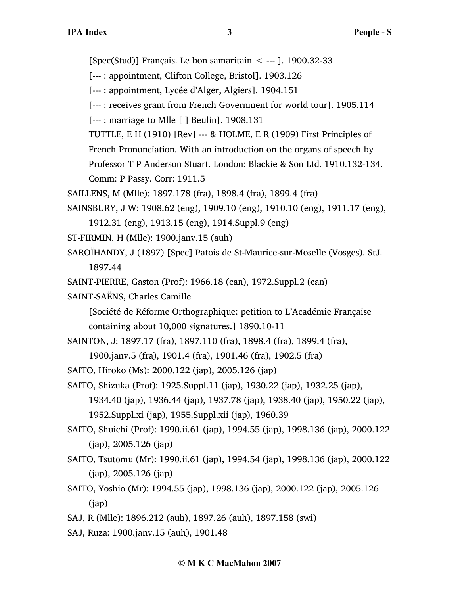[Spec(Stud)] Français. Le bon samaritain  $\lt$  --- ]. 1900.32-33

- [--- : appointment, Clifton College, Bristol]. 1903.126
- [--- : appointment, Lycée d'Alger, Algiers]. 1904.151
- [--- : receives grant from French Government for world tour]. 1905.114
- [--- : marriage to Mlle [ ] Beulin]. 1908.131
- TUTTLE, E H (1910) [Rev] --- & HOLME, E R (1909) First Principles of
- French Pronunciation. With an introduction on the organs of speech by

Professor T P Anderson Stuart. London: Blackie & Son Ltd. 1910.132-134.

Comm: P Passy. Corr: 1911.5

- SAILLENS, M (Mlle): 1897.178 (fra), 1898.4 (fra), 1899.4 (fra)
- SAINSBURY, J W: 1908.62 (eng), 1909.10 (eng), 1910.10 (eng), 1911.17 (eng), 1912.31 (eng), 1913.15 (eng), 1914.Suppl.9 (eng)
- ST-FIRMIN, H (Mlle): 1900.janv.15 (auh)
- SAROÏHANDY, J (1897) [Spec] Patois de St-Maurice-sur-Moselle (Vosges). StJ. 1897.44
- SAINT-PIERRE, Gaston (Prof): 1966.18 (can), 1972.Suppl.2 (can)
- SAINT-SAËNS, Charles Camille

[Société de Réforme Orthographique: petition to L'Académie Française containing about 10,000 signatures.] 1890.10-11

- SAINTON, J: 1897.17 (fra), 1897.110 (fra), 1898.4 (fra), 1899.4 (fra),
	- 1900.janv.5 (fra), 1901.4 (fra), 1901.46 (fra), 1902.5 (fra)
- SAITO, Hiroko (Ms): 2000.122 (jap), 2005.126 (jap)

SAITO, Shizuka (Prof): 1925.Suppl.11 (jap), 1930.22 (jap), 1932.25 (jap),

1934.40 (jap), 1936.44 (jap), 1937.78 (jap), 1938.40 (jap), 1950.22 (jap), 1952.Suppl.xi (jap), 1955.Suppl.xii (jap), 1960.39

- SAITO, Shuichi (Prof): 1990.ii.61 (jap), 1994.55 (jap), 1998.136 (jap), 2000.122 (jap), 2005.126 (jap)
- SAITO, Tsutomu (Mr): 1990.ii.61 (jap), 1994.54 (jap), 1998.136 (jap), 2000.122 (jap), 2005.126 (jap)
- SAITO, Yoshio (Mr): 1994.55 (jap), 1998.136 (jap), 2000.122 (jap), 2005.126 (jap)
- SAJ, R (Mlle): 1896.212 (auh), 1897.26 (auh), 1897.158 (swi)
- SAJ, Ruza: 1900.janv.15 (auh), 1901.48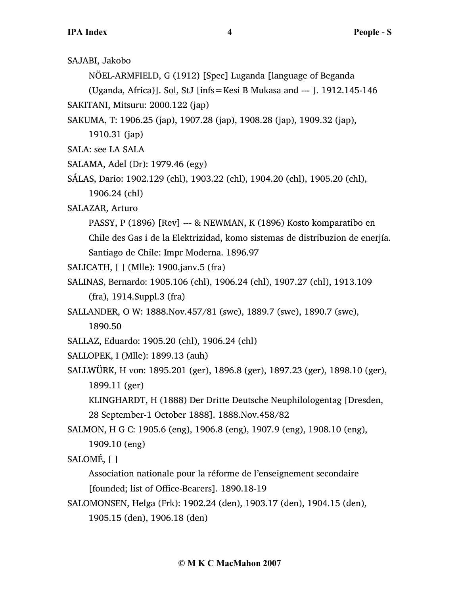SAJABI, Jakobo

NÖEL-ARMFIELD, G (1912) [Spec] Luganda [language of Beganda

(Uganda, Africa)]. Sol, StJ [infs=Kesi B Mukasa and --- ]. 1912.145-146

SAKITANI, Mitsuru: 2000.122 (jap)

SAKUMA, T: 1906.25 (jap), 1907.28 (jap), 1908.28 (jap), 1909.32 (jap),

1910.31 (jap)

SALA: see LA SALA

SALAMA, Adel (Dr): 1979.46 (egy)

SÁLAS, Dario: 1902.129 (chl), 1903.22 (chl), 1904.20 (chl), 1905.20 (chl), 1906.24 (chl)

SALAZAR, Arturo

PASSY, P (1896) [Rev] --- & NEWMAN, K (1896) Kosto komparatibo en Chile des Gas i de la Elektrizidad, komo sistemas de distribuzion de enerjía. Santiago de Chile: Impr Moderna. 1896.97

SALICATH, [ ] (Mlle): 1900.janv.5 (fra)

SALINAS, Bernardo: 1905.106 (chl), 1906.24 (chl), 1907.27 (chl), 1913.109 (fra), 1914.Suppl.3 (fra)

SALLANDER, O W: 1888.Nov.457/81 (swe), 1889.7 (swe), 1890.7 (swe), 1890.50

SALLAZ, Eduardo: 1905.20 (chl), 1906.24 (chl)

SALLOPEK, I (Mlle): 1899.13 (auh)

SALLWÜRK, H von: 1895.201 (ger), 1896.8 (ger), 1897.23 (ger), 1898.10 (ger), 1899.11 (ger)

KLINGHARDT, H (1888) Der Dritte Deutsche Neuphilologentag [Dresden, 28 September-1 October 1888]. 1888.Nov.458/82

SALMON, H G C: 1905.6 (eng), 1906.8 (eng), 1907.9 (eng), 1908.10 (eng), 1909.10 (eng)

SALOMÉ, [ ]

Association nationale pour la réforme de l'enseignement secondaire [founded; list of Office-Bearers]. 1890.18-19

SALOMONSEN, Helga (Frk): 1902.24 (den), 1903.17 (den), 1904.15 (den), 1905.15 (den), 1906.18 (den)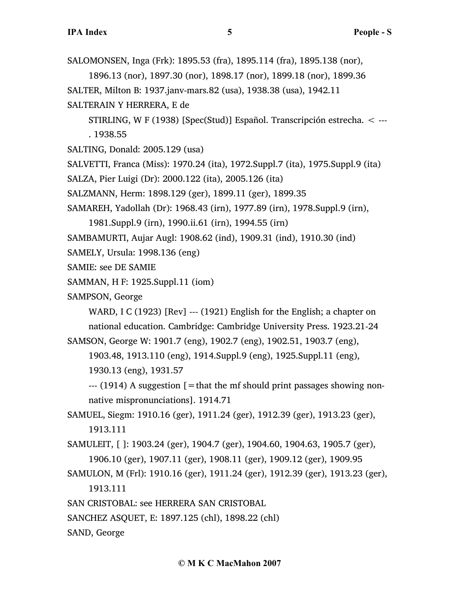SALOMONSEN, Inga (Frk): 1895.53 (fra), 1895.114 (fra), 1895.138 (nor),

1896.13 (nor), 1897.30 (nor), 1898.17 (nor), 1899.18 (nor), 1899.36

SALTER, Milton B: 1937.janv-mars.82 (usa), 1938.38 (usa), 1942.11

SALTERAIN Y HERRERA, E de

STIRLING, W F (1938) [Spec(Stud)] Español. Transcripción estrecha. < --- . 1938.55

SALTING, Donald: 2005.129 (usa)

SALVETTI, Franca (Miss): 1970.24 (ita), 1972.Suppl.7 (ita), 1975.Suppl.9 (ita)

SALZA, Pier Luigi (Dr): 2000.122 (ita), 2005.126 (ita)

SALZMANN, Herm: 1898.129 (ger), 1899.11 (ger), 1899.35

SAMAREH, Yadollah (Dr): 1968.43 (irn), 1977.89 (irn), 1978.Suppl.9 (irn),

1981.Suppl.9 (irn), 1990.ii.61 (irn), 1994.55 (irn)

SAMBAMURTI, Aujar Augl: 1908.62 (ind), 1909.31 (ind), 1910.30 (ind)

SAMELY, Ursula: 1998.136 (eng)

SAMIE: see DE SAMIE

SAMMAN, H F: 1925.Suppl.11 (iom)

SAMPSON, George

WARD, I C (1923) [Rev] --- (1921) English for the English; a chapter on national education. Cambridge: Cambridge University Press. 1923.21-24

SAMSON, George W: 1901.7 (eng), 1902.7 (eng), 1902.51, 1903.7 (eng),

1903.48, 1913.110 (eng), 1914.Suppl.9 (eng), 1925.Suppl.11 (eng), 1930.13 (eng), 1931.57

 $-$ -- $(1914)$  A suggestion  $\mathfrak{f} =$  that the mf should print passages showing nonnative mispronunciations]. 1914.71

SAMUEL, Siegm: 1910.16 (ger), 1911.24 (ger), 1912.39 (ger), 1913.23 (ger), 1913.111

SAMULEIT, [ ]: 1903.24 (ger), 1904.7 (ger), 1904.60, 1904.63, 1905.7 (ger), 1906.10 (ger), 1907.11 (ger), 1908.11 (ger), 1909.12 (ger), 1909.95

SAMULON, M (Frl): 1910.16 (ger), 1911.24 (ger), 1912.39 (ger), 1913.23 (ger), 1913.111

SAN CRISTOBAL: see HERRERA SAN CRISTOBAL

SANCHEZ ASQUET, E: 1897.125 (chl), 1898.22 (chl)

SAND, George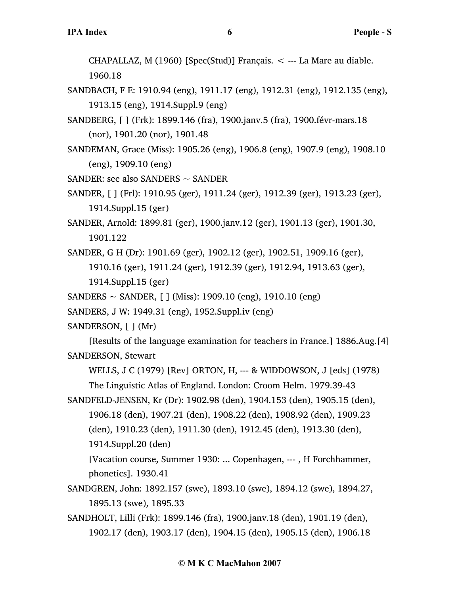CHAPALLAZ, M  $(1960)$  [Spec(Stud)] Français.  $\lt$  --- La Mare au diable. 1960.18

- SANDBACH, F E: 1910.94 (eng), 1911.17 (eng), 1912.31 (eng), 1912.135 (eng), 1913.15 (eng), 1914.Suppl.9 (eng)
- SANDBERG, [ ] (Frk): 1899.146 (fra), 1900.janv.5 (fra), 1900.févr-mars.18 (nor), 1901.20 (nor), 1901.48
- SANDEMAN, Grace (Miss): 1905.26 (eng), 1906.8 (eng), 1907.9 (eng), 1908.10 (eng), 1909.10 (eng)
- SANDER: see also SANDERS  $\sim$  SANDER
- SANDER, [ ] (Frl): 1910.95 (ger), 1911.24 (ger), 1912.39 (ger), 1913.23 (ger), 1914.Suppl.15 (ger)
- SANDER, Arnold: 1899.81 (ger), 1900.janv.12 (ger), 1901.13 (ger), 1901.30, 1901.122
- SANDER, G H (Dr): 1901.69 (ger), 1902.12 (ger), 1902.51, 1909.16 (ger), 1910.16 (ger), 1911.24 (ger), 1912.39 (ger), 1912.94, 1913.63 (ger), 1914.Suppl.15 (ger)
- SANDERS ~ SANDER, [ ] (Miss): 1909.10 (eng), 1910.10 (eng)
- SANDERS, J W: 1949.31 (eng), 1952.Suppl.iv (eng)

SANDERSON, [ ] (Mr)

[Results of the language examination for teachers in France.] 1886.Aug.[4] SANDERSON, Stewart

WELLS, J C (1979) [Rev] ORTON, H, --- & WIDDOWSON, J [eds] (1978) The Linguistic Atlas of England. London: Croom Helm. 1979.39-43

SANDFELD-JENSEN, Kr (Dr): 1902.98 (den), 1904.153 (den), 1905.15 (den), 1906.18 (den), 1907.21 (den), 1908.22 (den), 1908.92 (den), 1909.23 (den), 1910.23 (den), 1911.30 (den), 1912.45 (den), 1913.30 (den), 1914.Suppl.20 (den)

[Vacation course, Summer 1930: ... Copenhagen, --- , H Forchhammer, phonetics]. 1930.41

- SANDGREN, John: 1892.157 (swe), 1893.10 (swe), 1894.12 (swe), 1894.27, 1895.13 (swe), 1895.33
- SANDHOLT, Lilli (Frk): 1899.146 (fra), 1900.janv.18 (den), 1901.19 (den), 1902.17 (den), 1903.17 (den), 1904.15 (den), 1905.15 (den), 1906.18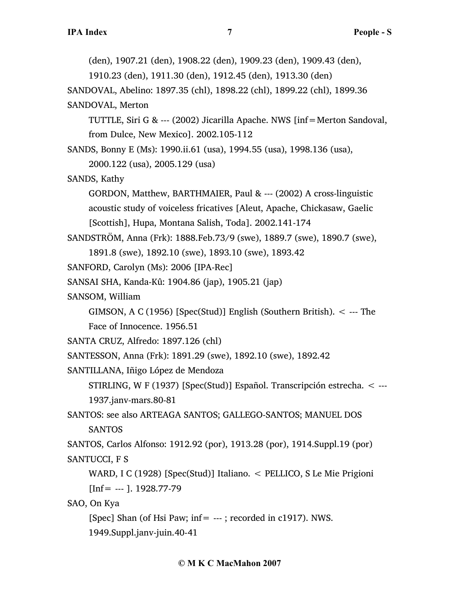(den), 1907.21 (den), 1908.22 (den), 1909.23 (den), 1909.43 (den),

1910.23 (den), 1911.30 (den), 1912.45 (den), 1913.30 (den)

SANDOVAL, Abelino: 1897.35 (chl), 1898.22 (chl), 1899.22 (chl), 1899.36 SANDOVAL, Merton

TUTTLE, Siri G & --- (2002) Jicarilla Apache. NWS [inf=Merton Sandoval, from Dulce, New Mexico]. 2002.105-112

SANDS, Bonny E (Ms): 1990.ii.61 (usa), 1994.55 (usa), 1998.136 (usa),

2000.122 (usa), 2005.129 (usa)

```
SANDS, Kathy
```
GORDON, Matthew, BARTHMAIER, Paul & --- (2002) A cross-linguistic acoustic study of voiceless fricatives [Aleut, Apache, Chickasaw, Gaelic [Scottish], Hupa, Montana Salish, Toda]. 2002.141-174

SANDSTRÖM, Anna (Frk): 1888.Feb.73/9 (swe), 1889.7 (swe), 1890.7 (swe),

1891.8 (swe), 1892.10 (swe), 1893.10 (swe), 1893.42

SANFORD, Carolyn (Ms): 2006 [IPA-Rec]

```
SANSAI SHA, Kanda-Kû: 1904.86 (jap), 1905.21 (jap)
```
SANSOM, William

GIMSON, A C (1956) [Spec(Stud)] English (Southern British).  $\lt$  --- The

Face of Innocence. 1956.51

```
SANTA CRUZ, Alfredo: 1897.126 (chl)
```
SANTESSON, Anna (Frk): 1891.29 (swe), 1892.10 (swe), 1892.42

SANTILLANA, Iñigo López de Mendoza

STIRLING, W F (1937) [Spec(Stud)] Español. Transcripción estrecha. < --- 1937.janv-mars.80-81

SANTOS: see also ARTEAGA SANTOS; GALLEGO-SANTOS; MANUEL DOS SANTOS

SANTOS, Carlos Alfonso: 1912.92 (por), 1913.28 (por), 1914.Suppl.19 (por) SANTUCCI, F S

WARD, I C (1928) [Spec(Stud)] Italiano. < PELLICO, S Le Mie Prigioni  $[Inf = -1$ . 1928.77-79

SAO, On Kya

[Spec] Shan (of Hsi Paw; inf= ---; recorded in c1917). NWS. 1949.Suppl.janv-juin.40-41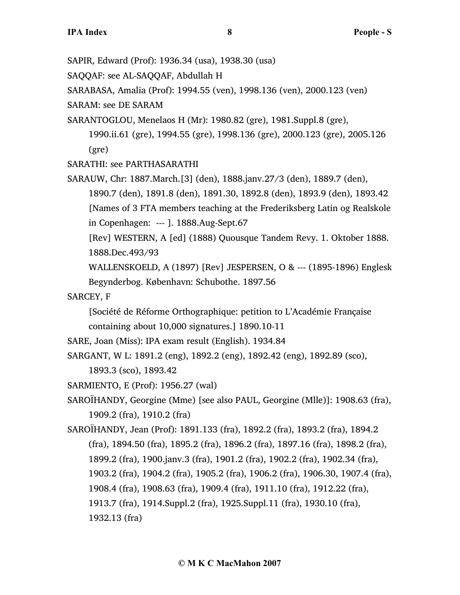SAPIR, Edward (Prof): 1936.34 (usa), 1938.30 (usa)

SAQQAF: see AL-SAQQAF, Abdullah H

SARABASA, Amalia (Prof): 1994.55 (ven), 1998.136 (ven), 2000.123 (ven)

SARAM: see DE SARAM

SARANTOGLOU, Menelaos H (Mr): 1980.82 (gre), 1981.Suppl.8 (gre), 1990.ii.61 (gre), 1994.55 (gre), 1998.136 (gre), 2000.123 (gre), 2005.126

(gre)

SARATHI: see PARTHASARATHI

SARAUW, Chr: 1887.March.[3] (den), 1888.janv.27/3 (den), 1889.7 (den), 1890.7 (den), 1891.8 (den), 1891.30, 1892.8 (den), 1893.9 (den), 1893.42 [Names of 3 FTA members teaching at the Frederiksberg Latin og Realskole in Copenhagen: --- ]. 1888.Aug-Sept.67

[Rev] WESTERN, A [ed] (1888) Quousque Tandem Revy. 1. Oktober 1888. 1888.Dec.493/93

WALLENSKOELD, A (1897) [Rev] JESPERSEN, O & --- (1895-1896) Englesk Begynderbog. København: Schubothe. 1897.56

SARCEY, F

[Société de Réforme Orthographique: petition to L'Académie Française containing about 10,000 signatures.] 1890.10-11

```
SARE, Joan (Miss): IPA exam result (English). 1934.84
```
SARGANT, W L: 1891.2 (eng), 1892.2 (eng), 1892.42 (eng), 1892.89 (sco), 1893.3 (sco), 1893.42

SARMIENTO, E (Prof): 1956.27 (wal)

SAROÏHANDY, Georgine (Mme) [see also PAUL, Georgine (Mlle)]: 1908.63 (fra), 1909.2 (fra), 1910.2 (fra)

SAROÏHANDY, Jean (Prof): 1891.133 (fra), 1892.2 (fra), 1893.2 (fra), 1894.2 (fra), 1894.50 (fra), 1895.2 (fra), 1896.2 (fra), 1897.16 (fra), 1898.2 (fra), 1899.2 (fra), 1900.janv.3 (fra), 1901.2 (fra), 1902.2 (fra), 1902.34 (fra), 1903.2 (fra), 1904.2 (fra), 1905.2 (fra), 1906.2 (fra), 1906.30, 1907.4 (fra), 1908.4 (fra), 1908.63 (fra), 1909.4 (fra), 1911.10 (fra), 1912.22 (fra), 1913.7 (fra), 1914.Suppl.2 (fra), 1925.Suppl.11 (fra), 1930.10 (fra), 1932.13 (fra)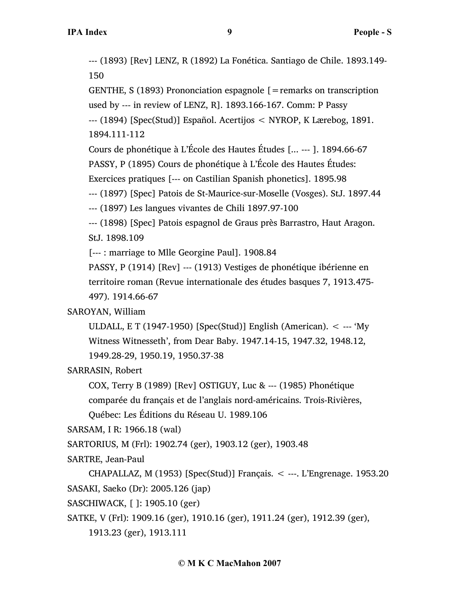--- (1893) [Rev] LENZ, R (1892) La Fonética. Santiago de Chile. 1893.149- 150

GENTHE,  $S(1893)$  Prononciation espagnole  $[=$  remarks on transcription used by --- in review of LENZ, R]. 1893.166-167. Comm: P Passy --- (1894) [Spec(Stud)] Español. Acertijos < NYROP, K Lærebog, 1891.

1894.111-112

Cours de phonétique à L'École des Hautes Études [... --- ]. 1894.66-67

PASSY, P (1895) Cours de phonétique à L'École des Hautes Études:

Exercices pratiques [--- on Castilian Spanish phonetics]. 1895.98

--- (1897) [Spec] Patois de St-Maurice-sur-Moselle (Vosges). StJ. 1897.44

--- (1897) Les langues vivantes de Chili 1897.97-100

--- (1898) [Spec] Patois espagnol de Graus près Barrastro, Haut Aragon. StJ. 1898.109

[--- : marriage to Mlle Georgine Paul]. 1908.84

PASSY, P (1914) [Rev] --- (1913) Vestiges de phonétique ibérienne en territoire roman (Revue internationale des études basques 7, 1913.475- 497). 1914.66-67

# SAROYAN, William

ULDALL, E T (1947-1950) [Spec(Stud)] English (American). < --- 'My Witness Witnesseth', from Dear Baby. 1947.14-15, 1947.32, 1948.12, 1949.28-29, 1950.19, 1950.37-38

SARRASIN, Robert

COX, Terry B (1989) [Rev] OSTIGUY, Luc & --- (1985) Phonétique

comparée du français et de l'anglais nord-américains. Trois-Rivières,

Québec: Les Éditions du Réseau U. 1989.106

SARSAM, I R: 1966.18 (wal)

SARTORIUS, M (Frl): 1902.74 (ger), 1903.12 (ger), 1903.48

SARTRE, Jean-Paul

CHAPALLAZ, M (1953) [Spec(Stud)] Français. < ---. L'Engrenage. 1953.20 SASAKI, Saeko (Dr): 2005.126 (jap)

SASCHIWACK, [ ]: 1905.10 (ger)

SATKE, V (Frl): 1909.16 (ger), 1910.16 (ger), 1911.24 (ger), 1912.39 (ger),

1913.23 (ger), 1913.111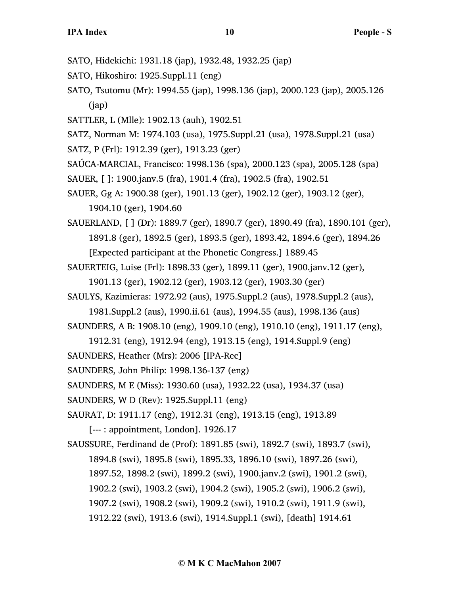- SATO, Hidekichi: 1931.18 (jap), 1932.48, 1932.25 (jap)
- SATO, Hikoshiro: 1925.Suppl.11 (eng)
- SATO, Tsutomu (Mr): 1994.55 (jap), 1998.136 (jap), 2000.123 (jap), 2005.126 (jap)
- SATTLER, L (Mlle): 1902.13 (auh), 1902.51
- SATZ, Norman M: 1974.103 (usa), 1975.Suppl.21 (usa), 1978.Suppl.21 (usa)
- SATZ, P (Frl): 1912.39 (ger), 1913.23 (ger)
- SAÚCA-MARCIAL, Francisco: 1998.136 (spa), 2000.123 (spa), 2005.128 (spa)
- SAUER, [ ]: 1900.janv.5 (fra), 1901.4 (fra), 1902.5 (fra), 1902.51
- SAUER, Gg A: 1900.38 (ger), 1901.13 (ger), 1902.12 (ger), 1903.12 (ger), 1904.10 (ger), 1904.60
- SAUERLAND, [ ] (Dr): 1889.7 (ger), 1890.7 (ger), 1890.49 (fra), 1890.101 (ger), 1891.8 (ger), 1892.5 (ger), 1893.5 (ger), 1893.42, 1894.6 (ger), 1894.26 [Expected participant at the Phonetic Congress.] 1889.45
- SAUERTEIG, Luise (Frl): 1898.33 (ger), 1899.11 (ger), 1900.janv.12 (ger), 1901.13 (ger), 1902.12 (ger), 1903.12 (ger), 1903.30 (ger)
- SAULYS, Kazimieras: 1972.92 (aus), 1975.Suppl.2 (aus), 1978.Suppl.2 (aus),
	- 1981.Suppl.2 (aus), 1990.ii.61 (aus), 1994.55 (aus), 1998.136 (aus)
- SAUNDERS, A B: 1908.10 (eng), 1909.10 (eng), 1910.10 (eng), 1911.17 (eng),
	- 1912.31 (eng), 1912.94 (eng), 1913.15 (eng), 1914.Suppl.9 (eng)
- SAUNDERS, Heather (Mrs): 2006 [IPA-Rec]
- SAUNDERS, John Philip: 1998.136-137 (eng)
- SAUNDERS, M E (Miss): 1930.60 (usa), 1932.22 (usa), 1934.37 (usa)
- SAUNDERS, W D (Rev): 1925.Suppl.11 (eng)
- SAURAT, D: 1911.17 (eng), 1912.31 (eng), 1913.15 (eng), 1913.89

[--- : appointment, London]. 1926.17

SAUSSURE, Ferdinand de (Prof): 1891.85 (swi), 1892.7 (swi), 1893.7 (swi), 1894.8 (swi), 1895.8 (swi), 1895.33, 1896.10 (swi), 1897.26 (swi), 1897.52, 1898.2 (swi), 1899.2 (swi), 1900.janv.2 (swi), 1901.2 (swi), 1902.2 (swi), 1903.2 (swi), 1904.2 (swi), 1905.2 (swi), 1906.2 (swi), 1907.2 (swi), 1908.2 (swi), 1909.2 (swi), 1910.2 (swi), 1911.9 (swi), 1912.22 (swi), 1913.6 (swi), 1914.Suppl.1 (swi), [death] 1914.61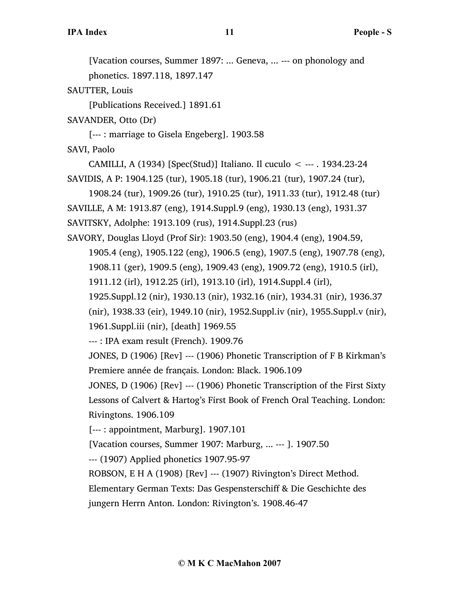[Vacation courses, Summer 1897: ... Geneva, ... --- on phonology and

phonetics. 1897.118, 1897.147

SAUTTER, Louis

[Publications Received.] 1891.61

SAVANDER, Otto (Dr)

[--- : marriage to Gisela Engeberg]. 1903.58

SAVI, Paolo

CAMILLI, A (1934) [Spec(Stud)] Italiano. Il cuculo < --- . 1934.23-24 SAVIDIS, A P: 1904.125 (tur), 1905.18 (tur), 1906.21 (tur), 1907.24 (tur),

1908.24 (tur), 1909.26 (tur), 1910.25 (tur), 1911.33 (tur), 1912.48 (tur) SAVILLE, A M: 1913.87 (eng), 1914.Suppl.9 (eng), 1930.13 (eng), 1931.37 SAVITSKY, Adolphe: 1913.109 (rus), 1914.Suppl.23 (rus)

SAVORY, Douglas Lloyd (Prof Sir): 1903.50 (eng), 1904.4 (eng), 1904.59, 1905.4 (eng), 1905.122 (eng), 1906.5 (eng), 1907.5 (eng), 1907.78 (eng), 1908.11 (ger), 1909.5 (eng), 1909.43 (eng), 1909.72 (eng), 1910.5 (irl),

1911.12 (irl), 1912.25 (irl), 1913.10 (irl), 1914.Suppl.4 (irl),

1925.Suppl.12 (nir), 1930.13 (nir), 1932.16 (nir), 1934.31 (nir), 1936.37

(nir), 1938.33 (eir), 1949.10 (nir), 1952.Suppl.iv (nir), 1955.Suppl.v (nir),

1961.Suppl.iii (nir), [death] 1969.55

--- : IPA exam result (French). 1909.76

JONES, D (1906) [Rev] --- (1906) Phonetic Transcription of F B Kirkman's Premiere année de français. London: Black. 1906.109

JONES, D (1906) [Rev] --- (1906) Phonetic Transcription of the First Sixty Lessons of Calvert & Hartog's First Book of French Oral Teaching. London: Rivingtons. 1906.109

[--- : appointment, Marburg]. 1907.101

[Vacation courses, Summer 1907: Marburg, ... --- ]. 1907.50

--- (1907) Applied phonetics 1907.95-97

ROBSON, E H A (1908) [Rev] --- (1907) Rivington's Direct Method.

Elementary German Texts: Das Gespensterschiff & Die Geschichte des

jungern Herrn Anton. London: Rivington's. 1908.46-47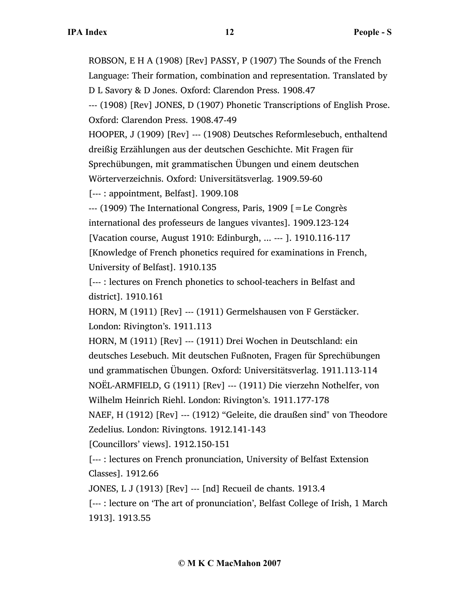ROBSON, E H A (1908) [Rev] PASSY, P (1907) The Sounds of the French Language: Their formation, combination and representation. Translated by D L Savory & D Jones. Oxford: Clarendon Press. 1908.47

--- (1908) [Rev] JONES, D (1907) Phonetic Transcriptions of English Prose. Oxford: Clarendon Press. 1908.47-49

HOOPER, J (1909) [Rev] --- (1908) Deutsches Reformlesebuch, enthaltend dreißig Erzählungen aus der deutschen Geschichte. Mit Fragen für Sprechübungen, mit grammatischen Übungen und einem deutschen Wörterverzeichnis. Oxford: Universitätsverlag. 1909.59-60

[--- : appointment, Belfast]. 1909.108

--- (1909) The International Congress, Paris, 1909 [=Le Congrès international des professeurs de langues vivantes]. 1909.123-124 [Vacation course, August 1910: Edinburgh, ... --- ]. 1910.116-117 [Knowledge of French phonetics required for examinations in French, University of Belfast]. 1910.135

[--- : lectures on French phonetics to school-teachers in Belfast and district]. 1910.161

HORN, M (1911) [Rev] --- (1911) Germelshausen von F Gerstäcker. London: Rivington's. 1911.113

HORN, M (1911) [Rev] --- (1911) Drei Wochen in Deutschland: ein deutsches Lesebuch. Mit deutschen Fußnoten, Fragen für Sprechübungen und grammatischen Übungen. Oxford: Universitätsverlag. 1911.113-114 NOËL-ARMFIELD, G (1911) [Rev] --- (1911) Die vierzehn Nothelfer, von Wilhelm Heinrich Riehl. London: Rivington's. 1911.177-178

NAEF, H (1912) [Rev] --- (1912) "Geleite, die draußen sind" von Theodore Zedelius. London: Rivingtons. 1912.141-143

[Councillors' views]. 1912.150-151

[--- : lectures on French pronunciation, University of Belfast Extension Classes]. 1912.66

JONES, L J (1913) [Rev] --- [nd] Recueil de chants. 1913.4

[--- : lecture on 'The art of pronunciation', Belfast College of Irish, 1 March 1913]. 1913.55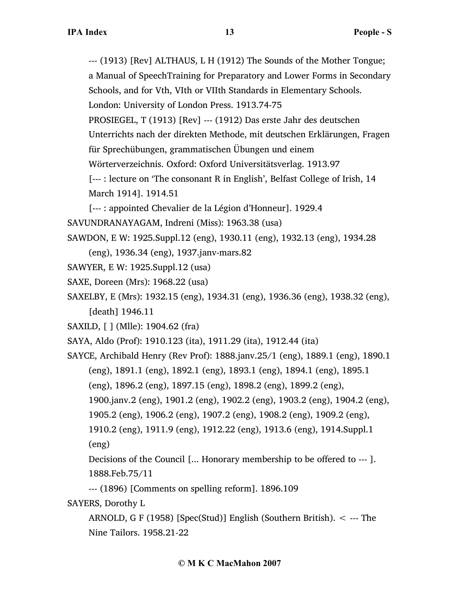--- (1913) [Rev] ALTHAUS, L H (1912) The Sounds of the Mother Tongue; a Manual of SpeechTraining for Preparatory and Lower Forms in Secondary

Schools, and for Vth, VIth or VIIth Standards in Elementary Schools.

London: University of London Press. 1913.74-75

PROSIEGEL, T (1913) [Rev] --- (1912) Das erste Jahr des deutschen

Unterrichts nach der direkten Methode, mit deutschen Erklärungen, Fragen

für Sprechübungen, grammatischen Übungen und einem

Wörterverzeichnis. Oxford: Oxford Universitätsverlag. 1913.97

[--- : lecture on 'The consonant R in English', Belfast College of Irish, 14 March 1914]. 1914.51

[--- : appointed Chevalier de la Légion d'Honneur]. 1929.4

SAVUNDRANAYAGAM, Indreni (Miss): 1963.38 (usa)

SAWDON, E W: 1925.Suppl.12 (eng), 1930.11 (eng), 1932.13 (eng), 1934.28

(eng), 1936.34 (eng), 1937.janv-mars.82

- SAWYER, E W: 1925.Suppl.12 (usa)
- SAXE, Doreen (Mrs): 1968.22 (usa)

SAXELBY, E (Mrs): 1932.15 (eng), 1934.31 (eng), 1936.36 (eng), 1938.32 (eng), [death] 1946.11

SAXILD, [ ] (Mlle): 1904.62 (fra)

SAYA, Aldo (Prof): 1910.123 (ita), 1911.29 (ita), 1912.44 (ita)

SAYCE, Archibald Henry (Rev Prof): 1888.janv.25/1 (eng), 1889.1 (eng), 1890.1 (eng), 1891.1 (eng), 1892.1 (eng), 1893.1 (eng), 1894.1 (eng), 1895.1

(eng), 1896.2 (eng), 1897.15 (eng), 1898.2 (eng), 1899.2 (eng),

1900.janv.2 (eng), 1901.2 (eng), 1902.2 (eng), 1903.2 (eng), 1904.2 (eng),

1905.2 (eng), 1906.2 (eng), 1907.2 (eng), 1908.2 (eng), 1909.2 (eng),

1910.2 (eng), 1911.9 (eng), 1912.22 (eng), 1913.6 (eng), 1914.Suppl.1 (eng)

Decisions of the Council [... Honorary membership to be offered to --- ]. 1888.Feb.75/11

--- (1896) [Comments on spelling reform]. 1896.109

SAYERS, Dorothy L

ARNOLD, G F (1958) [Spec(Stud)] English (Southern British). < --- The Nine Tailors. 1958.21-22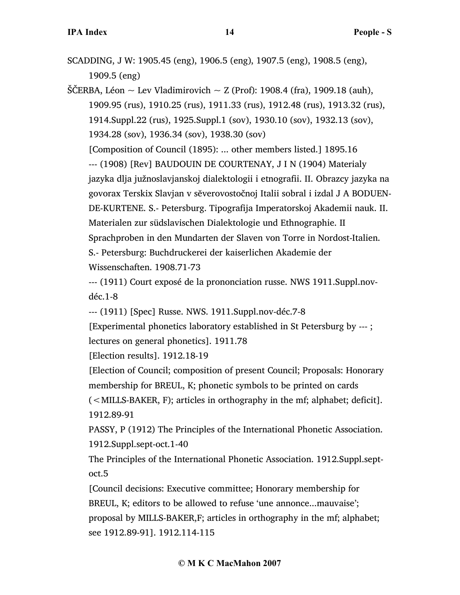SCADDING, J W: 1905.45 (eng), 1906.5 (eng), 1907.5 (eng), 1908.5 (eng), 1909.5 (eng)

ŠČERBA, Léon  $\sim$  Lev Vladimirovich  $\sim$  Z (Prof): 1908.4 (fra), 1909.18 (auh), 1909.95 (rus), 1910.25 (rus), 1911.33 (rus), 1912.48 (rus), 1913.32 (rus), 1914.Suppl.22 (rus), 1925.Suppl.1 (sov), 1930.10 (sov), 1932.13 (sov), 1934.28 (sov), 1936.34 (sov), 1938.30 (sov) [Composition of Council (1895): ... other members listed.] 1895.16 --- (1908) [Rev] BAUDOUIN DE COURTENAY, J I N (1904) Materialy jazyka dlja južnoslavjanskoj dialektologii i etnografii. II. Obrazcy jazyka na govorax Terskix Slavjan v sĕverovostočnoj Italii sobral i izdal J A BODUEN-DE-KURTENE. S.- Petersburg. Tipografija Imperatorskoj Akademii nauk. II. Materialen zur südslavischen Dialektologie und Ethnographie. II Sprachproben in den Mundarten der Slaven von Torre in Nordost-Italien. S.- Petersburg: Buchdruckerei der kaiserlichen Akademie der Wissenschaften. 1908.71-73

--- (1911) Court exposé de la prononciation russe. NWS 1911.Suppl.novdéc.1-8

--- (1911) [Spec] Russe. NWS. 1911.Suppl.nov-déc.7-8

[Experimental phonetics laboratory established in St Petersburg by --- ; lectures on general phonetics]. 1911.78

[Election results]. 1912.18-19

[Election of Council; composition of present Council; Proposals: Honorary membership for BREUL, K; phonetic symbols to be printed on cards

(<MILLS-BAKER, F); articles in orthography in the mf; alphabet; deficit]. 1912.89-91

PASSY, P (1912) The Principles of the International Phonetic Association. 1912.Suppl.sept-oct.1-40

The Principles of the International Phonetic Association. 1912.Suppl.septoct.5

[Council decisions: Executive committee; Honorary membership for BREUL, K; editors to be allowed to refuse 'une annonce...mauvaise'; proposal by MILLS-BAKER,F; articles in orthography in the mf; alphabet; see 1912.89-91]. 1912.114-115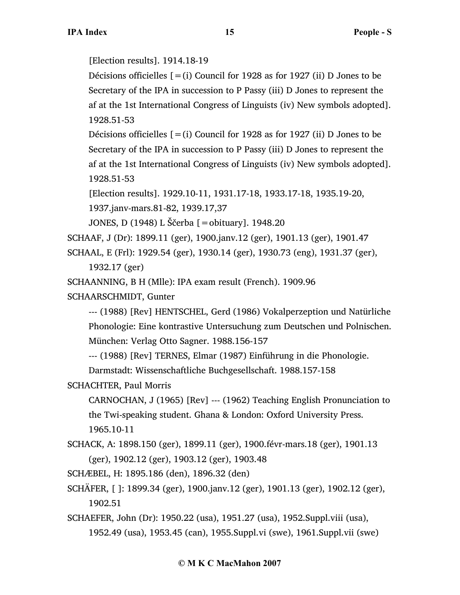[Election results]. 1914.18-19

Décisions officielles  $[=(i)$  Council for 1928 as for 1927 (ii) D Jones to be Secretary of the IPA in succession to P Passy (iii) D Jones to represent the af at the 1st International Congress of Linguists (iv) New symbols adopted]. 1928.51-53

Décisions officielles  $[=(i)$  Council for 1928 as for 1927 (ii) D Jones to be Secretary of the IPA in succession to P Passy (iii) D Jones to represent the af at the 1st International Congress of Linguists (iv) New symbols adopted]. 1928.51-53

[Election results]. 1929.10-11, 1931.17-18, 1933.17-18, 1935.19-20,

1937.janv-mars.81-82, 1939.17,37

```
JONES, D (1948) L Ščerba [=obituary]. 1948.20
```
SCHAAF, J (Dr): 1899.11 (ger), 1900.janv.12 (ger), 1901.13 (ger), 1901.47

SCHAAL, E (Frl): 1929.54 (ger), 1930.14 (ger), 1930.73 (eng), 1931.37 (ger), 1932.17 (ger)

SCHAANNING, B H (Mlle): IPA exam result (French). 1909.96

SCHAARSCHMIDT, Gunter

--- (1988) [Rev] HENTSCHEL, Gerd (1986) Vokalperzeption und Natürliche Phonologie: Eine kontrastive Untersuchung zum Deutschen und Polnischen. München: Verlag Otto Sagner. 1988.156-157

--- (1988) [Rev] TERNES, Elmar (1987) Einführung in die Phonologie.

Darmstadt: Wissenschaftliche Buchgesellschaft. 1988.157-158

SCHACHTER, Paul Morris

CARNOCHAN, J (1965) [Rev] --- (1962) Teaching English Pronunciation to the Twi-speaking student. Ghana & London: Oxford University Press. 1965.10-11

SCHACK, A: 1898.150 (ger), 1899.11 (ger), 1900.févr-mars.18 (ger), 1901.13 (ger), 1902.12 (ger), 1903.12 (ger), 1903.48

SCHÆBEL, H: 1895.186 (den), 1896.32 (den)

SCHÄFER, [ ]: 1899.34 (ger), 1900.janv.12 (ger), 1901.13 (ger), 1902.12 (ger), 1902.51

SCHAEFER, John (Dr): 1950.22 (usa), 1951.27 (usa), 1952.Suppl.viii (usa), 1952.49 (usa), 1953.45 (can), 1955.Suppl.vi (swe), 1961.Suppl.vii (swe)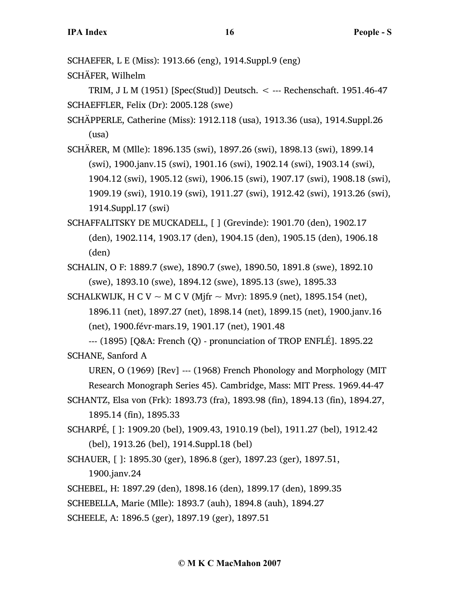SCHAEFER, L E (Miss): 1913.66 (eng), 1914.Suppl.9 (eng)

SCHÄFER, Wilhelm

TRIM, J L M (1951) [Spec(Stud)] Deutsch. < --- Rechenschaft. 1951.46-47 SCHAEFFLER, Felix (Dr): 2005.128 (swe)

SCHÄPPERLE, Catherine (Miss): 1912.118 (usa), 1913.36 (usa), 1914.Suppl.26 (usa)

SCHÄRER, M (Mlle): 1896.135 (swi), 1897.26 (swi), 1898.13 (swi), 1899.14 (swi), 1900.janv.15 (swi), 1901.16 (swi), 1902.14 (swi), 1903.14 (swi), 1904.12 (swi), 1905.12 (swi), 1906.15 (swi), 1907.17 (swi), 1908.18 (swi), 1909.19 (swi), 1910.19 (swi), 1911.27 (swi), 1912.42 (swi), 1913.26 (swi), 1914.Suppl.17 (swi)

SCHAFFALITSKY DE MUCKADELL, [ ] (Grevinde): 1901.70 (den), 1902.17 (den), 1902.114, 1903.17 (den), 1904.15 (den), 1905.15 (den), 1906.18 (den)

SCHALIN, O F: 1889.7 (swe), 1890.7 (swe), 1890.50, 1891.8 (swe), 1892.10 (swe), 1893.10 (swe), 1894.12 (swe), 1895.13 (swe), 1895.33

SCHALKWIJK, H C V  $\sim$  M C V (Mjfr  $\sim$  Mvr): 1895.9 (net), 1895.154 (net), 1896.11 (net), 1897.27 (net), 1898.14 (net), 1899.15 (net), 1900.janv.16 (net), 1900.févr-mars.19, 1901.17 (net), 1901.48

--- (1895) [Q&A: French (Q) - pronunciation of TROP ENFLÉ]. 1895.22 SCHANE, Sanford A

UREN, O (1969) [Rev] --- (1968) French Phonology and Morphology (MIT Research Monograph Series 45). Cambridge, Mass: MIT Press. 1969.44-47

- SCHANTZ, Elsa von (Frk): 1893.73 (fra), 1893.98 (fin), 1894.13 (fin), 1894.27, 1895.14 (fin), 1895.33
- SCHARPÉ, [ ]: 1909.20 (bel), 1909.43, 1910.19 (bel), 1911.27 (bel), 1912.42 (bel), 1913.26 (bel), 1914.Suppl.18 (bel)
- SCHAUER, [ ]: 1895.30 (ger), 1896.8 (ger), 1897.23 (ger), 1897.51, 1900.janv.24

SCHEBEL, H: 1897.29 (den), 1898.16 (den), 1899.17 (den), 1899.35

SCHEBELLA, Marie (Mlle): 1893.7 (auh), 1894.8 (auh), 1894.27

SCHEELE, A: 1896.5 (ger), 1897.19 (ger), 1897.51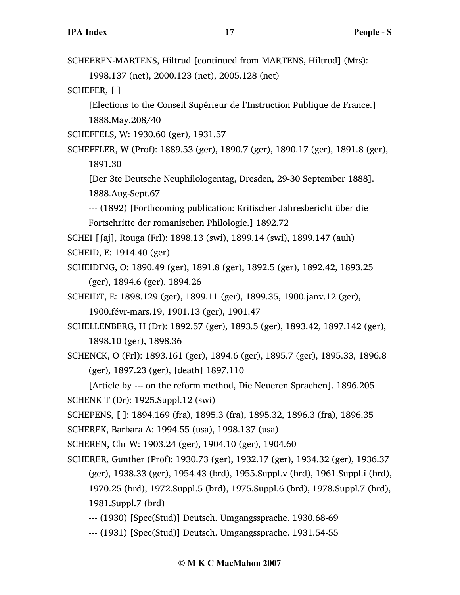SCHEEREN-MARTENS, Hiltrud [continued from MARTENS, Hiltrud] (Mrs): 1998.137 (net), 2000.123 (net), 2005.128 (net)

SCHEFER, [ ]

[Elections to the Conseil Supérieur de l'Instruction Publique de France.] 1888.May.208/40

SCHEFFELS, W: 1930.60 (ger), 1931.57

SCHEFFLER, W (Prof): 1889.53 (ger), 1890.7 (ger), 1890.17 (ger), 1891.8 (ger), 1891.30

[Der 3te Deutsche Neuphilologentag, Dresden, 29-30 September 1888]. 1888.Aug-Sept.67

--- (1892) [Forthcoming publication: Kritischer Jahresbericht über die Fortschritte der romanischen Philologie.] 1892.72

SCHEI [∫aj], Rouga (Frl): 1898.13 (swi), 1899.14 (swi), 1899.147 (auh)

SCHEID, E: 1914.40 (ger)

SCHEIDING, O: 1890.49 (ger), 1891.8 (ger), 1892.5 (ger), 1892.42, 1893.25 (ger), 1894.6 (ger), 1894.26

SCHEIDT, E: 1898.129 (ger), 1899.11 (ger), 1899.35, 1900.janv.12 (ger),

1900.févr-mars.19, 1901.13 (ger), 1901.47

SCHELLENBERG, H (Dr): 1892.57 (ger), 1893.5 (ger), 1893.42, 1897.142 (ger), 1898.10 (ger), 1898.36

SCHENCK, O (Frl): 1893.161 (ger), 1894.6 (ger), 1895.7 (ger), 1895.33, 1896.8 (ger), 1897.23 (ger), [death] 1897.110

[Article by --- on the reform method, Die Neueren Sprachen]. 1896.205 SCHENK T (Dr): 1925.Suppl.12 (swi)

SCHEPENS, [ ]: 1894.169 (fra), 1895.3 (fra), 1895.32, 1896.3 (fra), 1896.35

SCHEREK, Barbara A: 1994.55 (usa), 1998.137 (usa)

SCHEREN, Chr W: 1903.24 (ger), 1904.10 (ger), 1904.60

SCHERER, Gunther (Prof): 1930.73 (ger), 1932.17 (ger), 1934.32 (ger), 1936.37 (ger), 1938.33 (ger), 1954.43 (brd), 1955.Suppl.v (brd), 1961.Suppl.i (brd), 1970.25 (brd), 1972.Suppl.5 (brd), 1975.Suppl.6 (brd), 1978.Suppl.7 (brd), 1981.Suppl.7 (brd)

--- (1930) [Spec(Stud)] Deutsch. Umgangssprache. 1930.68-69

--- (1931) [Spec(Stud)] Deutsch. Umgangssprache. 1931.54-55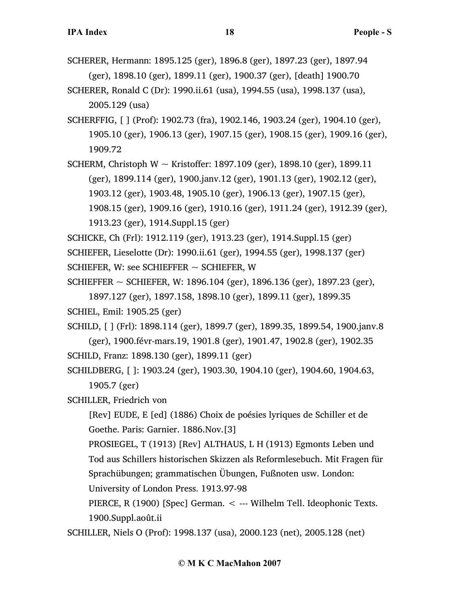- SCHERER, Hermann: 1895.125 (ger), 1896.8 (ger), 1897.23 (ger), 1897.94 (ger), 1898.10 (ger), 1899.11 (ger), 1900.37 (ger), [death] 1900.70
- SCHERER, Ronald C (Dr): 1990.ii.61 (usa), 1994.55 (usa), 1998.137 (usa), 2005.129 (usa)
- SCHERFFIG, [ ] (Prof): 1902.73 (fra), 1902.146, 1903.24 (ger), 1904.10 (ger), 1905.10 (ger), 1906.13 (ger), 1907.15 (ger), 1908.15 (ger), 1909.16 (ger), 1909.72
- SCHERM, Christoph W  $\sim$  Kristoffer: 1897.109 (ger), 1898.10 (ger), 1899.11 (ger), 1899.114 (ger), 1900.janv.12 (ger), 1901.13 (ger), 1902.12 (ger), 1903.12 (ger), 1903.48, 1905.10 (ger), 1906.13 (ger), 1907.15 (ger), 1908.15 (ger), 1909.16 (ger), 1910.16 (ger), 1911.24 (ger), 1912.39 (ger), 1913.23 (ger), 1914.Suppl.15 (ger)
- SCHICKE, Ch (Frl): 1912.119 (ger), 1913.23 (ger), 1914.Suppl.15 (ger) SCHIEFER, Lieselotte (Dr): 1990.ii.61 (ger), 1994.55 (ger), 1998.137 (ger) SCHIEFER, W: see SCHIEFFER  $\sim$  SCHIEFER, W
- SCHIEFFER  $\sim$  SCHIEFER, W: 1896.104 (ger), 1896.136 (ger), 1897.23 (ger),
- 1897.127 (ger), 1897.158, 1898.10 (ger), 1899.11 (ger), 1899.35 SCHIEL, Emil: 1905.25 (ger)
- SCHILD, [ ] (Frl): 1898.114 (ger), 1899.7 (ger), 1899.35, 1899.54, 1900.janv.8 (ger), 1900.févr-mars.19, 1901.8 (ger), 1901.47, 1902.8 (ger), 1902.35 SCHILD, Franz: 1898.130 (ger), 1899.11 (ger)
- SCHILDBERG, [ ]: 1903.24 (ger), 1903.30, 1904.10 (ger), 1904.60, 1904.63, 1905.7 (ger)
- SCHILLER, Friedrich von
	- [Rev] EUDE, E [ed] (1886) Choix de poésies lyriques de Schiller et de Goethe. Paris: Garnier. 1886.Nov.[3]
	- PROSIEGEL, T (1913) [Rev] ALTHAUS, L H (1913) Egmonts Leben und Tod aus Schillers historischen Skizzen als Reformlesebuch. Mit Fragen für Sprachübungen; grammatischen Übungen, Fußnoten usw. London:
	- University of London Press. 1913.97-98
	- PIERCE, R (1900) [Spec] German. < --- Wilhelm Tell. Ideophonic Texts. 1900.Suppl.août.ii
- SCHILLER, Niels O (Prof): 1998.137 (usa), 2000.123 (net), 2005.128 (net)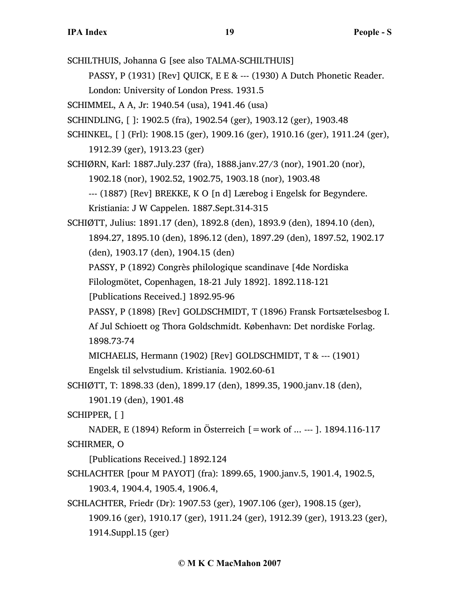SCHILTHUIS, Johanna G [see also TALMA-SCHILTHUIS]

PASSY, P (1931) [Rev] QUICK, E E & --- (1930) A Dutch Phonetic Reader. London: University of London Press. 1931.5

SCHIMMEL, A A, Jr: 1940.54 (usa), 1941.46 (usa)

SCHINDLING, [ ]: 1902.5 (fra), 1902.54 (ger), 1903.12 (ger), 1903.48

SCHINKEL, [ ] (Frl): 1908.15 (ger), 1909.16 (ger), 1910.16 (ger), 1911.24 (ger), 1912.39 (ger), 1913.23 (ger)

SCHIØRN, Karl: 1887.July.237 (fra), 1888.janv.27/3 (nor), 1901.20 (nor),

1902.18 (nor), 1902.52, 1902.75, 1903.18 (nor), 1903.48

--- (1887) [Rev] BREKKE, K O [n d] Lærebog i Engelsk for Begyndere. Kristiania: J W Cappelen. 1887.Sept.314-315

SCHIØTT, Julius: 1891.17 (den), 1892.8 (den), 1893.9 (den), 1894.10 (den), 1894.27, 1895.10 (den), 1896.12 (den), 1897.29 (den), 1897.52, 1902.17 (den), 1903.17 (den), 1904.15 (den)

PASSY, P (1892) Congrès philologique scandinave [4de Nordiska

Filologmötet, Copenhagen, 18-21 July 1892]. 1892.118-121

[Publications Received.] 1892.95-96

PASSY, P (1898) [Rev] GOLDSCHMIDT, T (1896) Fransk Fortsætelsesbog I.

Af Jul Schioett og Thora Goldschmidt. København: Det nordiske Forlag. 1898.73-74

MICHAELIS, Hermann (1902) [Rev] GOLDSCHMIDT, T & --- (1901)

Engelsk til selvstudium. Kristiania. 1902.60-61

SCHIØTT, T: 1898.33 (den), 1899.17 (den), 1899.35, 1900.janv.18 (den),

1901.19 (den), 1901.48

SCHIPPER, [ ]

NADER, E (1894) Reform in Österreich [=work of ... --- ]. 1894.116-117 SCHIRMER, O

[Publications Received.] 1892.124

- SCHLACHTER [pour M PAYOT] (fra): 1899.65, 1900.janv.5, 1901.4, 1902.5, 1903.4, 1904.4, 1905.4, 1906.4,
- SCHLACHTER, Friedr (Dr): 1907.53 (ger), 1907.106 (ger), 1908.15 (ger), 1909.16 (ger), 1910.17 (ger), 1911.24 (ger), 1912.39 (ger), 1913.23 (ger), 1914.Suppl.15 (ger)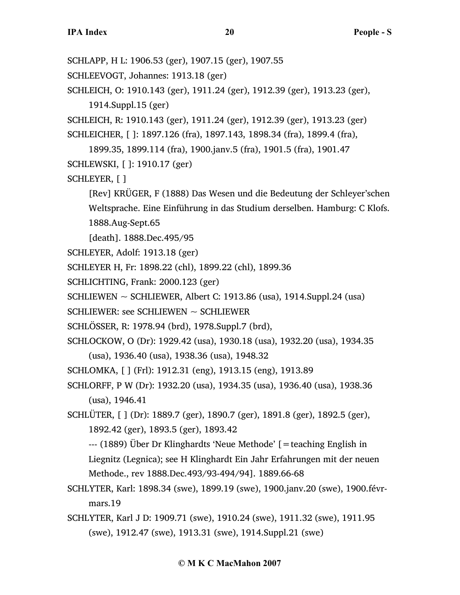SCHLAPP, H L: 1906.53 (ger), 1907.15 (ger), 1907.55

- SCHLEEVOGT, Johannes: 1913.18 (ger)
- SCHLEICH, O: 1910.143 (ger), 1911.24 (ger), 1912.39 (ger), 1913.23 (ger), 1914.Suppl.15 (ger)

```
SCHLEICH, R: 1910.143 (ger), 1911.24 (ger), 1912.39 (ger), 1913.23 (ger)
```

```
SCHLEICHER, [ ]: 1897.126 (fra), 1897.143, 1898.34 (fra), 1899.4 (fra),
```
1899.35, 1899.114 (fra), 1900.janv.5 (fra), 1901.5 (fra), 1901.47

- SCHLEWSKI, [ ]: 1910.17 (ger)
- SCHLEYER, [ ]
	- [Rev] KRÜGER, F (1888) Das Wesen und die Bedeutung der Schleyer'schen Weltsprache. Eine Einführung in das Studium derselben. Hamburg: C Klofs. 1888.Aug-Sept.65
	- [death]. 1888.Dec.495/95
- SCHLEYER, Adolf: 1913.18 (ger)
- SCHLEYER H, Fr: 1898.22 (chl), 1899.22 (chl), 1899.36
- SCHLICHTING, Frank: 2000.123 (ger)
- SCHLIEWEN  $\sim$  SCHLIEWER, Albert C: 1913.86 (usa), 1914.Suppl.24 (usa)
- SCHLIEWER: see SCHLIEWEN  $\sim$  SCHLIEWER
- SCHLÖSSER, R: 1978.94 (brd), 1978.Suppl.7 (brd),
- SCHLOCKOW, O (Dr): 1929.42 (usa), 1930.18 (usa), 1932.20 (usa), 1934.35 (usa), 1936.40 (usa), 1938.36 (usa), 1948.32
- SCHLOMKA, [ ] (Frl): 1912.31 (eng), 1913.15 (eng), 1913.89
- SCHLORFF, P W (Dr): 1932.20 (usa), 1934.35 (usa), 1936.40 (usa), 1938.36 (usa), 1946.41
- SCHLÜTER, [ ] (Dr): 1889.7 (ger), 1890.7 (ger), 1891.8 (ger), 1892.5 (ger), 1892.42 (ger), 1893.5 (ger), 1893.42
	- --- (1889) Über Dr Klinghardts 'Neue Methode' [=teaching English in Liegnitz (Legnica); see H Klinghardt Ein Jahr Erfahrungen mit der neuen Methode., rev 1888.Dec.493/93-494/94]. 1889.66-68
- SCHLYTER, Karl: 1898.34 (swe), 1899.19 (swe), 1900.janv.20 (swe), 1900.févrmars.19
- SCHLYTER, Karl J D: 1909.71 (swe), 1910.24 (swe), 1911.32 (swe), 1911.95 (swe), 1912.47 (swe), 1913.31 (swe), 1914.Suppl.21 (swe)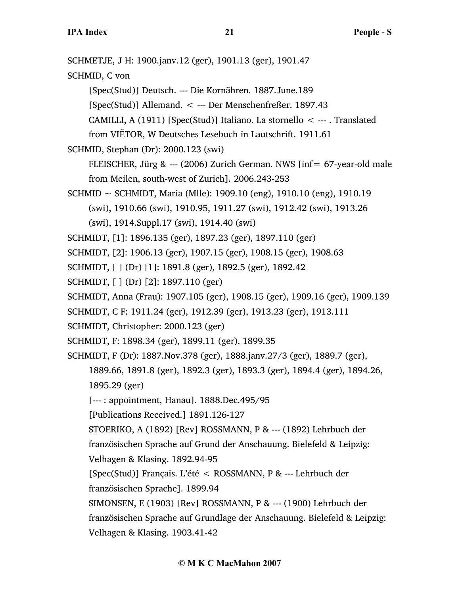| SCHMETJE, J H: 1900.janv.12 (ger), 1901.13 (ger), 1901.47                    |
|------------------------------------------------------------------------------|
| SCHMID, C von                                                                |
| [Spec(Stud)] Deutsch. --- Die Kornähren. 1887. June. 189                     |
| [Spec(Stud)] Allemand. < --- Der Menschenfreßer. 1897.43                     |
| CAMILLI, A (1911) [Spec(Stud)] Italiano. La stornello < --- . Translated     |
| from VIETOR, W Deutsches Lesebuch in Lautschrift. 1911.61                    |
| SCHMID, Stephan (Dr): 2000.123 (swi)                                         |
| FLEISCHER, Jürg & --- (2006) Zurich German. NWS [inf = 67-year-old male      |
| from Meilen, south-west of Zurich]. 2006.243-253                             |
| SCHMID ~ SCHMIDT, Maria (Mlle): 1909.10 (eng), 1910.10 (eng), 1910.19        |
| (swi), 1910.66 (swi), 1910.95, 1911.27 (swi), 1912.42 (swi), 1913.26         |
| (swi), 1914.Suppl.17 (swi), 1914.40 (swi)                                    |
| SCHMIDT, [1]: 1896.135 (ger), 1897.23 (ger), 1897.110 (ger)                  |
| SCHMIDT, [2]: 1906.13 (ger), 1907.15 (ger), 1908.15 (ger), 1908.63           |
| SCHMIDT, [ ] (Dr) [1]: 1891.8 (ger), 1892.5 (ger), 1892.42                   |
| SCHMIDT, [ ] (Dr) [2]: 1897.110 (ger)                                        |
| SCHMIDT, Anna (Frau): 1907.105 (ger), 1908.15 (ger), 1909.16 (ger), 1909.139 |
| SCHMIDT, C F: 1911.24 (ger), 1912.39 (ger), 1913.23 (ger), 1913.111          |
| SCHMIDT, Christopher: 2000.123 (ger)                                         |
| SCHMIDT, F: 1898.34 (ger), 1899.11 (ger), 1899.35                            |
| SCHMIDT, F (Dr): 1887.Nov.378 (ger), 1888.janv.27/3 (ger), 1889.7 (ger),     |
| 1889.66, 1891.8 (ger), 1892.3 (ger), 1893.3 (ger), 1894.4 (ger), 1894.26,    |
| 1895.29 (ger)                                                                |
| [---: appointment, Hanau]. 1888.Dec.495/95                                   |
| [Publications Received.] 1891.126-127                                        |
| STOERIKO, A (1892) [Rev] ROSSMANN, P & --- (1892) Lehrbuch der               |
| französischen Sprache auf Grund der Anschauung. Bielefeld & Leipzig:         |
| Velhagen & Klasing. 1892.94-95                                               |
| [Spec(Stud)] Français. L'été < ROSSMANN, P & --- Lehrbuch der                |
| französischen Sprache]. 1899.94                                              |
| SIMONSEN, E (1903) [Rev] ROSSMANN, P & --- (1900) Lehrbuch der               |
| französischen Sprache auf Grundlage der Anschauung. Bielefeld & Leipzig:     |
| Velhagen & Klasing. 1903.41-42                                               |
|                                                                              |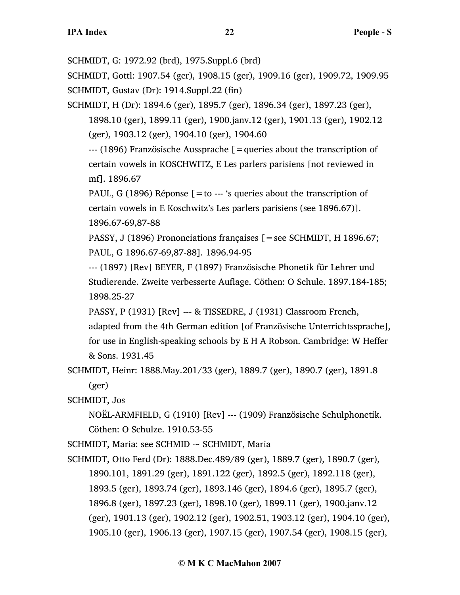SCHMIDT, G: 1972.92 (brd), 1975.Suppl.6 (brd)

SCHMIDT, Gottl: 1907.54 (ger), 1908.15 (ger), 1909.16 (ger), 1909.72, 1909.95 SCHMIDT, Gustav (Dr): 1914.Suppl.22 (fin)

SCHMIDT, H (Dr): 1894.6 (ger), 1895.7 (ger), 1896.34 (ger), 1897.23 (ger),

1898.10 (ger), 1899.11 (ger), 1900.janv.12 (ger), 1901.13 (ger), 1902.12 (ger), 1903.12 (ger), 1904.10 (ger), 1904.60

--- (1896) Französische Aussprache [=queries about the transcription of certain vowels in KOSCHWITZ, E Les parlers parisiens [not reviewed in mf]. 1896.67

PAUL, G (1896) Réponse  $[=$  to --- 's queries about the transcription of certain vowels in E Koschwitz's Les parlers parisiens (see 1896.67)]. 1896.67-69,87-88

PASSY, J (1896) Prononciations françaises [=see SCHMIDT, H 1896.67; PAUL, G 1896.67-69,87-88]. 1896.94-95

--- (1897) [Rev] BEYER, F (1897) Französische Phonetik für Lehrer und Studierende. Zweite verbesserte Auflage. Cöthen: O Schule. 1897.184-185; 1898.25-27

PASSY, P (1931) [Rev] --- & TISSEDRE, J (1931) Classroom French,

adapted from the 4th German edition [of Französische Unterrichtssprache], for use in English-speaking schools by E H A Robson. Cambridge: W Heffer & Sons. 1931.45

SCHMIDT, Heinr: 1888.May.201/33 (ger), 1889.7 (ger), 1890.7 (ger), 1891.8 (ger)

SCHMIDT, Jos

NOËL-ARMFIELD, G (1910) [Rev] --- (1909) Französische Schulphonetik. Cöthen: O Schulze. 1910.53-55

 $SCHMIDT$ , Maria: see  $SCHMID \sim SCHMIDT$ , Maria

SCHMIDT, Otto Ferd (Dr): 1888.Dec.489/89 (ger), 1889.7 (ger), 1890.7 (ger), 1890.101, 1891.29 (ger), 1891.122 (ger), 1892.5 (ger), 1892.118 (ger), 1893.5 (ger), 1893.74 (ger), 1893.146 (ger), 1894.6 (ger), 1895.7 (ger), 1896.8 (ger), 1897.23 (ger), 1898.10 (ger), 1899.11 (ger), 1900.janv.12 (ger), 1901.13 (ger), 1902.12 (ger), 1902.51, 1903.12 (ger), 1904.10 (ger), 1905.10 (ger), 1906.13 (ger), 1907.15 (ger), 1907.54 (ger), 1908.15 (ger),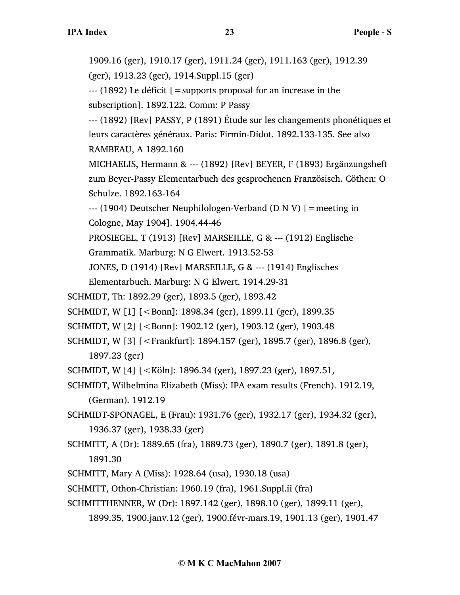1909.16 (ger), 1910.17 (ger), 1911.24 (ger), 1911.163 (ger), 1912.39 (ger), 1913.23 (ger), 1914.Suppl.15 (ger) --- (1892) Le déficit [=supports proposal for an increase in the subscription]. 1892.122. Comm: P Passy --- (1892) [Rev] PASSY, P (1891) Étude sur les changements phonétiques et leurs caractères généraux. Paris: Firmin-Didot. 1892.133-135. See also RAMBEAU, A 1892.160 MICHAELIS, Hermann & --- (1892) [Rev] BEYER, F (1893) Ergänzungsheft zum Beyer-Passy Elementarbuch des gesprochenen Französisch. Cöthen: O Schulze. 1892.163-164 --- (1904) Deutscher Neuphilologen-Verband (D N V) [=meeting in Cologne, May 1904]. 1904.44-46 PROSIEGEL, T (1913) [Rev] MARSEILLE, G & --- (1912) Englische Grammatik. Marburg: N G Elwert. 1913.52-53 JONES, D (1914) [Rev] MARSEILLE, G & --- (1914) Englisches Elementarbuch. Marburg: N G Elwert. 1914.29-31 SCHMIDT, Th: 1892.29 (ger), 1893.5 (ger), 1893.42 SCHMIDT, W [1] [<Bonn]: 1898.34 (ger), 1899.11 (ger), 1899.35 SCHMIDT, W [2] [<Bonn]: 1902.12 (ger), 1903.12 (ger), 1903.48 SCHMIDT, W [3] [<Frankfurt]: 1894.157 (ger), 1895.7 (ger), 1896.8 (ger), 1897.23 (ger) SCHMIDT, W [4] [<Köln]: 1896.34 (ger), 1897.23 (ger), 1897.51, SCHMIDT, Wilhelmina Elizabeth (Miss): IPA exam results (French). 1912.19, (German). 1912.19 SCHMIDT-SPONAGEL, E (Frau): 1931.76 (ger), 1932.17 (ger), 1934.32 (ger), 1936.37 (ger), 1938.33 (ger) SCHMITT, A (Dr): 1889.65 (fra), 1889.73 (ger), 1890.7 (ger), 1891.8 (ger), 1891.30 SCHMITT, Mary A (Miss): 1928.64 (usa), 1930.18 (usa) SCHMITT, Othon-Christian: 1960.19 (fra), 1961.Suppl.ii (fra)

- SCHMITTHENNER, W (Dr): 1897.142 (ger), 1898.10 (ger), 1899.11 (ger),
	- 1899.35, 1900.janv.12 (ger), 1900.févr-mars.19, 1901.13 (ger), 1901.47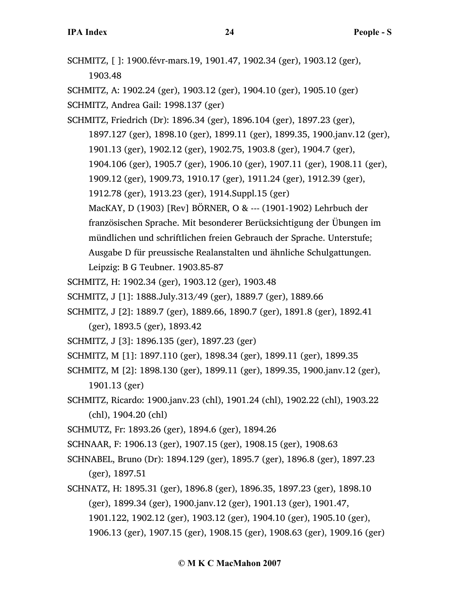SCHMITZ, [ ]: 1900.févr-mars.19, 1901.47, 1902.34 (ger), 1903.12 (ger), 1903.48

SCHMITZ, A: 1902.24 (ger), 1903.12 (ger), 1904.10 (ger), 1905.10 (ger) SCHMITZ, Andrea Gail: 1998.137 (ger)

- SCHMITZ, Friedrich (Dr): 1896.34 (ger), 1896.104 (ger), 1897.23 (ger), 1897.127 (ger), 1898.10 (ger), 1899.11 (ger), 1899.35, 1900.janv.12 (ger), 1901.13 (ger), 1902.12 (ger), 1902.75, 1903.8 (ger), 1904.7 (ger), 1904.106 (ger), 1905.7 (ger), 1906.10 (ger), 1907.11 (ger), 1908.11 (ger), 1909.12 (ger), 1909.73, 1910.17 (ger), 1911.24 (ger), 1912.39 (ger), 1912.78 (ger), 1913.23 (ger), 1914.Suppl.15 (ger) MacKAY, D (1903) [Rev] BÖRNER, O & --- (1901-1902) Lehrbuch der französischen Sprache. Mit besonderer Berücksichtigung der Übungen im mündlichen und schriftlichen freien Gebrauch der Sprache. Unterstufe; Ausgabe D für preussische Realanstalten und ähnliche Schulgattungen. Leipzig: B G Teubner. 1903.85-87
- SCHMITZ, H: 1902.34 (ger), 1903.12 (ger), 1903.48
- SCHMITZ, J [1]: 1888.July.313/49 (ger), 1889.7 (ger), 1889.66
- SCHMITZ, J [2]: 1889.7 (ger), 1889.66, 1890.7 (ger), 1891.8 (ger), 1892.41
	- (ger), 1893.5 (ger), 1893.42
- SCHMITZ, J [3]: 1896.135 (ger), 1897.23 (ger)
- SCHMITZ, M [1]: 1897.110 (ger), 1898.34 (ger), 1899.11 (ger), 1899.35
- SCHMITZ, M [2]: 1898.130 (ger), 1899.11 (ger), 1899.35, 1900.janv.12 (ger), 1901.13 (ger)
- SCHMITZ, Ricardo: 1900.janv.23 (chl), 1901.24 (chl), 1902.22 (chl), 1903.22 (chl), 1904.20 (chl)
- SCHMUTZ, Fr: 1893.26 (ger), 1894.6 (ger), 1894.26
- SCHNAAR, F: 1906.13 (ger), 1907.15 (ger), 1908.15 (ger), 1908.63
- SCHNABEL, Bruno (Dr): 1894.129 (ger), 1895.7 (ger), 1896.8 (ger), 1897.23 (ger), 1897.51
- SCHNATZ, H: 1895.31 (ger), 1896.8 (ger), 1896.35, 1897.23 (ger), 1898.10 (ger), 1899.34 (ger), 1900.janv.12 (ger), 1901.13 (ger), 1901.47, 1901.122, 1902.12 (ger), 1903.12 (ger), 1904.10 (ger), 1905.10 (ger), 1906.13 (ger), 1907.15 (ger), 1908.15 (ger), 1908.63 (ger), 1909.16 (ger)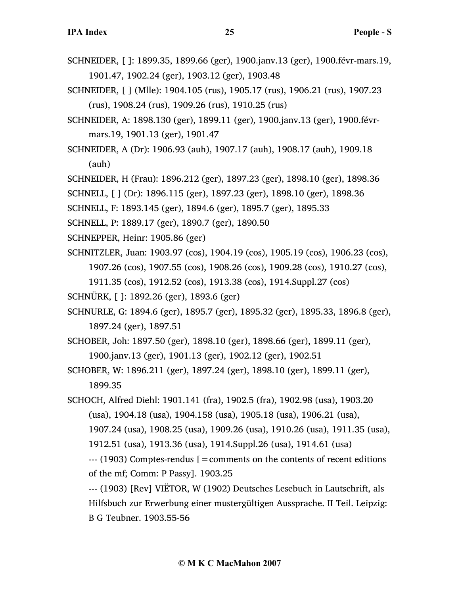- SCHNEIDER, [ ]: 1899.35, 1899.66 (ger), 1900.janv.13 (ger), 1900.févr-mars.19, 1901.47, 1902.24 (ger), 1903.12 (ger), 1903.48
- SCHNEIDER, [ ] (Mlle): 1904.105 (rus), 1905.17 (rus), 1906.21 (rus), 1907.23 (rus), 1908.24 (rus), 1909.26 (rus), 1910.25 (rus)
- SCHNEIDER, A: 1898.130 (ger), 1899.11 (ger), 1900.janv.13 (ger), 1900.févrmars.19, 1901.13 (ger), 1901.47
- SCHNEIDER, A (Dr): 1906.93 (auh), 1907.17 (auh), 1908.17 (auh), 1909.18 (auh)
- SCHNEIDER, H (Frau): 1896.212 (ger), 1897.23 (ger), 1898.10 (ger), 1898.36
- SCHNELL, [ ] (Dr): 1896.115 (ger), 1897.23 (ger), 1898.10 (ger), 1898.36
- SCHNELL, F: 1893.145 (ger), 1894.6 (ger), 1895.7 (ger), 1895.33
- SCHNELL, P: 1889.17 (ger), 1890.7 (ger), 1890.50
- SCHNEPPER, Heinr: 1905.86 (ger)
- SCHNITZLER, Juan: 1903.97 (cos), 1904.19 (cos), 1905.19 (cos), 1906.23 (cos), 1907.26 (cos), 1907.55 (cos), 1908.26 (cos), 1909.28 (cos), 1910.27 (cos), 1911.35 (cos), 1912.52 (cos), 1913.38 (cos), 1914.Suppl.27 (cos)
- SCHNÜRK, [ ]: 1892.26 (ger), 1893.6 (ger)
- SCHNURLE, G: 1894.6 (ger), 1895.7 (ger), 1895.32 (ger), 1895.33, 1896.8 (ger), 1897.24 (ger), 1897.51
- SCHOBER, Joh: 1897.50 (ger), 1898.10 (ger), 1898.66 (ger), 1899.11 (ger), 1900.janv.13 (ger), 1901.13 (ger), 1902.12 (ger), 1902.51
- SCHOBER, W: 1896.211 (ger), 1897.24 (ger), 1898.10 (ger), 1899.11 (ger), 1899.35
- SCHOCH, Alfred Diehl: 1901.141 (fra), 1902.5 (fra), 1902.98 (usa), 1903.20 (usa), 1904.18 (usa), 1904.158 (usa), 1905.18 (usa), 1906.21 (usa),
	- 1907.24 (usa), 1908.25 (usa), 1909.26 (usa), 1910.26 (usa), 1911.35 (usa),
	- 1912.51 (usa), 1913.36 (usa), 1914.Suppl.26 (usa), 1914.61 (usa)

 $-$ -- $(1903)$  Comptes-rendus  $\beta$  = comments on the contents of recent editions of the mf; Comm: P Passy]. 1903.25

--- (1903) [Rev] VIËTOR, W (1902) Deutsches Lesebuch in Lautschrift, als Hilfsbuch zur Erwerbung einer mustergültigen Aussprache. II Teil. Leipzig: B G Teubner. 1903.55-56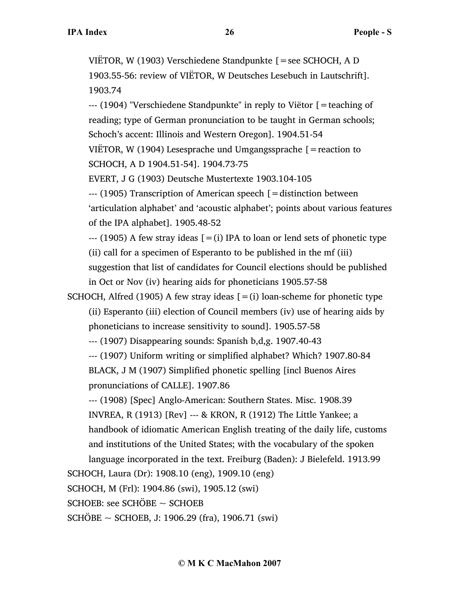VIËTOR, W (1903) Verschiedene Standpunkte [=see SCHOCH, A D 1903.55-56: review of VIËTOR, W Deutsches Lesebuch in Lautschrift]. 1903.74

--- (1904) "Verschiedene Standpunkte" in reply to Viëtor [=teaching of reading; type of German pronunciation to be taught in German schools; Schoch's accent: Illinois and Western Oregon]. 1904.51-54

VIËTOR, W (1904) Lesesprache und Umgangssprache  $[$  = reaction to SCHOCH, A D 1904.51-54]. 1904.73-75

EVERT, J G (1903) Deutsche Mustertexte 1903.104-105

--- (1905) Transcription of American speech [=distinction between 'articulation alphabet' and 'acoustic alphabet'; points about various features of the IPA alphabet]. 1905.48-52

 $-$ -- (1905) A few stray ideas  $[=(i)]$  IPA to loan or lend sets of phonetic type (ii) call for a specimen of Esperanto to be published in the mf (iii)

suggestion that list of candidates for Council elections should be published in Oct or Nov (iv) hearing aids for phoneticians 1905.57-58

SCHOCH, Alfred (1905) A few stray ideas  $[=(i)]$  loan-scheme for phonetic type (ii) Esperanto (iii) election of Council members (iv) use of hearing aids by phoneticians to increase sensitivity to sound]. 1905.57-58

--- (1907) Disappearing sounds: Spanish b,d,g. 1907.40-43

--- (1907) Uniform writing or simplified alphabet? Which? 1907.80-84 BLACK, J M (1907) Simplified phonetic spelling [incl Buenos Aires pronunciations of CALLE]. 1907.86

--- (1908) [Spec] Anglo-American: Southern States. Misc. 1908.39 INVREA, R (1913) [Rev] --- & KRON, R (1912) The Little Yankee; a handbook of idiomatic American English treating of the daily life, customs and institutions of the United States; with the vocabulary of the spoken language incorporated in the text. Freiburg (Baden): J Bielefeld. 1913.99

SCHOCH, Laura (Dr): 1908.10 (eng), 1909.10 (eng)

SCHOCH, M (Frl): 1904.86 (swi), 1905.12 (swi)

SCHOEB: see SCHÖBE ~ SCHOEB

SCHÖBE ~ SCHOEB, J: 1906.29 (fra), 1906.71 (swi)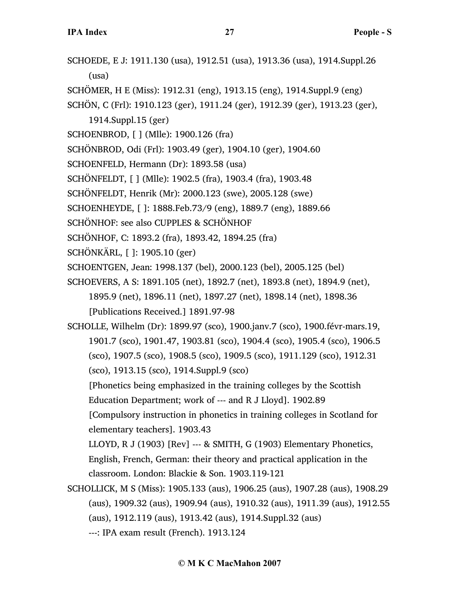- SCHOEDE, E J: 1911.130 (usa), 1912.51 (usa), 1913.36 (usa), 1914.Suppl.26 (usa)
- SCHÖMER, H E (Miss): 1912.31 (eng), 1913.15 (eng), 1914.Suppl.9 (eng)
- SCHÖN, C (Frl): 1910.123 (ger), 1911.24 (ger), 1912.39 (ger), 1913.23 (ger),
	- 1914.Suppl.15 (ger)
- SCHOENBROD, [ ] (Mlle): 1900.126 (fra)
- SCHÖNBROD, Odi (Frl): 1903.49 (ger), 1904.10 (ger), 1904.60
- SCHOENFELD, Hermann (Dr): 1893.58 (usa)
- SCHÖNFELDT, [ ] (Mlle): 1902.5 (fra), 1903.4 (fra), 1903.48
- SCHÖNFELDT, Henrik (Mr): 2000.123 (swe), 2005.128 (swe)
- SCHOENHEYDE, [ ]: 1888.Feb.73/9 (eng), 1889.7 (eng), 1889.66
- SCHÖNHOF: see also CUPPLES & SCHÖNHOF
- SCHÖNHOF, C: 1893.2 (fra), 1893.42, 1894.25 (fra)
- SCHÖNKÄRL, [ ]: 1905.10 (ger)
- SCHOENTGEN, Jean: 1998.137 (bel), 2000.123 (bel), 2005.125 (bel)
- SCHOEVERS, A S: 1891.105 (net), 1892.7 (net), 1893.8 (net), 1894.9 (net), 1895.9 (net), 1896.11 (net), 1897.27 (net), 1898.14 (net), 1898.36 [Publications Received.] 1891.97-98
- SCHOLLE, Wilhelm (Dr): 1899.97 (sco), 1900.janv.7 (sco), 1900.févr-mars.19, 1901.7 (sco), 1901.47, 1903.81 (sco), 1904.4 (sco), 1905.4 (sco), 1906.5 (sco), 1907.5 (sco), 1908.5 (sco), 1909.5 (sco), 1911.129 (sco), 1912.31 (sco), 1913.15 (sco), 1914.Suppl.9 (sco)
	- [Phonetics being emphasized in the training colleges by the Scottish Education Department; work of --- and R J Lloyd]. 1902.89
	- [Compulsory instruction in phonetics in training colleges in Scotland for elementary teachers]. 1903.43
	- LLOYD, R J (1903) [Rev] --- & SMITH, G (1903) Elementary Phonetics, English, French, German: their theory and practical application in the classroom. London: Blackie & Son. 1903.119-121
- SCHOLLICK, M S (Miss): 1905.133 (aus), 1906.25 (aus), 1907.28 (aus), 1908.29 (aus), 1909.32 (aus), 1909.94 (aus), 1910.32 (aus), 1911.39 (aus), 1912.55 (aus), 1912.119 (aus), 1913.42 (aus), 1914.Suppl.32 (aus) ---: IPA exam result (French). 1913.124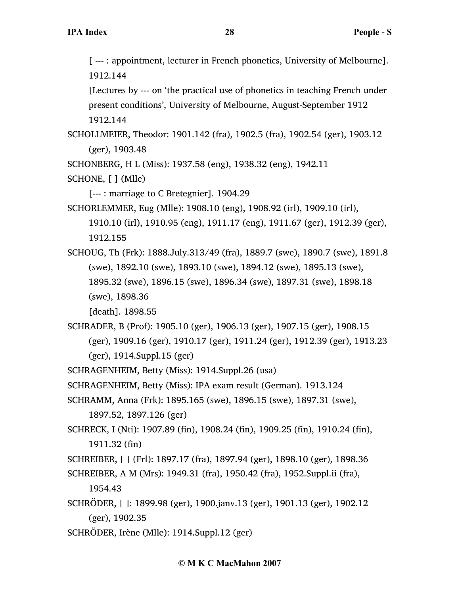[ --- : appointment, lecturer in French phonetics, University of Melbourne]. 1912.144

[Lectures by --- on 'the practical use of phonetics in teaching French under present conditions', University of Melbourne, August-September 1912 1912.144

SCHOLLMEIER, Theodor: 1901.142 (fra), 1902.5 (fra), 1902.54 (ger), 1903.12 (ger), 1903.48

SCHONBERG, H L (Miss): 1937.58 (eng), 1938.32 (eng), 1942.11

SCHONE, [ ] (Mlle)

[--- : marriage to C Bretegnier]. 1904.29

SCHORLEMMER, Eug (Mlle): 1908.10 (eng), 1908.92 (irl), 1909.10 (irl),

1910.10 (irl), 1910.95 (eng), 1911.17 (eng), 1911.67 (ger), 1912.39 (ger), 1912.155

SCHOUG, Th (Frk): 1888.July.313/49 (fra), 1889.7 (swe), 1890.7 (swe), 1891.8 (swe), 1892.10 (swe), 1893.10 (swe), 1894.12 (swe), 1895.13 (swe), 1895.32 (swe), 1896.15 (swe), 1896.34 (swe), 1897.31 (swe), 1898.18 (swe), 1898.36

[death]. 1898.55

SCHRADER, B (Prof): 1905.10 (ger), 1906.13 (ger), 1907.15 (ger), 1908.15 (ger), 1909.16 (ger), 1910.17 (ger), 1911.24 (ger), 1912.39 (ger), 1913.23 (ger), 1914.Suppl.15 (ger)

SCHRAGENHEIM, Betty (Miss): 1914.Suppl.26 (usa)

SCHRAGENHEIM, Betty (Miss): IPA exam result (German). 1913.124

- SCHRAMM, Anna (Frk): 1895.165 (swe), 1896.15 (swe), 1897.31 (swe), 1897.52, 1897.126 (ger)
- SCHRECK, I (Nti): 1907.89 (fin), 1908.24 (fin), 1909.25 (fin), 1910.24 (fin), 1911.32 (fin)

SCHREIBER, [ ] (Frl): 1897.17 (fra), 1897.94 (ger), 1898.10 (ger), 1898.36

- SCHREIBER, A M (Mrs): 1949.31 (fra), 1950.42 (fra), 1952.Suppl.ii (fra), 1954.43
- SCHRÖDER, [ ]: 1899.98 (ger), 1900.janv.13 (ger), 1901.13 (ger), 1902.12 (ger), 1902.35
- SCHRÖDER, Irène (Mlle): 1914.Suppl.12 (ger)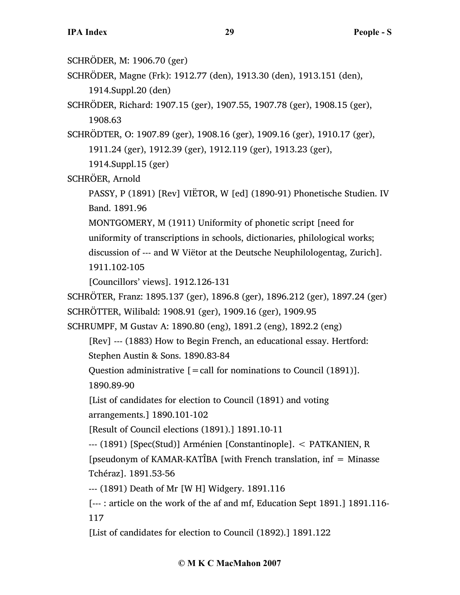SCHRÖDER, M: 1906.70 (ger)

SCHRÖDER, Magne (Frk): 1912.77 (den), 1913.30 (den), 1913.151 (den), 1914.Suppl.20 (den)

SCHRÖDER, Richard: 1907.15 (ger), 1907.55, 1907.78 (ger), 1908.15 (ger), 1908.63

SCHRÖDTER, O: 1907.89 (ger), 1908.16 (ger), 1909.16 (ger), 1910.17 (ger), 1911.24 (ger), 1912.39 (ger), 1912.119 (ger), 1913.23 (ger),

1914.Suppl.15 (ger)

SCHRÖER, Arnold

PASSY, P (1891) [Rev] VIËTOR, W [ed] (1890-91) Phonetische Studien. IV Band. 1891.96

MONTGOMERY, M (1911) Uniformity of phonetic script [need for uniformity of transcriptions in schools, dictionaries, philological works; discussion of --- and W Viëtor at the Deutsche Neuphilologentag, Zurich]. 1911.102-105

[Councillors' views]. 1912.126-131

SCHRÖTER, Franz: 1895.137 (ger), 1896.8 (ger), 1896.212 (ger), 1897.24 (ger) SCHRÖTTER, Wilibald: 1908.91 (ger), 1909.16 (ger), 1909.95

SCHRUMPF, M Gustav A: 1890.80 (eng), 1891.2 (eng), 1892.2 (eng)

[Rev] --- (1883) How to Begin French, an educational essay. Hertford: Stephen Austin & Sons. 1890.83-84

Question administrative  $[=$  call for nominations to Council (1891)].

1890.89-90

[List of candidates for election to Council (1891) and voting arrangements.] 1890.101-102

[Result of Council elections (1891).] 1891.10-11

--- (1891) [Spec(Stud)] Arménien [Constantinople]. < PATKANIEN, R

[pseudonym of KAMAR-KATÎBA [with French translation,  $inf = Minasse$ Tchéraz]. 1891.53-56

--- (1891) Death of Mr [W H] Widgery. 1891.116

[--- : article on the work of the af and mf, Education Sept 1891.] 1891.116- 117

[List of candidates for election to Council (1892).] 1891.122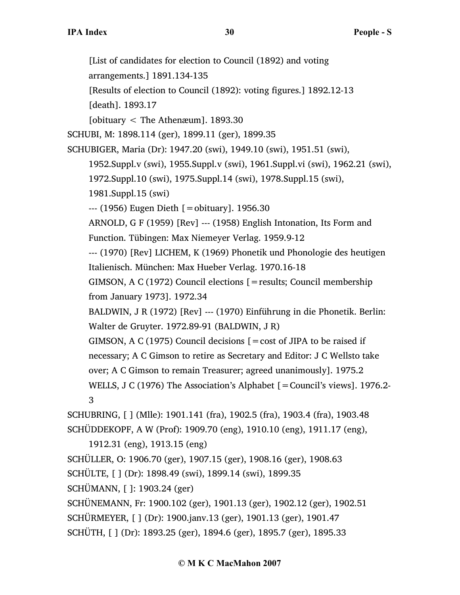[List of candidates for election to Council (1892) and voting arrangements.] 1891.134-135 [Results of election to Council (1892): voting figures.] 1892.12-13 [death]. 1893.17 [obituary < The Athenæum]. 1893.30 SCHUBI, M: 1898.114 (ger), 1899.11 (ger), 1899.35 SCHUBIGER, Maria (Dr): 1947.20 (swi), 1949.10 (swi), 1951.51 (swi), 1952.Suppl.v (swi), 1955.Suppl.v (swi), 1961.Suppl.vi (swi), 1962.21 (swi), 1972.Suppl.10 (swi), 1975.Suppl.14 (swi), 1978.Suppl.15 (swi), 1981.Suppl.15 (swi)  $-$ -- $(1956)$  Eugen Dieth  $[$  = obituary]. 1956.30 ARNOLD, G F (1959) [Rev] --- (1958) English Intonation, Its Form and Function. Tübingen: Max Niemeyer Verlag. 1959.9-12 --- (1970) [Rev] LICHEM, K (1969) Phonetik und Phonologie des heutigen Italienisch. München: Max Hueber Verlag. 1970.16-18 GIMSON, A C (1972) Council elections [=results; Council membership from January 1973]. 1972.34 BALDWIN, J R (1972) [Rev] --- (1970) Einführung in die Phonetik. Berlin: Walter de Gruyter. 1972.89-91 (BALDWIN, J R) GIMSON, A C (1975) Council decisions  $[ = \text{cost of JIPA to be raised if}]$ necessary; A C Gimson to retire as Secretary and Editor: J C Wellsto take over; A C Gimson to remain Treasurer; agreed unanimously]. 1975.2 WELLS, J C (1976) The Association's Alphabet [ = Council's views]. 1976.2-3 SCHUBRING, [ ] (Mlle): 1901.141 (fra), 1902.5 (fra), 1903.4 (fra), 1903.48 SCHÜDDEKOPF, A W (Prof): 1909.70 (eng), 1910.10 (eng), 1911.17 (eng), 1912.31 (eng), 1913.15 (eng) SCHÜLLER, O: 1906.70 (ger), 1907.15 (ger), 1908.16 (ger), 1908.63 SCHÜLTE, [ ] (Dr): 1898.49 (swi), 1899.14 (swi), 1899.35 SCHÜMANN, [ ]: 1903.24 (ger) SCHÜNEMANN, Fr: 1900.102 (ger), 1901.13 (ger), 1902.12 (ger), 1902.51 SCHÜRMEYER, [ ] (Dr): 1900.janv.13 (ger), 1901.13 (ger), 1901.47 SCHÜTH, [ ] (Dr): 1893.25 (ger), 1894.6 (ger), 1895.7 (ger), 1895.33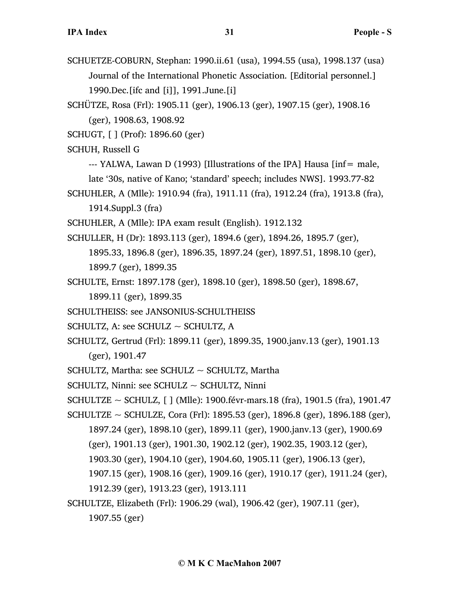- SCHUETZE-COBURN, Stephan: 1990.ii.61 (usa), 1994.55 (usa), 1998.137 (usa) Journal of the International Phonetic Association. [Editorial personnel.] 1990.Dec.[ifc and [i]], 1991.June.[i]
- SCHÜTZE, Rosa (Frl): 1905.11 (ger), 1906.13 (ger), 1907.15 (ger), 1908.16 (ger), 1908.63, 1908.92

SCHUGT, [ ] (Prof): 1896.60 (ger)

SCHUH, Russell G

- --- YALWA, Lawan D (1993) [Illustrations of the IPA] Hausa [inf= male,
- late '30s, native of Kano; 'standard' speech; includes NWS]. 1993.77-82
- SCHUHLER, A (Mlle): 1910.94 (fra), 1911.11 (fra), 1912.24 (fra), 1913.8 (fra), 1914.Suppl.3 (fra)
- SCHUHLER, A (Mlle): IPA exam result (English). 1912.132
- SCHULLER, H (Dr): 1893.113 (ger), 1894.6 (ger), 1894.26, 1895.7 (ger), 1895.33, 1896.8 (ger), 1896.35, 1897.24 (ger), 1897.51, 1898.10 (ger),
	- 1899.7 (ger), 1899.35
- SCHULTE, Ernst: 1897.178 (ger), 1898.10 (ger), 1898.50 (ger), 1898.67,

1899.11 (ger), 1899.35

- SCHULTHEISS: see JANSONIUS-SCHULTHEISS
- SCHULTZ, A: see SCHULZ ~ SCHULTZ, A
- SCHULTZ, Gertrud (Frl): 1899.11 (ger), 1899.35, 1900.janv.13 (ger), 1901.13 (ger), 1901.47
- $SCHULTZ$ , Martha: see  $SCHULZ \sim SCHULTZ$ , Martha
- SCHULTZ, Ninni: see SCHULZ  $\sim$  SCHULTZ, Ninni
- SCHULTZE  $\sim$  SCHULZ, [ ] (Mlle): 1900.févr-mars.18 (fra), 1901.5 (fra), 1901.47
- SCHULTZE ~ SCHULZE, Cora (Frl): 1895.53 (ger), 1896.8 (ger), 1896.188 (ger),
	- 1897.24 (ger), 1898.10 (ger), 1899.11 (ger), 1900.janv.13 (ger), 1900.69 (ger), 1901.13 (ger), 1901.30, 1902.12 (ger), 1902.35, 1903.12 (ger),
	- 1903.30 (ger), 1904.10 (ger), 1904.60, 1905.11 (ger), 1906.13 (ger),
	- 1907.15 (ger), 1908.16 (ger), 1909.16 (ger), 1910.17 (ger), 1911.24 (ger),
	- 1912.39 (ger), 1913.23 (ger), 1913.111
- SCHULTZE, Elizabeth (Frl): 1906.29 (wal), 1906.42 (ger), 1907.11 (ger),

1907.55 (ger)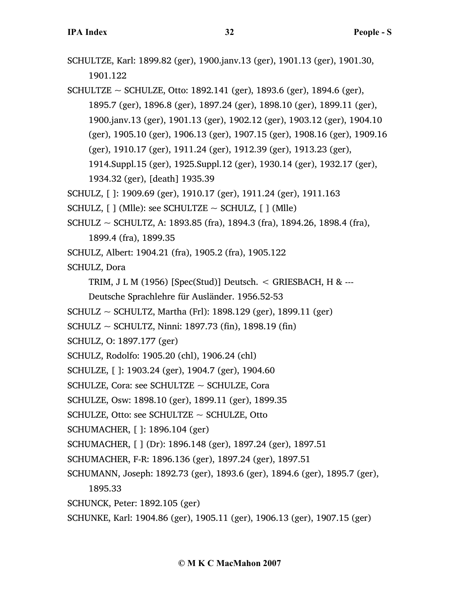```
SCHULTZE, Karl: 1899.82 (ger), 1900.janv.13 (ger), 1901.13 (ger), 1901.30, 
1901.122
```
SCHULTZE ~ SCHULZE, Otto: 1892.141 (ger), 1893.6 (ger), 1894.6 (ger), 1895.7 (ger), 1896.8 (ger), 1897.24 (ger), 1898.10 (ger), 1899.11 (ger), 1900.janv.13 (ger), 1901.13 (ger), 1902.12 (ger), 1903.12 (ger), 1904.10 (ger), 1905.10 (ger), 1906.13 (ger), 1907.15 (ger), 1908.16 (ger), 1909.16 (ger), 1910.17 (ger), 1911.24 (ger), 1912.39 (ger), 1913.23 (ger), 1914.Suppl.15 (ger), 1925.Suppl.12 (ger), 1930.14 (ger), 1932.17 (ger), 1934.32 (ger), [death] 1935.39

SCHULZ, [ ]: 1909.69 (ger), 1910.17 (ger), 1911.24 (ger), 1911.163

- SCHULZ,  $[ ]$  (Mlle): see SCHULTZE  $\sim$  SCHULZ,  $[ ]$  (Mlle)
- SCHULZ ~ SCHULTZ, A: 1893.85 (fra), 1894.3 (fra), 1894.26, 1898.4 (fra),

1899.4 (fra), 1899.35

SCHULZ, Albert: 1904.21 (fra), 1905.2 (fra), 1905.122

SCHULZ, Dora

TRIM, J L M  $(1956)$  [Spec(Stud)] Deutsch. < GRIESBACH, H & ---

Deutsche Sprachlehre für Ausländer. 1956.52-53

- SCHULZ ~ SCHULTZ, Martha (Frl): 1898.129 (ger), 1899.11 (ger)
- $SCHULZ \sim SCHULTZ$ , Ninni: 1897.73 (fin), 1898.19 (fin)
- SCHULZ, O: 1897.177 (ger)
- SCHULZ, Rodolfo: 1905.20 (chl), 1906.24 (chl)
- SCHULZE, [ ]: 1903.24 (ger), 1904.7 (ger), 1904.60

SCHULZE, Cora: see SCHULTZE  $\sim$  SCHULZE, Cora

SCHULZE, Osw: 1898.10 (ger), 1899.11 (ger), 1899.35

```
SCHULZE, Otto: see SCHULTZE \sim SCHULZE, Otto
```
SCHUMACHER, [ ]: 1896.104 (ger)

SCHUMACHER, [ ] (Dr): 1896.148 (ger), 1897.24 (ger), 1897.51

- SCHUMACHER, F-R: 1896.136 (ger), 1897.24 (ger), 1897.51
- SCHUMANN, Joseph: 1892.73 (ger), 1893.6 (ger), 1894.6 (ger), 1895.7 (ger),
	- 1895.33

SCHUNCK, Peter: 1892.105 (ger)

SCHUNKE, Karl: 1904.86 (ger), 1905.11 (ger), 1906.13 (ger), 1907.15 (ger)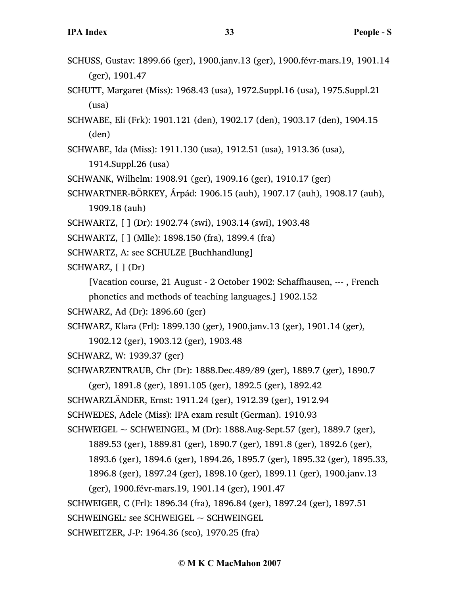- SCHUSS, Gustav: 1899.66 (ger), 1900.janv.13 (ger), 1900.févr-mars.19, 1901.14 (ger), 1901.47
- SCHUTT, Margaret (Miss): 1968.43 (usa), 1972.Suppl.16 (usa), 1975.Suppl.21 (usa)
- SCHWABE, Eli (Frk): 1901.121 (den), 1902.17 (den), 1903.17 (den), 1904.15 (den)
- SCHWABE, Ida (Miss): 1911.130 (usa), 1912.51 (usa), 1913.36 (usa),
	- 1914.Suppl.26 (usa)
- SCHWANK, Wilhelm: 1908.91 (ger), 1909.16 (ger), 1910.17 (ger)
- SCHWARTNER-BÖRKEY, Árpád: 1906.15 (auh), 1907.17 (auh), 1908.17 (auh), 1909.18 (auh)
- SCHWARTZ, [ ] (Dr): 1902.74 (swi), 1903.14 (swi), 1903.48
- SCHWARTZ, [ ] (Mlle): 1898.150 (fra), 1899.4 (fra)
- SCHWARTZ, A: see SCHULZE [Buchhandlung]
- SCHWARZ, [ ] (Dr)
	- [Vacation course, 21 August 2 October 1902: Schaffhausen, --- , French phonetics and methods of teaching languages.] 1902.152
- SCHWARZ, Ad (Dr): 1896.60 (ger)
- SCHWARZ, Klara (Frl): 1899.130 (ger), 1900.janv.13 (ger), 1901.14 (ger),
	- 1902.12 (ger), 1903.12 (ger), 1903.48
- SCHWARZ, W: 1939.37 (ger)
- SCHWARZENTRAUB, Chr (Dr): 1888.Dec.489/89 (ger), 1889.7 (ger), 1890.7
	- (ger), 1891.8 (ger), 1891.105 (ger), 1892.5 (ger), 1892.42
- SCHWARZLÄNDER, Ernst: 1911.24 (ger), 1912.39 (ger), 1912.94
- SCHWEDES, Adele (Miss): IPA exam result (German). 1910.93
- SCHWEIGEL ~ SCHWEINGEL, M (Dr):  $1888$ . Aug-Sept. 57 (ger),  $1889.7$  (ger),
	- 1889.53 (ger), 1889.81 (ger), 1890.7 (ger), 1891.8 (ger), 1892.6 (ger),
	- 1893.6 (ger), 1894.6 (ger), 1894.26, 1895.7 (ger), 1895.32 (ger), 1895.33,
	- 1896.8 (ger), 1897.24 (ger), 1898.10 (ger), 1899.11 (ger), 1900.janv.13
	- (ger), 1900.févr-mars.19, 1901.14 (ger), 1901.47
- SCHWEIGER, C (Frl): 1896.34 (fra), 1896.84 (ger), 1897.24 (ger), 1897.51
- SCHWEINGEL: see SCHWEIGEL ~ SCHWEINGEL
- SCHWEITZER, J-P: 1964.36 (sco), 1970.25 (fra)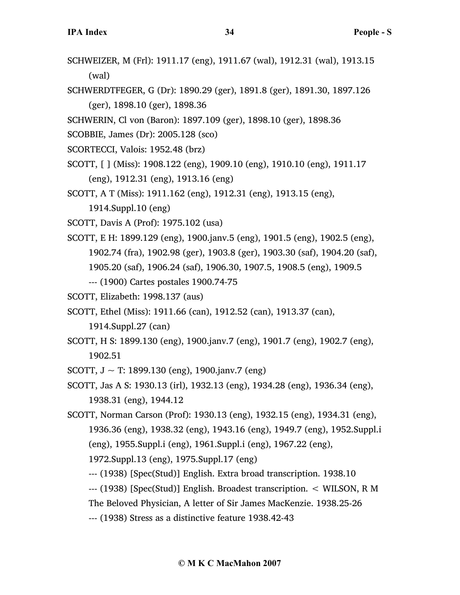- SCHWEIZER, M (Frl): 1911.17 (eng), 1911.67 (wal), 1912.31 (wal), 1913.15 (wal)
- SCHWERDTFEGER, G (Dr): 1890.29 (ger), 1891.8 (ger), 1891.30, 1897.126 (ger), 1898.10 (ger), 1898.36

SCHWERIN, Cl von (Baron): 1897.109 (ger), 1898.10 (ger), 1898.36

SCOBBIE, James (Dr): 2005.128 (sco)

- SCORTECCI, Valois: 1952.48 (brz)
- SCOTT, [ ] (Miss): 1908.122 (eng), 1909.10 (eng), 1910.10 (eng), 1911.17 (eng), 1912.31 (eng), 1913.16 (eng)

SCOTT, A T (Miss): 1911.162 (eng), 1912.31 (eng), 1913.15 (eng),

1914.Suppl.10 (eng)

SCOTT, Davis A (Prof): 1975.102 (usa)

SCOTT, E H: 1899.129 (eng), 1900.janv.5 (eng), 1901.5 (eng), 1902.5 (eng), 1902.74 (fra), 1902.98 (ger), 1903.8 (ger), 1903.30 (saf), 1904.20 (saf), 1905.20 (saf), 1906.24 (saf), 1906.30, 1907.5, 1908.5 (eng), 1909.5

--- (1900) Cartes postales 1900.74-75

SCOTT, Elizabeth: 1998.137 (aus)

SCOTT, Ethel (Miss): 1911.66 (can), 1912.52 (can), 1913.37 (can),

1914.Suppl.27 (can)

SCOTT, H S: 1899.130 (eng), 1900.janv.7 (eng), 1901.7 (eng), 1902.7 (eng), 1902.51

SCOTT,  $J \sim T$ : 1899.130 (eng), 1900.janv.7 (eng)

SCOTT, Jas A S: 1930.13 (irl), 1932.13 (eng), 1934.28 (eng), 1936.34 (eng), 1938.31 (eng), 1944.12

SCOTT, Norman Carson (Prof): 1930.13 (eng), 1932.15 (eng), 1934.31 (eng), 1936.36 (eng), 1938.32 (eng), 1943.16 (eng), 1949.7 (eng), 1952.Suppl.i (eng), 1955.Suppl.i (eng), 1961.Suppl.i (eng), 1967.22 (eng), 1972.Suppl.13 (eng), 1975.Suppl.17 (eng)

--- (1938) [Spec(Stud)] English. Extra broad transcription. 1938.10

--- (1938) [Spec(Stud)] English. Broadest transcription. < WILSON, R M

The Beloved Physician, A letter of Sir James MacKenzie. 1938.25-26

--- (1938) Stress as a distinctive feature 1938.42-43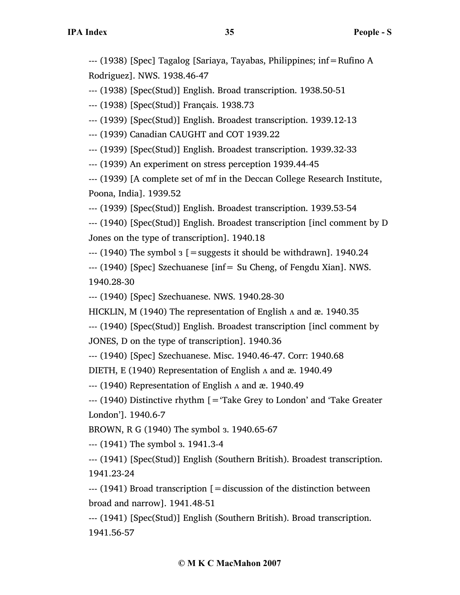--- (1938) [Spec] Tagalog [Sariaya, Tayabas, Philippines; inf=Rufino A Rodriguez]. NWS. 1938.46-47

--- (1938) [Spec(Stud)] English. Broad transcription. 1938.50-51

--- (1938) [Spec(Stud)] Français. 1938.73

--- (1939) [Spec(Stud)] English. Broadest transcription. 1939.12-13

--- (1939) Canadian CAUGHT and COT 1939.22

--- (1939) [Spec(Stud)] English. Broadest transcription. 1939.32-33

--- (1939) An experiment on stress perception 1939.44-45

--- (1939) [A complete set of mf in the Deccan College Research Institute, Poona, India]. 1939.52

--- (1939) [Spec(Stud)] English. Broadest transcription. 1939.53-54

--- (1940) [Spec(Stud)] English. Broadest transcription [incl comment by D Jones on the type of transcription]. 1940.18

 $-$ --- (1940) The symbol  $3$  [ = suggests it should be withdrawn]. 1940.24

--- (1940) [Spec] Szechuanese [inf= Su Cheng, of Fengdu Xian]. NWS. 1940.28-30

--- (1940) [Spec] Szechuanese. NWS. 1940.28-30

HICKLIN, M (1940) The representation of English  $\Lambda$  and æ. 1940.35

--- (1940) [Spec(Stud)] English. Broadest transcription [incl comment by

JONES, D on the type of transcription]. 1940.36

--- (1940) [Spec] Szechuanese. Misc. 1940.46-47. Corr: 1940.68

DIETH, E (1940) Representation of English  $\Lambda$  and æ. 1940.49

--- (1940) Representation of English ʌ and æ. 1940.49

 $-$ -- (1940) Distinctive rhythm [ $=$  Take Grey to London' and 'Take Greater London']. 1940.6-7

BROWN, R G (1940) The symbol ɜ. 1940.65-67

--- (1941) The symbol ɜ. 1941.3-4

--- (1941) [Spec(Stud)] English (Southern British). Broadest transcription. 1941.23-24

--- (1941) Broad transcription [=discussion of the distinction between broad and narrow]. 1941.48-51

--- (1941) [Spec(Stud)] English (Southern British). Broad transcription. 1941.56-57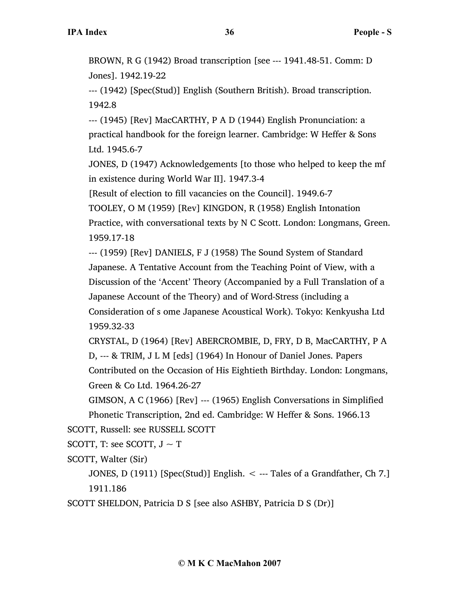BROWN, R G (1942) Broad transcription [see --- 1941.48-51. Comm: D Jones]. 1942.19-22

--- (1942) [Spec(Stud)] English (Southern British). Broad transcription. 1942.8

--- (1945) [Rev] MacCARTHY, P A D (1944) English Pronunciation: a practical handbook for the foreign learner. Cambridge: W Heffer & Sons Ltd. 1945.6-7

JONES, D (1947) Acknowledgements [to those who helped to keep the mf in existence during World War II]. 1947.3-4

[Result of election to fill vacancies on the Council]. 1949.6-7

TOOLEY, O M (1959) [Rev] KINGDON, R (1958) English Intonation Practice, with conversational texts by N C Scott. London: Longmans, Green. 1959.17-18

--- (1959) [Rev] DANIELS, F J (1958) The Sound System of Standard Japanese. A Tentative Account from the Teaching Point of View, with a Discussion of the 'Accent' Theory (Accompanied by a Full Translation of a Japanese Account of the Theory) and of Word-Stress (including a Consideration of s ome Japanese Acoustical Work). Tokyo: Kenkyusha Ltd 1959.32-33

CRYSTAL, D (1964) [Rev] ABERCROMBIE, D, FRY, D B, MacCARTHY, P A D, --- & TRIM, J L M [eds] (1964) In Honour of Daniel Jones. Papers Contributed on the Occasion of His Eightieth Birthday. London: Longmans, Green & Co Ltd. 1964.26-27

GIMSON, A C (1966) [Rev] --- (1965) English Conversations in Simplified Phonetic Transcription, 2nd ed. Cambridge: W Heffer & Sons. 1966.13

SCOTT, Russell: see RUSSELL SCOTT

SCOTT, T: see SCOTT,  $J \sim T$ 

SCOTT, Walter (Sir)

JONES, D (1911) [Spec(Stud)] English. < --- Tales of a Grandfather, Ch 7.] 1911.186

SCOTT SHELDON, Patricia D S [see also ASHBY, Patricia D S (Dr)]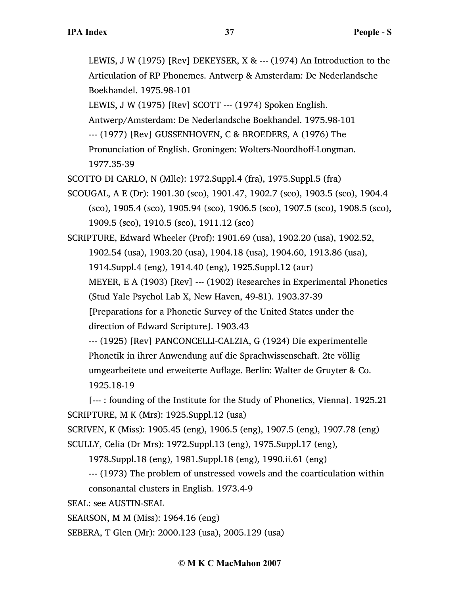LEWIS, J W (1975) [Rev] DEKEYSER, X &  $--$  (1974) An Introduction to the Articulation of RP Phonemes. Antwerp & Amsterdam: De Nederlandsche Boekhandel. 1975.98-101

LEWIS, J W (1975) [Rev] SCOTT --- (1974) Spoken English.

Antwerp/Amsterdam: De Nederlandsche Boekhandel. 1975.98-101

--- (1977) [Rev] GUSSENHOVEN, C & BROEDERS, A (1976) The

Pronunciation of English. Groningen: Wolters-Noordhoff-Longman. 1977.35-39

SCOTTO DI CARLO, N (Mlle): 1972.Suppl.4 (fra), 1975.Suppl.5 (fra)

SCOUGAL, A E (Dr): 1901.30 (sco), 1901.47, 1902.7 (sco), 1903.5 (sco), 1904.4 (sco), 1905.4 (sco), 1905.94 (sco), 1906.5 (sco), 1907.5 (sco), 1908.5 (sco), 1909.5 (sco), 1910.5 (sco), 1911.12 (sco)

SCRIPTURE, Edward Wheeler (Prof): 1901.69 (usa), 1902.20 (usa), 1902.52, 1902.54 (usa), 1903.20 (usa), 1904.18 (usa), 1904.60, 1913.86 (usa), 1914.Suppl.4 (eng), 1914.40 (eng), 1925.Suppl.12 (aur) MEYER, E A (1903) [Rev] --- (1902) Researches in Experimental Phonetics (Stud Yale Psychol Lab X, New Haven, 49-81). 1903.37-39 [Preparations for a Phonetic Survey of the United States under the direction of Edward Scripture]. 1903.43 --- (1925) [Rev] PANCONCELLI-CALZIA, G (1924) Die experimentelle

Phonetik in ihrer Anwendung auf die Sprachwissenschaft. 2te völlig umgearbeitete und erweiterte Auflage. Berlin: Walter de Gruyter & Co. 1925.18-19

[--- : founding of the Institute for the Study of Phonetics, Vienna]. 1925.21 SCRIPTURE, M K (Mrs): 1925.Suppl.12 (usa)

SCRIVEN, K (Miss): 1905.45 (eng), 1906.5 (eng), 1907.5 (eng), 1907.78 (eng) SCULLY, Celia (Dr Mrs): 1972.Suppl.13 (eng), 1975.Suppl.17 (eng),

1978.Suppl.18 (eng), 1981.Suppl.18 (eng), 1990.ii.61 (eng)

--- (1973) The problem of unstressed vowels and the coarticulation within consonantal clusters in English. 1973.4-9

SEAL: see AUSTIN-SEAL

SEARSON, M M (Miss): 1964.16 (eng)

SEBERA, T Glen (Mr): 2000.123 (usa), 2005.129 (usa)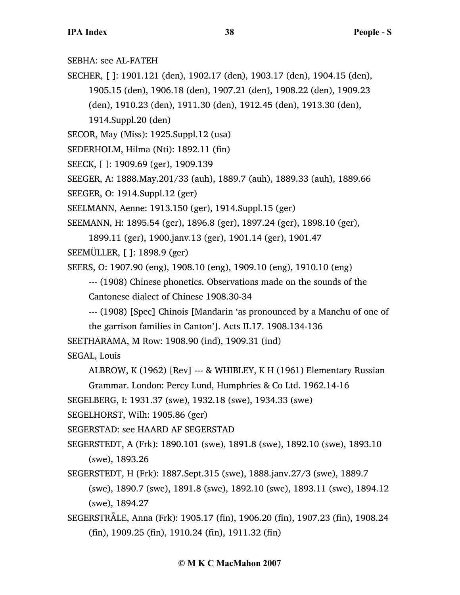SEBHA: see AL-FATEH

SECHER, [ ]: 1901.121 (den), 1902.17 (den), 1903.17 (den), 1904.15 (den), 1905.15 (den), 1906.18 (den), 1907.21 (den), 1908.22 (den), 1909.23 (den), 1910.23 (den), 1911.30 (den), 1912.45 (den), 1913.30 (den), 1914.Suppl.20 (den)

SECOR, May (Miss): 1925.Suppl.12 (usa)

SEDERHOLM, Hilma (Nti): 1892.11 (fin)

SEECK, [ ]: 1909.69 (ger), 1909.139

SEEGER, A: 1888.May.201/33 (auh), 1889.7 (auh), 1889.33 (auh), 1889.66

SEEGER, O: 1914.Suppl.12 (ger)

SEELMANN, Aenne: 1913.150 (ger), 1914.Suppl.15 (ger)

SEEMANN, H: 1895.54 (ger), 1896.8 (ger), 1897.24 (ger), 1898.10 (ger),

1899.11 (ger), 1900.janv.13 (ger), 1901.14 (ger), 1901.47

SEEMÜLLER, [ ]: 1898.9 (ger)

SEERS, O: 1907.90 (eng), 1908.10 (eng), 1909.10 (eng), 1910.10 (eng)

--- (1908) Chinese phonetics. Observations made on the sounds of the Cantonese dialect of Chinese 1908.30-34

--- (1908) [Spec] Chinois [Mandarin 'as pronounced by a Manchu of one of

the garrison families in Canton']. Acts II.17. 1908.134-136

SEETHARAMA, M Row: 1908.90 (ind), 1909.31 (ind)

SEGAL, Louis

ALBROW, K (1962) [Rev] --- & WHIBLEY, K H (1961) Elementary Russian

Grammar. London: Percy Lund, Humphries & Co Ltd. 1962.14-16

SEGELBERG, I: 1931.37 (swe), 1932.18 (swe), 1934.33 (swe)

SEGELHORST, Wilh: 1905.86 (ger)

SEGERSTAD: see HAARD AF SEGERSTAD

SEGERSTEDT, A (Frk): 1890.101 (swe), 1891.8 (swe), 1892.10 (swe), 1893.10 (swe), 1893.26

- SEGERSTEDT, H (Frk): 1887.Sept.315 (swe), 1888.janv.27/3 (swe), 1889.7 (swe), 1890.7 (swe), 1891.8 (swe), 1892.10 (swe), 1893.11 (swe), 1894.12 (swe), 1894.27
- SEGERSTRÅLE, Anna (Frk): 1905.17 (fin), 1906.20 (fin), 1907.23 (fin), 1908.24 (fin), 1909.25 (fin), 1910.24 (fin), 1911.32 (fin)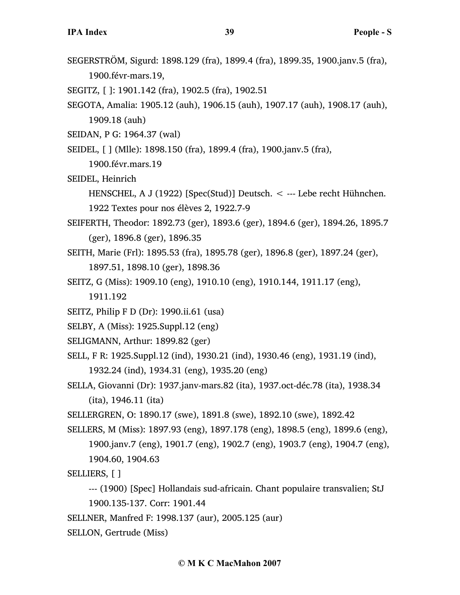- SEGERSTRÖM, Sigurd: 1898.129 (fra), 1899.4 (fra), 1899.35, 1900.janv.5 (fra), 1900.févr-mars.19,
- SEGITZ, [ ]: 1901.142 (fra), 1902.5 (fra), 1902.51
- SEGOTA, Amalia: 1905.12 (auh), 1906.15 (auh), 1907.17 (auh), 1908.17 (auh), 1909.18 (auh)
- SEIDAN, P G: 1964.37 (wal)
- SEIDEL, [ ] (Mlle): 1898.150 (fra), 1899.4 (fra), 1900.janv.5 (fra),

1900.févr.mars.19

SEIDEL, Heinrich

HENSCHEL, A J (1922) [Spec(Stud)] Deutsch. < --- Lebe recht Hühnchen. 1922 Textes pour nos élèves 2, 1922.7-9

- SEIFERTH, Theodor: 1892.73 (ger), 1893.6 (ger), 1894.6 (ger), 1894.26, 1895.7 (ger), 1896.8 (ger), 1896.35
- SEITH, Marie (Frl): 1895.53 (fra), 1895.78 (ger), 1896.8 (ger), 1897.24 (ger), 1897.51, 1898.10 (ger), 1898.36
- SEITZ, G (Miss): 1909.10 (eng), 1910.10 (eng), 1910.144, 1911.17 (eng),

1911.192

- SEITZ, Philip F D (Dr): 1990.ii.61 (usa)
- SELBY, A (Miss): 1925.Suppl.12 (eng)
- SELIGMANN, Arthur: 1899.82 (ger)
- SELL, F R: 1925.Suppl.12 (ind), 1930.21 (ind), 1930.46 (eng), 1931.19 (ind), 1932.24 (ind), 1934.31 (eng), 1935.20 (eng)
- SELLA, Giovanni (Dr): 1937.janv-mars.82 (ita), 1937.oct-déc.78 (ita), 1938.34 (ita), 1946.11 (ita)
- SELLERGREN, O: 1890.17 (swe), 1891.8 (swe), 1892.10 (swe), 1892.42
- SELLERS, M (Miss): 1897.93 (eng), 1897.178 (eng), 1898.5 (eng), 1899.6 (eng), 1900.janv.7 (eng), 1901.7 (eng), 1902.7 (eng), 1903.7 (eng), 1904.7 (eng), 1904.60, 1904.63
- SELLIERS, [ ]
	- --- (1900) [Spec] Hollandais sud-africain. Chant populaire transvalien; StJ 1900.135-137. Corr: 1901.44
- SELLNER, Manfred F: 1998.137 (aur), 2005.125 (aur)
- SELLON, Gertrude (Miss)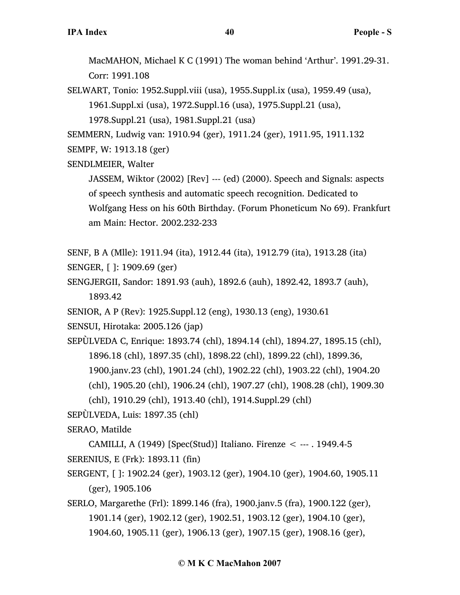MacMAHON, Michael K C (1991) The woman behind 'Arthur'. 1991.29-31. Corr: 1991.108

SELWART, Tonio: 1952.Suppl.viii (usa), 1955.Suppl.ix (usa), 1959.49 (usa), 1961.Suppl.xi (usa), 1972.Suppl.16 (usa), 1975.Suppl.21 (usa),

1978.Suppl.21 (usa), 1981.Suppl.21 (usa)

SEMMERN, Ludwig van: 1910.94 (ger), 1911.24 (ger), 1911.95, 1911.132

SEMPF, W: 1913.18 (ger)

SENDLMEIER, Walter

JASSEM, Wiktor (2002) [Rev] --- (ed) (2000). Speech and Signals: aspects of speech synthesis and automatic speech recognition. Dedicated to Wolfgang Hess on his 60th Birthday. (Forum Phoneticum No 69). Frankfurt am Main: Hector. 2002.232-233

SENF, B A (Mlle): 1911.94 (ita), 1912.44 (ita), 1912.79 (ita), 1913.28 (ita)

```
SENGER, [ ]: 1909.69 (ger)
```
SENGJERGII, Sandor: 1891.93 (auh), 1892.6 (auh), 1892.42, 1893.7 (auh), 1893.42

SENIOR, A P (Rev): 1925.Suppl.12 (eng), 1930.13 (eng), 1930.61

SENSUI, Hirotaka: 2005.126 (jap)

SEPÙLVEDA C, Enrique: 1893.74 (chl), 1894.14 (chl), 1894.27, 1895.15 (chl), 1896.18 (chl), 1897.35 (chl), 1898.22 (chl), 1899.22 (chl), 1899.36, 1900.janv.23 (chl), 1901.24 (chl), 1902.22 (chl), 1903.22 (chl), 1904.20 (chl), 1905.20 (chl), 1906.24 (chl), 1907.27 (chl), 1908.28 (chl), 1909.30

(chl), 1910.29 (chl), 1913.40 (chl), 1914.Suppl.29 (chl)

SEPÙLVEDA, Luis: 1897.35 (chl)

SERAO, Matilde

CAMILLI, A (1949) [Spec(Stud)] Italiano. Firenze < --- . 1949.4-5 SERENIUS, E (Frk): 1893.11 (fin)

- SERGENT, [ ]: 1902.24 (ger), 1903.12 (ger), 1904.10 (ger), 1904.60, 1905.11 (ger), 1905.106
- SERLO, Margarethe (Frl): 1899.146 (fra), 1900.janv.5 (fra), 1900.122 (ger), 1901.14 (ger), 1902.12 (ger), 1902.51, 1903.12 (ger), 1904.10 (ger), 1904.60, 1905.11 (ger), 1906.13 (ger), 1907.15 (ger), 1908.16 (ger),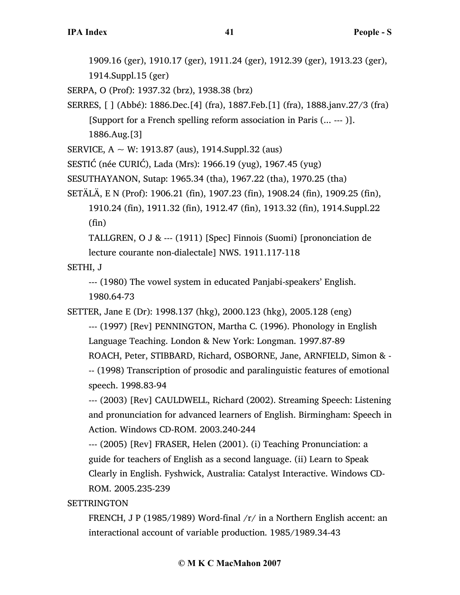1909.16 (ger), 1910.17 (ger), 1911.24 (ger), 1912.39 (ger), 1913.23 (ger),

1914.Suppl.15 (ger)

SERPA, O (Prof): 1937.32 (brz), 1938.38 (brz)

SERRES, [ ] (Abbé): 1886.Dec.[4] (fra), 1887.Feb.[1] (fra), 1888.janv.27/3 (fra) [Support for a French spelling reform association in Paris (... --- )].

1886.Aug.[3]

SERVICE,  $A \sim W$ : 1913.87 (aus), 1914. Suppl. 32 (aus)

SESTIĆ (née CURIĆ), Lada (Mrs): 1966.19 (yug), 1967.45 (yug)

SESUTHAYANON, Sutap: 1965.34 (tha), 1967.22 (tha), 1970.25 (tha)

SETÄLÄ, E N (Prof): 1906.21 (fin), 1907.23 (fin), 1908.24 (fin), 1909.25 (fin),

1910.24 (fin), 1911.32 (fin), 1912.47 (fin), 1913.32 (fin), 1914.Suppl.22 (fin)

TALLGREN, O J & --- (1911) [Spec] Finnois (Suomi) [prononciation de lecture courante non-dialectale] NWS. 1911.117-118

SETHI, J

--- (1980) The vowel system in educated Panjabi-speakers' English. 1980.64-73

SETTER, Jane E (Dr): 1998.137 (hkg), 2000.123 (hkg), 2005.128 (eng)

--- (1997) [Rev] PENNINGTON, Martha C. (1996). Phonology in English Language Teaching. London & New York: Longman. 1997.87-89 ROACH, Peter, STIBBARD, Richard, OSBORNE, Jane, ARNFIELD, Simon & - -- (1998) Transcription of prosodic and paralinguistic features of emotional speech. 1998.83-94

--- (2003) [Rev] CAULDWELL, Richard (2002). Streaming Speech: Listening and pronunciation for advanced learners of English. Birmingham: Speech in Action. Windows CD-ROM. 2003.240-244

--- (2005) [Rev] FRASER, Helen (2001). (i) Teaching Pronunciation: a guide for teachers of English as a second language. (ii) Learn to Speak Clearly in English. Fyshwick, Australia: Catalyst Interactive. Windows CD-ROM. 2005.235-239

**SETTRINGTON** 

FRENCH, J P (1985/1989) Word-final /r/ in a Northern English accent: an interactional account of variable production. 1985/1989.34-43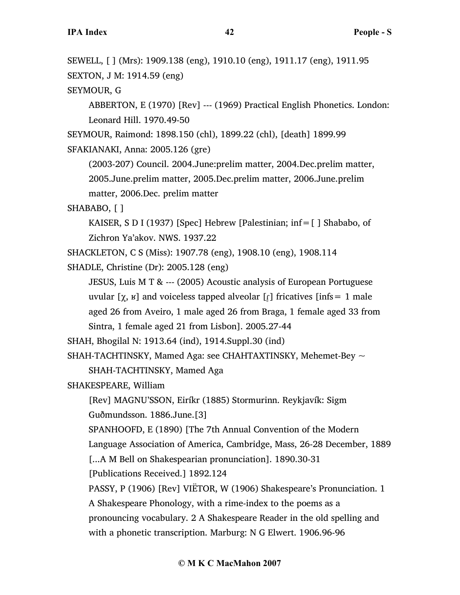SEWELL, [ ] (Mrs): 1909.138 (eng), 1910.10 (eng), 1911.17 (eng), 1911.95 SEXTON, J M: 1914.59 (eng)

SEYMOUR, G

ABBERTON, E (1970) [Rev] --- (1969) Practical English Phonetics. London: Leonard Hill. 1970.49-50

SEYMOUR, Raimond: 1898.150 (chl), 1899.22 (chl), [death] 1899.99 SFAKIANAKI, Anna: 2005.126 (gre)

(2003-207) Council. 2004.June:prelim matter, 2004.Dec.prelim matter, 2005.June.prelim matter, 2005.Dec.prelim matter, 2006.June.prelim matter, 2006.Dec. prelim matter

SHABABO, [ ]

KAISER, S D I (1937) [Spec] Hebrew [Palestinian; inf=[ ] Shababo, of Zichron Ya'akov. NWS. 1937.22

SHACKLETON, C S (Miss): 1907.78 (eng), 1908.10 (eng), 1908.114

SHADLE, Christine (Dr): 2005.128 (eng)

JESUS, Luis M T & --- (2005) Acoustic analysis of European Portuguese uvular [ $\chi$ ,  $\kappa$ ] and voiceless tapped alveolar [ $\chi$ ] fricatives [infs = 1 male aged 26 from Aveiro, 1 male aged 26 from Braga, 1 female aged 33 from Sintra, 1 female aged 21 from Lisbon]. 2005.27-44

SHAH, Bhogilal N: 1913.64 (ind), 1914.Suppl.30 (ind)

SHAH-TACHTINSKY, Mamed Aga: see CHAHTAXTINSKY, Mehemet-Bey  $\sim$ SHAH-TACHTINSKY, Mamed Aga

SHAKESPEARE, William

[Rev] MAGNU'SSON, Eiríkr (1885) Stormurinn. Reykjavík: Sigm Guðmundsson. 1886.June.[3]

SPANHOOFD, E (1890) [The 7th Annual Convention of the Modern

Language Association of America, Cambridge, Mass, 26-28 December, 1889

[...A M Bell on Shakespearian pronunciation]. 1890.30-31

[Publications Received.] 1892.124

PASSY, P (1906) [Rev] VIËTOR, W (1906) Shakespeare's Pronunciation. 1

A Shakespeare Phonology, with a rime-index to the poems as a

pronouncing vocabulary. 2 A Shakespeare Reader in the old spelling and with a phonetic transcription. Marburg: N G Elwert. 1906.96-96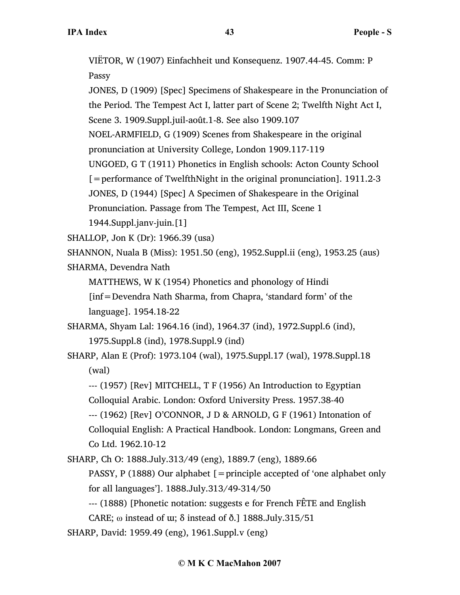VIËTOR, W (1907) Einfachheit und Konsequenz. 1907.44-45. Comm: P Passy

JONES, D (1909) [Spec] Specimens of Shakespeare in the Pronunciation of the Period. The Tempest Act I, latter part of Scene 2; Twelfth Night Act I, Scene 3. 1909.Suppl.juil-août.1-8. See also 1909.107 NOEL-ARMFIELD, G (1909) Scenes from Shakespeare in the original pronunciation at University College, London 1909.117-119 UNGOED, G T (1911) Phonetics in English schools: Acton County School  $[$  = performance of TwelfthNight in the original pronunciation]. 1911.2-3 JONES, D (1944) [Spec] A Specimen of Shakespeare in the Original Pronunciation. Passage from The Tempest, Act III, Scene 1 1944.Suppl.janv-juin.[1]

SHALLOP, Jon K (Dr): 1966.39 (usa)

SHANNON, Nuala B (Miss): 1951.50 (eng), 1952.Suppl.ii (eng), 1953.25 (aus)

SHARMA, Devendra Nath

MATTHEWS, W K (1954) Phonetics and phonology of Hindi

[inf=Devendra Nath Sharma, from Chapra, 'standard form' of the language]. 1954.18-22

SHARMA, Shyam Lal: 1964.16 (ind), 1964.37 (ind), 1972.Suppl.6 (ind), 1975.Suppl.8 (ind), 1978.Suppl.9 (ind)

SHARP, Alan E (Prof): 1973.104 (wal), 1975.Suppl.17 (wal), 1978.Suppl.18 (wal)

--- (1957) [Rev] MITCHELL, T F (1956) An Introduction to Egyptian Colloquial Arabic. London: Oxford University Press. 1957.38-40

--- (1962) [Rev] O'CONNOR, J D & ARNOLD, G F (1961) Intonation of Colloquial English: A Practical Handbook. London: Longmans, Green and Co Ltd. 1962.10-12

SHARP, Ch O: 1888.July.313/49 (eng), 1889.7 (eng), 1889.66

PASSY, P (1888) Our alphabet  $[$  = principle accepted of 'one alphabet only for all languages']. 1888.July.313/49-314/50

--- (1888) [Phonetic notation: suggests e for French FÊTE and English

CARE;  $\omega$  instead of  $\omega$ ;  $\delta$  instead of  $\delta$ .] 1888.July.315/51

SHARP, David: 1959.49 (eng), 1961.Suppl.v (eng)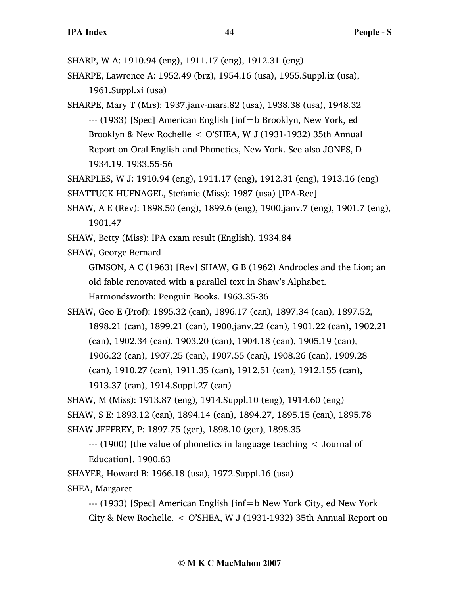SHARP, W A: 1910.94 (eng), 1911.17 (eng), 1912.31 (eng)

SHARPE, Lawrence A: 1952.49 (brz), 1954.16 (usa), 1955.Suppl.ix (usa), 1961.Suppl.xi (usa)

SHARPE, Mary T (Mrs): 1937.janv-mars.82 (usa), 1938.38 (usa), 1948.32 --- (1933) [Spec] American English [inf=b Brooklyn, New York, ed Brooklyn & New Rochelle < O'SHEA, W J (1931-1932) 35th Annual Report on Oral English and Phonetics, New York. See also JONES, D 1934.19. 1933.55-56

SHARPLES, W J: 1910.94 (eng), 1911.17 (eng), 1912.31 (eng), 1913.16 (eng)

SHATTUCK HUFNAGEL, Stefanie (Miss): 1987 (usa) [IPA-Rec]

- SHAW, A E (Rev): 1898.50 (eng), 1899.6 (eng), 1900.janv.7 (eng), 1901.7 (eng), 1901.47
- SHAW, Betty (Miss): IPA exam result (English). 1934.84
- SHAW, George Bernard

GIMSON, A C (1963) [Rev] SHAW, G B (1962) Androcles and the Lion; an old fable renovated with a parallel text in Shaw's Alphabet.

Harmondsworth: Penguin Books. 1963.35-36

SHAW, Geo E (Prof): 1895.32 (can), 1896.17 (can), 1897.34 (can), 1897.52, 1898.21 (can), 1899.21 (can), 1900.janv.22 (can), 1901.22 (can), 1902.21 (can), 1902.34 (can), 1903.20 (can), 1904.18 (can), 1905.19 (can), 1906.22 (can), 1907.25 (can), 1907.55 (can), 1908.26 (can), 1909.28 (can), 1910.27 (can), 1911.35 (can), 1912.51 (can), 1912.155 (can), 1913.37 (can), 1914.Suppl.27 (can)

SHAW, M (Miss): 1913.87 (eng), 1914.Suppl.10 (eng), 1914.60 (eng) SHAW, S E: 1893.12 (can), 1894.14 (can), 1894.27, 1895.15 (can), 1895.78 SHAW JEFFREY, P: 1897.75 (ger), 1898.10 (ger), 1898.35

--- (1900) [the value of phonetics in language teaching < Journal of Education]. 1900.63

SHAYER, Howard B: 1966.18 (usa), 1972.Suppl.16 (usa)

SHEA, Margaret

--- (1933) [Spec] American English [inf=b New York City, ed New York City & New Rochelle. < O'SHEA, W J (1931-1932) 35th Annual Report on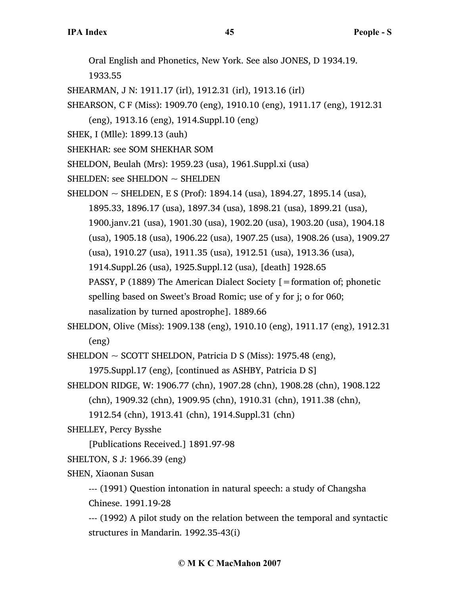Oral English and Phonetics, New York. See also JONES, D 1934.19.

1933.55

SHEARMAN, J N: 1911.17 (irl), 1912.31 (irl), 1913.16 (irl)

SHEARSON, C F (Miss): 1909.70 (eng), 1910.10 (eng), 1911.17 (eng), 1912.31

(eng), 1913.16 (eng), 1914.Suppl.10 (eng)

- SHEK, I (Mlle): 1899.13 (auh)
- SHEKHAR: see SOM SHEKHAR SOM

SHELDON, Beulah (Mrs): 1959.23 (usa), 1961.Suppl.xi (usa)

SHELDEN: see SHELDON  $\sim$  SHELDEN

SHELDON  $\sim$  SHELDEN, E S (Prof): 1894.14 (usa), 1894.27, 1895.14 (usa), 1895.33, 1896.17 (usa), 1897.34 (usa), 1898.21 (usa), 1899.21 (usa), 1900.janv.21 (usa), 1901.30 (usa), 1902.20 (usa), 1903.20 (usa), 1904.18 (usa), 1905.18 (usa), 1906.22 (usa), 1907.25 (usa), 1908.26 (usa), 1909.27 (usa), 1910.27 (usa), 1911.35 (usa), 1912.51 (usa), 1913.36 (usa), 1914.Suppl.26 (usa), 1925.Suppl.12 (usa), [death] 1928.65 PASSY, P (1889) The American Dialect Society  $\mathcal{F}$  = formation of; phonetic spelling based on Sweet's Broad Romic; use of y for j; o for 060; nasalization by turned apostrophe]. 1889.66

SHELDON, Olive (Miss): 1909.138 (eng), 1910.10 (eng), 1911.17 (eng), 1912.31 (eng)

SHELDON  $\sim$  SCOTT SHELDON, Patricia D S (Miss): 1975.48 (eng),

1975.Suppl.17 (eng), [continued as ASHBY, Patricia D S]

SHELDON RIDGE, W: 1906.77 (chn), 1907.28 (chn), 1908.28 (chn), 1908.122 (chn), 1909.32 (chn), 1909.95 (chn), 1910.31 (chn), 1911.38 (chn),

```
1912.54 (chn), 1913.41 (chn), 1914.Suppl.31 (chn)
```
SHELLEY, Percy Bysshe

[Publications Received.] 1891.97-98

SHELTON, S J: 1966.39 (eng)

SHEN, Xiaonan Susan

--- (1991) Question intonation in natural speech: a study of Changsha Chinese. 1991.19-28

--- (1992) A pilot study on the relation between the temporal and syntactic structures in Mandarin. 1992.35-43(i)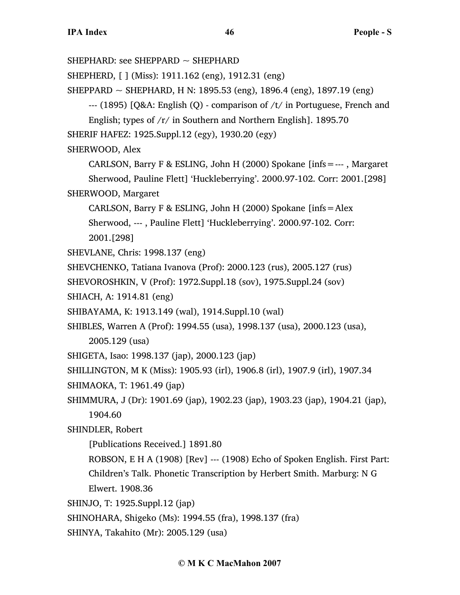SHEPHARD: see SHEPPARD  $\sim$  SHEPHARD

SHEPHERD, [ ] (Miss): 1911.162 (eng), 1912.31 (eng)

SHEPPARD ~ SHEPHARD, H N: 1895.53 (eng), 1896.4 (eng), 1897.19 (eng)

--- (1895) [Q&A: English (Q) - comparison of /t/ in Portuguese, French and

English; types of /r/ in Southern and Northern English]. 1895.70

SHERIF HAFEZ: 1925.Suppl.12 (egy), 1930.20 (egy)

SHERWOOD, Alex

CARLSON, Barry F & ESLING, John H (2000) Spokane [infs=--- , Margaret Sherwood, Pauline Flett] 'Huckleberrying'. 2000.97-102. Corr: 2001.[298] SHERWOOD, Margaret

CARLSON, Barry F & ESLING, John H (2000) Spokane [infs=Alex Sherwood, --- , Pauline Flett] 'Huckleberrying'. 2000.97-102. Corr: 2001.[298]

SHEVLANE, Chris: 1998.137 (eng)

SHEVCHENKO, Tatiana Ivanova (Prof): 2000.123 (rus), 2005.127 (rus)

SHEVOROSHKIN, V (Prof): 1972.Suppl.18 (sov), 1975.Suppl.24 (sov)

SHIACH, A: 1914.81 (eng)

SHIBAYAMA, K: 1913.149 (wal), 1914.Suppl.10 (wal)

SHIBLES, Warren A (Prof): 1994.55 (usa), 1998.137 (usa), 2000.123 (usa), 2005.129 (usa)

SHIGETA, Isao: 1998.137 (jap), 2000.123 (jap)

SHILLINGTON, M K (Miss): 1905.93 (irl), 1906.8 (irl), 1907.9 (irl), 1907.34

SHIMAOKA, T: 1961.49 (jap)

SHIMMURA, J (Dr): 1901.69 (jap), 1902.23 (jap), 1903.23 (jap), 1904.21 (jap), 1904.60

SHINDLER, Robert

[Publications Received.] 1891.80

ROBSON, E H A (1908) [Rev] --- (1908) Echo of Spoken English. First Part: Children's Talk. Phonetic Transcription by Herbert Smith. Marburg: N G Elwert. 1908.36

SHINJO, T: 1925.Suppl.12 (jap)

SHINOHARA, Shigeko (Ms): 1994.55 (fra), 1998.137 (fra)

SHINYA, Takahito (Mr): 2005.129 (usa)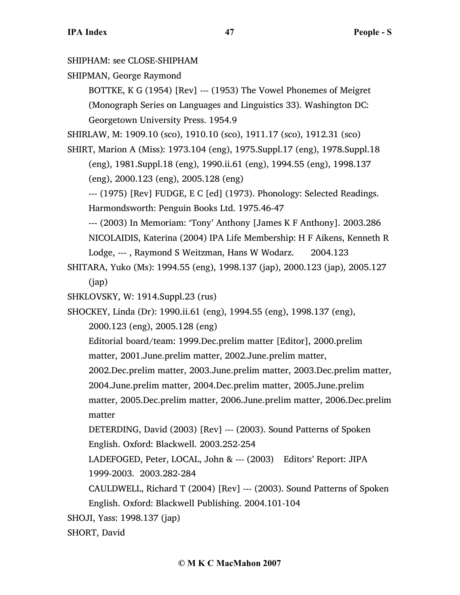SHIPHAM: see CLOSE-SHIPHAM

SHIPMAN, George Raymond

BOTTKE, K G (1954) [Rev] --- (1953) The Vowel Phonemes of Meigret (Monograph Series on Languages and Linguistics 33). Washington DC: Georgetown University Press. 1954.9

SHIRLAW, M: 1909.10 (sco), 1910.10 (sco), 1911.17 (sco), 1912.31 (sco)

SHIRT, Marion A (Miss): 1973.104 (eng), 1975.Suppl.17 (eng), 1978.Suppl.18 (eng), 1981.Suppl.18 (eng), 1990.ii.61 (eng), 1994.55 (eng), 1998.137 (eng), 2000.123 (eng), 2005.128 (eng)

--- (1975) [Rev] FUDGE, E C [ed] (1973). Phonology: Selected Readings. Harmondsworth: Penguin Books Ltd. 1975.46-47

--- (2003) In Memoriam: 'Tony' Anthony [James K F Anthony]. 2003.286 NICOLAIDIS, Katerina (2004) IPA Life Membership: H F Aikens, Kenneth R Lodge, --- , Raymond S Weitzman, Hans W Wodarz. 2004.123

SHITARA, Yuko (Ms): 1994.55 (eng), 1998.137 (jap), 2000.123 (jap), 2005.127 (jap)

SHKLOVSKY, W: 1914.Suppl.23 (rus)

SHOCKEY, Linda (Dr): 1990.ii.61 (eng), 1994.55 (eng), 1998.137 (eng),

2000.123 (eng), 2005.128 (eng)

Editorial board/team: 1999.Dec.prelim matter [Editor], 2000.prelim matter, 2001.June.prelim matter, 2002.June.prelim matter,

2002.Dec.prelim matter, 2003.June.prelim matter, 2003.Dec.prelim matter, 2004.June.prelim matter, 2004.Dec.prelim matter, 2005.June.prelim

matter, 2005.Dec.prelim matter, 2006.June.prelim matter, 2006.Dec.prelim matter

DETERDING, David (2003) [Rev] --- (2003). Sound Patterns of Spoken English. Oxford: Blackwell. 2003.252-254

LADEFOGED, Peter, LOCAL, John & --- (2003) Editors' Report: JIPA 1999-2003. 2003.282-284

CAULDWELL, Richard T (2004) [Rev] --- (2003). Sound Patterns of Spoken English. Oxford: Blackwell Publishing. 2004.101-104

SHOJI, Yass: 1998.137 (jap)

SHORT, David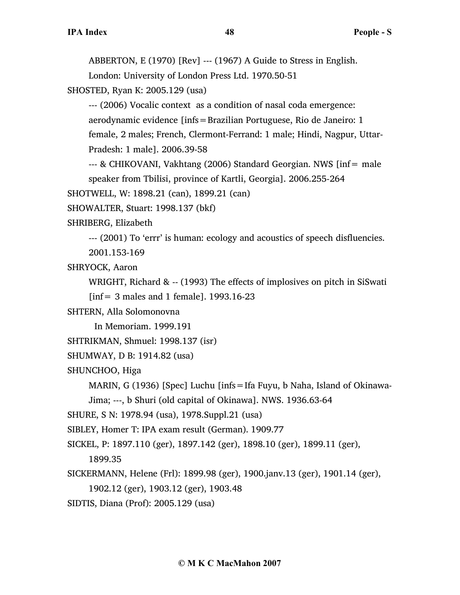ABBERTON, E (1970) [Rev] --- (1967) A Guide to Stress in English.

London: University of London Press Ltd. 1970.50-51

SHOSTED, Ryan K: 2005.129 (usa)

--- (2006) Vocalic context as a condition of nasal coda emergence: aerodynamic evidence [infs=Brazilian Portuguese, Rio de Janeiro: 1 female, 2 males; French, Clermont-Ferrand: 1 male; Hindi, Nagpur, Uttar-

Pradesh: 1 male]. 2006.39-58

--- & CHIKOVANI, Vakhtang (2006) Standard Georgian. NWS [inf= male speaker from Tbilisi, province of Kartli, Georgia]. 2006.255-264

SHOTWELL, W: 1898.21 (can), 1899.21 (can)

SHOWALTER, Stuart: 1998.137 (bkf)

SHRIBERG, Elizabeth

--- (2001) To 'errr' is human: ecology and acoustics of speech disfluencies.

2001.153-169

SHRYOCK, Aaron

WRIGHT, Richard & -- (1993) The effects of implosives on pitch in SiSwati [ $inf = 3$  males and 1 female]. 1993.16-23

SHTERN, Alla Solomonovna

In Memoriam. 1999.191

SHTRIKMAN, Shmuel: 1998.137 (isr)

SHUMWAY, D B: 1914.82 (usa)

SHUNCHOO, Higa

MARIN, G (1936) [Spec] Luchu [infs=Ifa Fuyu, b Naha, Island of Okinawa-

Jima; ---, b Shuri (old capital of Okinawa]. NWS. 1936.63-64

SHURE, S N: 1978.94 (usa), 1978.Suppl.21 (usa)

SIBLEY, Homer T: IPA exam result (German). 1909.77

SICKEL, P: 1897.110 (ger), 1897.142 (ger), 1898.10 (ger), 1899.11 (ger),

1899.35

SICKERMANN, Helene (Frl): 1899.98 (ger), 1900.janv.13 (ger), 1901.14 (ger),

1902.12 (ger), 1903.12 (ger), 1903.48

SIDTIS, Diana (Prof): 2005.129 (usa)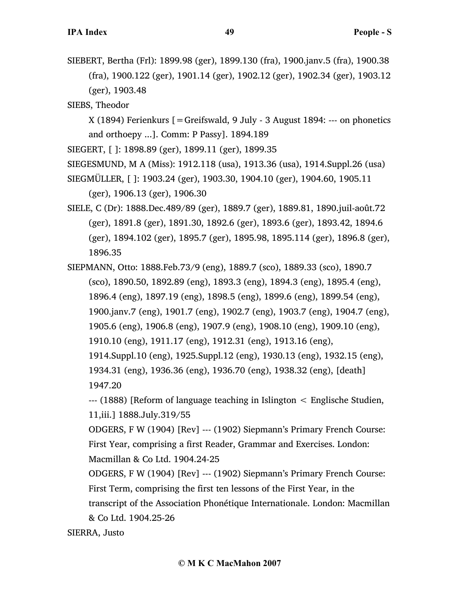SIEBERT, Bertha (Frl): 1899.98 (ger), 1899.130 (fra), 1900.janv.5 (fra), 1900.38 (fra), 1900.122 (ger), 1901.14 (ger), 1902.12 (ger), 1902.34 (ger), 1903.12 (ger), 1903.48

SIEBS, Theodor

X (1894) Ferienkurs [=Greifswald, 9 July - 3 August 1894: --- on phonetics and orthoepy ...]. Comm: P Passy]. 1894.189

SIEGERT, [ ]: 1898.89 (ger), 1899.11 (ger), 1899.35

SIEGESMUND, M A (Miss): 1912.118 (usa), 1913.36 (usa), 1914.Suppl.26 (usa)

SIEGMÜLLER, [ ]: 1903.24 (ger), 1903.30, 1904.10 (ger), 1904.60, 1905.11 (ger), 1906.13 (ger), 1906.30

SIELE, C (Dr): 1888.Dec.489/89 (ger), 1889.7 (ger), 1889.81, 1890.juil-août.72 (ger), 1891.8 (ger), 1891.30, 1892.6 (ger), 1893.6 (ger), 1893.42, 1894.6 (ger), 1894.102 (ger), 1895.7 (ger), 1895.98, 1895.114 (ger), 1896.8 (ger), 1896.35

SIEPMANN, Otto: 1888.Feb.73/9 (eng), 1889.7 (sco), 1889.33 (sco), 1890.7 (sco), 1890.50, 1892.89 (eng), 1893.3 (eng), 1894.3 (eng), 1895.4 (eng), 1896.4 (eng), 1897.19 (eng), 1898.5 (eng), 1899.6 (eng), 1899.54 (eng), 1900.janv.7 (eng), 1901.7 (eng), 1902.7 (eng), 1903.7 (eng), 1904.7 (eng), 1905.6 (eng), 1906.8 (eng), 1907.9 (eng), 1908.10 (eng), 1909.10 (eng), 1910.10 (eng), 1911.17 (eng), 1912.31 (eng), 1913.16 (eng), 1914.Suppl.10 (eng), 1925.Suppl.12 (eng), 1930.13 (eng), 1932.15 (eng), 1934.31 (eng), 1936.36 (eng), 1936.70 (eng), 1938.32 (eng), [death] 1947.20

--- (1888) [Reform of language teaching in Islington < Englische Studien, 11,iii.] 1888.July.319/55

ODGERS, F W (1904) [Rev] --- (1902) Siepmann's Primary French Course: First Year, comprising a first Reader, Grammar and Exercises. London: Macmillan & Co Ltd. 1904.24-25

ODGERS, F W (1904) [Rev] --- (1902) Siepmann's Primary French Course: First Term, comprising the first ten lessons of the First Year, in the transcript of the Association Phonétique Internationale. London: Macmillan & Co Ltd. 1904.25-26

SIERRA, Justo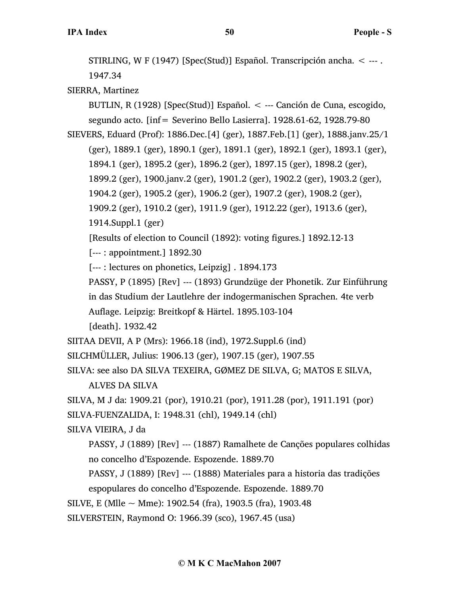STIRLING, W F (1947) [Spec(Stud)] Español. Transcripción ancha. < --- . 1947.34

SIERRA, Martinez

BUTLIN, R (1928) [Spec(Stud)] Español. < --- Canción de Cuna, escogido, segundo acto. [inf= Severino Bello Lasierra]. 1928.61-62, 1928.79-80

SIEVERS, Eduard (Prof): 1886.Dec.[4] (ger), 1887.Feb.[1] (ger), 1888.janv.25/1

(ger), 1889.1 (ger), 1890.1 (ger), 1891.1 (ger), 1892.1 (ger), 1893.1 (ger),

1894.1 (ger), 1895.2 (ger), 1896.2 (ger), 1897.15 (ger), 1898.2 (ger),

1899.2 (ger), 1900.janv.2 (ger), 1901.2 (ger), 1902.2 (ger), 1903.2 (ger),

1904.2 (ger), 1905.2 (ger), 1906.2 (ger), 1907.2 (ger), 1908.2 (ger),

1909.2 (ger), 1910.2 (ger), 1911.9 (ger), 1912.22 (ger), 1913.6 (ger),

1914.Suppl.1 (ger)

[Results of election to Council (1892): voting figures.] 1892.12-13

[--- : appointment.] 1892.30

[--- : lectures on phonetics, Leipzig] . 1894.173

PASSY, P (1895) [Rev] --- (1893) Grundzüge der Phonetik. Zur Einführung in das Studium der Lautlehre der indogermanischen Sprachen. 4te verb

Auflage. Leipzig: Breitkopf & Härtel. 1895.103-104

[death]. 1932.42

SIITAA DEVII, A P (Mrs): 1966.18 (ind), 1972.Suppl.6 (ind)

SILCHMÜLLER, Julius: 1906.13 (ger), 1907.15 (ger), 1907.55

SILVA: see also DA SILVA TEXEIRA, GØMEZ DE SILVA, G; MATOS E SILVA,

ALVES DA SILVA

SILVA, M J da: 1909.21 (por), 1910.21 (por), 1911.28 (por), 1911.191 (por) SILVA-FUENZALIDA, I: 1948.31 (chl), 1949.14 (chl)

SILVA VIEIRA, J da

PASSY, J (1889) [Rev] --- (1887) Ramalhete de Canções populares colhidas no concelho d'Espozende. Espozende. 1889.70

PASSY, J (1889) [Rev] --- (1888) Materiales para a historia das tradições espopulares do concelho d'Espozende. Espozende. 1889.70

SILVE, E (Mlle  $\sim$  Mme): 1902.54 (fra), 1903.5 (fra), 1903.48

SILVERSTEIN, Raymond O: 1966.39 (sco), 1967.45 (usa)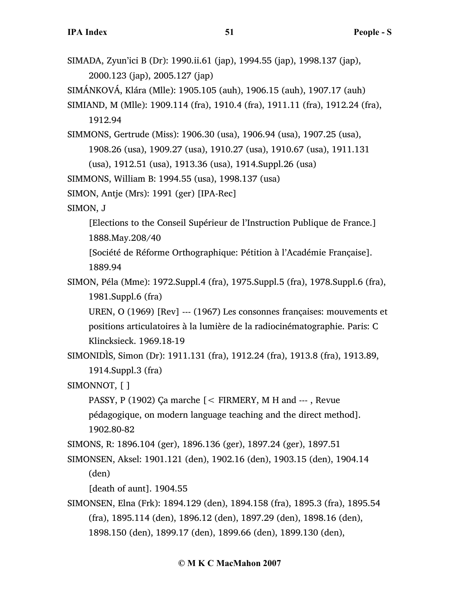SIMADA, Zyun'ici B (Dr): 1990.ii.61 (jap), 1994.55 (jap), 1998.137 (jap), 2000.123 (jap), 2005.127 (jap) SIMÁNKOVÁ, Klára (Mlle): 1905.105 (auh), 1906.15 (auh), 1907.17 (auh) SIMIAND, M (Mlle): 1909.114 (fra), 1910.4 (fra), 1911.11 (fra), 1912.24 (fra), 1912.94 SIMMONS, Gertrude (Miss): 1906.30 (usa), 1906.94 (usa), 1907.25 (usa), 1908.26 (usa), 1909.27 (usa), 1910.27 (usa), 1910.67 (usa), 1911.131 (usa), 1912.51 (usa), 1913.36 (usa), 1914.Suppl.26 (usa) SIMMONS, William B: 1994.55 (usa), 1998.137 (usa) SIMON, Antje (Mrs): 1991 (ger) [IPA-Rec] SIMON, J [Elections to the Conseil Supérieur de l'Instruction Publique de France.] 1888.May.208/40 [Société de Réforme Orthographique: Pétition à l'Académie Française]. 1889.94 SIMON, Péla (Mme): 1972.Suppl.4 (fra), 1975.Suppl.5 (fra), 1978.Suppl.6 (fra), 1981.Suppl.6 (fra) UREN, O (1969) [Rev] --- (1967) Les consonnes françaises: mouvements et positions articulatoires à la lumière de la radiocinématographie. Paris: C Klincksieck. 1969.18-19 SIMONIDÌS, Simon (Dr): 1911.131 (fra), 1912.24 (fra), 1913.8 (fra), 1913.89, 1914.Suppl.3 (fra) SIMONNOT, [ ] PASSY, P (1902) Ça marche [< FIRMERY, M H and --- , Revue pédagogique, on modern language teaching and the direct method]. 1902.80-82 SIMONS, R: 1896.104 (ger), 1896.136 (ger), 1897.24 (ger), 1897.51 SIMONSEN, Aksel: 1901.121 (den), 1902.16 (den), 1903.15 (den), 1904.14 (den) [death of aunt]. 1904.55 SIMONSEN, Elna (Frk): 1894.129 (den), 1894.158 (fra), 1895.3 (fra), 1895.54 (fra), 1895.114 (den), 1896.12 (den), 1897.29 (den), 1898.16 (den), 1898.150 (den), 1899.17 (den), 1899.66 (den), 1899.130 (den),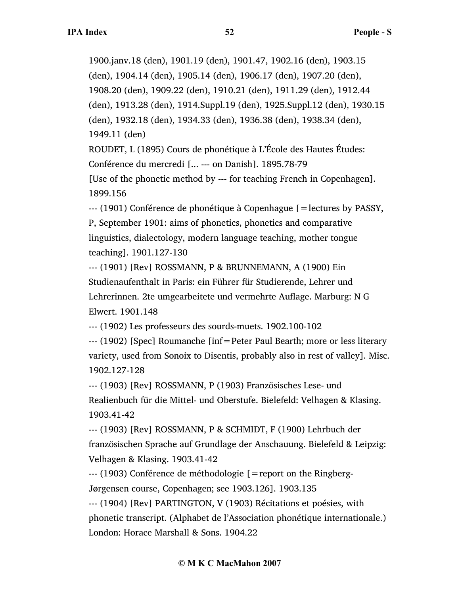1900.janv.18 (den), 1901.19 (den), 1901.47, 1902.16 (den), 1903.15 (den), 1904.14 (den), 1905.14 (den), 1906.17 (den), 1907.20 (den), 1908.20 (den), 1909.22 (den), 1910.21 (den), 1911.29 (den), 1912.44 (den), 1913.28 (den), 1914.Suppl.19 (den), 1925.Suppl.12 (den), 1930.15 (den), 1932.18 (den), 1934.33 (den), 1936.38 (den), 1938.34 (den), 1949.11 (den) ROUDET, L (1895) Cours de phonétique à L'École des Hautes Études: Conférence du mercredi [... --- on Danish]. 1895.78-79 [Use of the phonetic method by --- for teaching French in Copenhagen].

1899.156

 $-$ -- (1901) Conférence de phonétique à Copenhague  $\beta$  = lectures by PASSY, P, September 1901: aims of phonetics, phonetics and comparative linguistics, dialectology, modern language teaching, mother tongue teaching]. 1901.127-130

--- (1901) [Rev] ROSSMANN, P & BRUNNEMANN, A (1900) Ein Studienaufenthalt in Paris: ein Führer für Studierende, Lehrer und Lehrerinnen. 2te umgearbeitete und vermehrte Auflage. Marburg: N G Elwert. 1901.148

--- (1902) Les professeurs des sourds-muets. 1902.100-102

--- (1902) [Spec] Roumanche [inf=Peter Paul Bearth; more or less literary variety, used from Sonoix to Disentis, probably also in rest of valley]. Misc. 1902.127-128

--- (1903) [Rev] ROSSMANN, P (1903) Französisches Lese- und Realienbuch für die Mittel- und Oberstufe. Bielefeld: Velhagen & Klasing. 1903.41-42

--- (1903) [Rev] ROSSMANN, P & SCHMIDT, F (1900) Lehrbuch der französischen Sprache auf Grundlage der Anschauung. Bielefeld & Leipzig: Velhagen & Klasing. 1903.41-42

--- (1903) Conférence de méthodologie [=report on the Ringberg-Jørgensen course, Copenhagen; see 1903.126]. 1903.135

--- (1904) [Rev] PARTINGTON, V (1903) Récitations et poésies, with phonetic transcript. (Alphabet de l'Association phonétique internationale.) London: Horace Marshall & Sons. 1904.22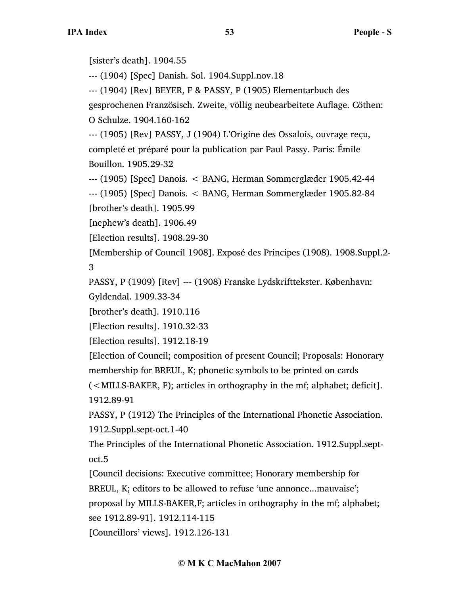[sister's death]. 1904.55

--- (1904) [Spec] Danish. Sol. 1904.Suppl.nov.18

--- (1904) [Rev] BEYER, F & PASSY, P (1905) Elementarbuch des

gesprochenen Französisch. Zweite, völlig neubearbeitete Auflage. Cöthen: O Schulze. 1904.160-162

--- (1905) [Rev] PASSY, J (1904) L'Origine des Ossalois, ouvrage reçu, completé et préparé pour la publication par Paul Passy. Paris: Émile Bouillon. 1905.29-32

--- (1905) [Spec] Danois. < BANG, Herman Sommerglæder 1905.42-44

--- (1905) [Spec] Danois. < BANG, Herman Sommerglæder 1905.82-84 [brother's death]. 1905.99

[nephew's death]. 1906.49

[Election results]. 1908.29-30

[Membership of Council 1908]. Exposé des Principes (1908). 1908.Suppl.2- 3

PASSY, P (1909) [Rev] --- (1908) Franske Lydskrifttekster. København:

Gyldendal. 1909.33-34

[brother's death]. 1910.116

[Election results]. 1910.32-33

[Election results]. 1912.18-19

[Election of Council; composition of present Council; Proposals: Honorary membership for BREUL, K; phonetic symbols to be printed on cards

(<MILLS-BAKER, F); articles in orthography in the mf; alphabet; deficit]. 1912.89-91

PASSY, P (1912) The Principles of the International Phonetic Association. 1912.Suppl.sept-oct.1-40

The Principles of the International Phonetic Association. 1912.Suppl.septoct.5

[Council decisions: Executive committee; Honorary membership for BREUL, K; editors to be allowed to refuse 'une annonce...mauvaise';

proposal by MILLS-BAKER,F; articles in orthography in the mf; alphabet;

see 1912.89-91]. 1912.114-115

[Councillors' views]. 1912.126-131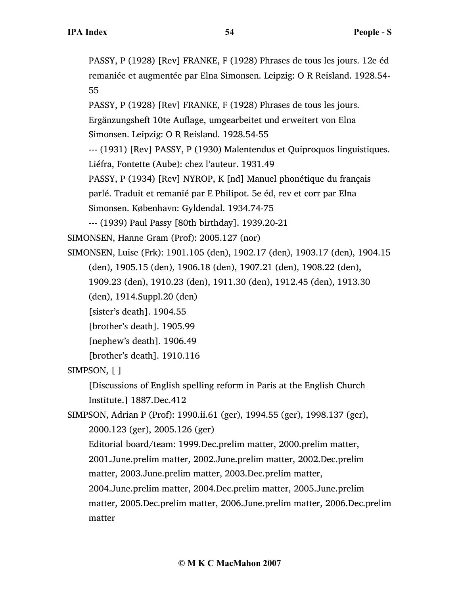PASSY, P (1928) [Rev] FRANKE, F (1928) Phrases de tous les jours. 12e éd remaniée et augmentée par Elna Simonsen. Leipzig: O R Reisland. 1928.54- 55

PASSY, P (1928) [Rev] FRANKE, F (1928) Phrases de tous les jours. Ergänzungsheft 10te Auflage, umgearbeitet und erweitert von Elna Simonsen. Leipzig: O R Reisland. 1928.54-55 --- (1931) [Rev] PASSY, P (1930) Malentendus et Quiproquos linguistiques. Liéfra, Fontette (Aube): chez l'auteur. 1931.49 PASSY, P (1934) [Rev] NYROP, K [nd] Manuel phonétique du français parlé. Traduit et remanié par E Philipot. 5e éd, rev et corr par Elna Simonsen. København: Gyldendal. 1934.74-75

--- (1939) Paul Passy [80th birthday]. 1939.20-21

SIMONSEN, Hanne Gram (Prof): 2005.127 (nor)

SIMONSEN, Luise (Frk): 1901.105 (den), 1902.17 (den), 1903.17 (den), 1904.15 (den), 1905.15 (den), 1906.18 (den), 1907.21 (den), 1908.22 (den),

1909.23 (den), 1910.23 (den), 1911.30 (den), 1912.45 (den), 1913.30

(den), 1914.Suppl.20 (den)

[sister's death]. 1904.55

[brother's death]. 1905.99

[nephew's death]. 1906.49

[brother's death]. 1910.116

SIMPSON, [ ]

[Discussions of English spelling reform in Paris at the English Church Institute.] 1887.Dec.412

SIMPSON, Adrian P (Prof): 1990.ii.61 (ger), 1994.55 (ger), 1998.137 (ger), 2000.123 (ger), 2005.126 (ger)

Editorial board/team: 1999.Dec.prelim matter, 2000.prelim matter, 2001.June.prelim matter, 2002.June.prelim matter, 2002.Dec.prelim matter, 2003.June.prelim matter, 2003.Dec.prelim matter, 2004.June.prelim matter, 2004.Dec.prelim matter, 2005.June.prelim matter, 2005.Dec.prelim matter, 2006.June.prelim matter, 2006.Dec.prelim

matter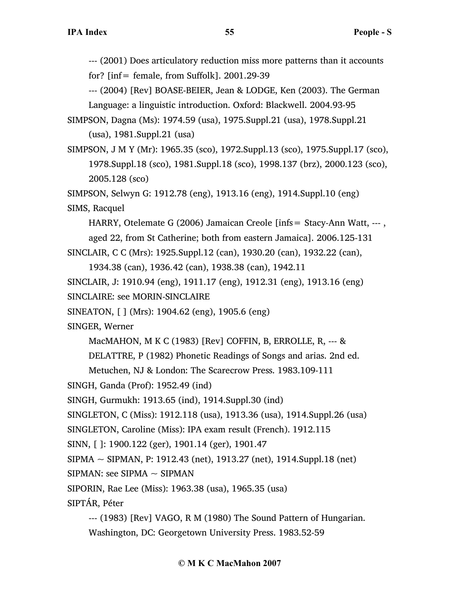--- (2001) Does articulatory reduction miss more patterns than it accounts for?  $[inf = female, from Suffolk]$ . 2001.29-39

--- (2004) [Rev] BOASE-BEIER, Jean & LODGE, Ken (2003). The German Language: a linguistic introduction. Oxford: Blackwell. 2004.93-95

SIMPSON, Dagna (Ms): 1974.59 (usa), 1975.Suppl.21 (usa), 1978.Suppl.21 (usa), 1981.Suppl.21 (usa)

SIMPSON, J M Y (Mr): 1965.35 (sco), 1972.Suppl.13 (sco), 1975.Suppl.17 (sco), 1978.Suppl.18 (sco), 1981.Suppl.18 (sco), 1998.137 (brz), 2000.123 (sco), 2005.128 (sco)

SIMPSON, Selwyn G: 1912.78 (eng), 1913.16 (eng), 1914.Suppl.10 (eng) SIMS, Racquel

HARRY, Otelemate G (2006) Jamaican Creole [infs= Stacy-Ann Watt, --- ,

aged 22, from St Catherine; both from eastern Jamaica]. 2006.125-131

SINCLAIR, C C (Mrs): 1925.Suppl.12 (can), 1930.20 (can), 1932.22 (can),

1934.38 (can), 1936.42 (can), 1938.38 (can), 1942.11

SINCLAIR, J: 1910.94 (eng), 1911.17 (eng), 1912.31 (eng), 1913.16 (eng) SINCLAIRE: see MORIN-SINCLAIRE

SINEATON, [ ] (Mrs): 1904.62 (eng), 1905.6 (eng)

SINGER, Werner

MacMAHON, M K C (1983) [Rev] COFFIN, B, ERROLLE, R, --- &

DELATTRE, P (1982) Phonetic Readings of Songs and arias. 2nd ed.

Metuchen, NJ & London: The Scarecrow Press. 1983.109-111

SINGH, Ganda (Prof): 1952.49 (ind)

SINGH, Gurmukh: 1913.65 (ind), 1914.Suppl.30 (ind)

SINGLETON, C (Miss): 1912.118 (usa), 1913.36 (usa), 1914.Suppl.26 (usa)

SINGLETON, Caroline (Miss): IPA exam result (French). 1912.115

SINN, [ ]: 1900.122 (ger), 1901.14 (ger), 1901.47

 $SIPMA \sim SIPMAN$ , P: 1912.43 (net), 1913.27 (net), 1914.Suppl.18 (net)

 $SIPMAN:$  see  $SIPMA \sim SIPMAN$ 

SIPORIN, Rae Lee (Miss): 1963.38 (usa), 1965.35 (usa)

SIPTÁR, Péter

--- (1983) [Rev] VAGO, R M (1980) The Sound Pattern of Hungarian. Washington, DC: Georgetown University Press. 1983.52-59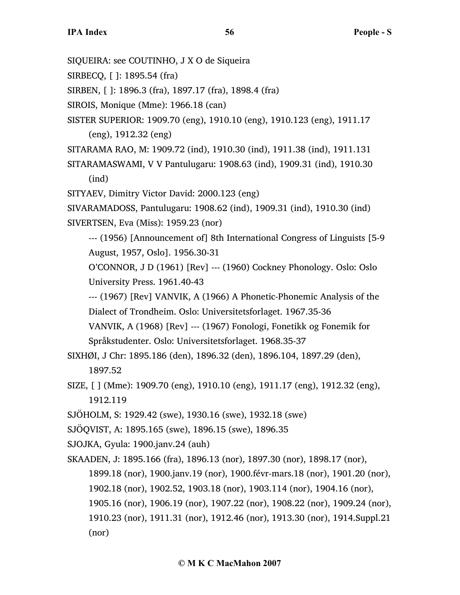- SIQUEIRA: see COUTINHO, J X O de Siqueira
- SIRBECQ, [ ]: 1895.54 (fra)
- SIRBEN, [ ]: 1896.3 (fra), 1897.17 (fra), 1898.4 (fra)
- SIROIS, Monique (Mme): 1966.18 (can)
- SISTER SUPERIOR: 1909.70 (eng), 1910.10 (eng), 1910.123 (eng), 1911.17 (eng), 1912.32 (eng)
- SITARAMA RAO, M: 1909.72 (ind), 1910.30 (ind), 1911.38 (ind), 1911.131
- SITARAMASWAMI, V V Pantulugaru: 1908.63 (ind), 1909.31 (ind), 1910.30 (ind)
- SITYAEV, Dimitry Victor David: 2000.123 (eng)
- SIVARAMADOSS, Pantulugaru: 1908.62 (ind), 1909.31 (ind), 1910.30 (ind) SIVERTSEN, Eva (Miss): 1959.23 (nor)
	- --- (1956) [Announcement of] 8th International Congress of Linguists [5-9 August, 1957, Oslo]. 1956.30-31
	- O'CONNOR, J D (1961) [Rev] --- (1960) Cockney Phonology. Oslo: Oslo University Press. 1961.40-43
	- --- (1967) [Rev] VANVIK, A (1966) A Phonetic-Phonemic Analysis of the Dialect of Trondheim. Oslo: Universitetsforlaget. 1967.35-36
	- VANVIK, A (1968) [Rev] --- (1967) Fonologi, Fonetikk og Fonemik for Språkstudenter. Oslo: Universitetsforlaget. 1968.35-37
- SIXHØI, J Chr: 1895.186 (den), 1896.32 (den), 1896.104, 1897.29 (den), 1897.52
- SIZE, [ ] (Mme): 1909.70 (eng), 1910.10 (eng), 1911.17 (eng), 1912.32 (eng), 1912.119
- SJÖHOLM, S: 1929.42 (swe), 1930.16 (swe), 1932.18 (swe)
- SJÖQVIST, A: 1895.165 (swe), 1896.15 (swe), 1896.35
- SJOJKA, Gyula: 1900.janv.24 (auh)
- SKAADEN, J: 1895.166 (fra), 1896.13 (nor), 1897.30 (nor), 1898.17 (nor),
	- 1899.18 (nor), 1900.janv.19 (nor), 1900.févr-mars.18 (nor), 1901.20 (nor),
	- 1902.18 (nor), 1902.52, 1903.18 (nor), 1903.114 (nor), 1904.16 (nor),
	- 1905.16 (nor), 1906.19 (nor), 1907.22 (nor), 1908.22 (nor), 1909.24 (nor),
	- 1910.23 (nor), 1911.31 (nor), 1912.46 (nor), 1913.30 (nor), 1914.Suppl.21 (nor)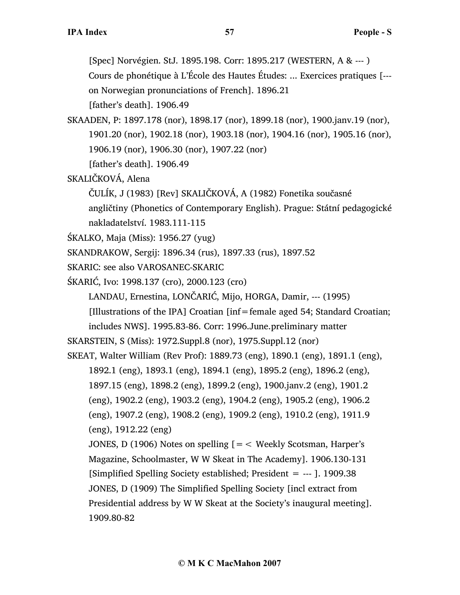[Spec] Norvégien. StJ. 1895.198. Corr: 1895.217 (WESTERN, A & --- )

Cours de phonétique à L'École des Hautes Études: ... Exercices pratiques [-- on Norwegian pronunciations of French]. 1896.21

[father's death]. 1906.49

SKAADEN, P: 1897.178 (nor), 1898.17 (nor), 1899.18 (nor), 1900.janv.19 (nor), 1901.20 (nor), 1902.18 (nor), 1903.18 (nor), 1904.16 (nor), 1905.16 (nor), 1906.19 (nor), 1906.30 (nor), 1907.22 (nor)

[father's death]. 1906.49

SKALIČKOVÁ, Alena

ČULÍK, J (1983) [Rev] SKALIČKOVÁ, A (1982) Fonetika současné

angličtiny (Phonetics of Contemporary English). Prague: Státní pedagogické nakladatelství. 1983.111-115

```
ŚKALKO, Maja (Miss): 1956.27 (yug)
```
SKANDRAKOW, Sergij: 1896.34 (rus), 1897.33 (rus), 1897.52

SKARIC: see also VAROSANEC-SKARIC

ŚKARIĆ, Ivo: 1998.137 (cro), 2000.123 (cro)

LANDAU, Ernestina, LONČARIĆ, Mijo, HORGA, Damir, --- (1995)

[Illustrations of the IPA] Croatian [inf=female aged 54; Standard Croatian;

includes NWS]. 1995.83-86. Corr: 1996.June.preliminary matter

```
SKARSTEIN, S (Miss): 1972.Suppl.8 (nor), 1975.Suppl.12 (nor)
```
SKEAT, Walter William (Rev Prof): 1889.73 (eng), 1890.1 (eng), 1891.1 (eng),

1892.1 (eng), 1893.1 (eng), 1894.1 (eng), 1895.2 (eng), 1896.2 (eng),

1897.15 (eng), 1898.2 (eng), 1899.2 (eng), 1900.janv.2 (eng), 1901.2

(eng), 1902.2 (eng), 1903.2 (eng), 1904.2 (eng), 1905.2 (eng), 1906.2

(eng), 1907.2 (eng), 1908.2 (eng), 1909.2 (eng), 1910.2 (eng), 1911.9 (eng), 1912.22 (eng)

JONES, D (1906) Notes on spelling  $=$  < Weekly Scotsman, Harper's Magazine, Schoolmaster, W W Skeat in The Academy]. 1906.130-131 [Simplified Spelling Society established; President  $=$  --- ]. 1909.38 JONES, D (1909) The Simplified Spelling Society [incl extract from Presidential address by W W Skeat at the Society's inaugural meeting]. 1909.80-82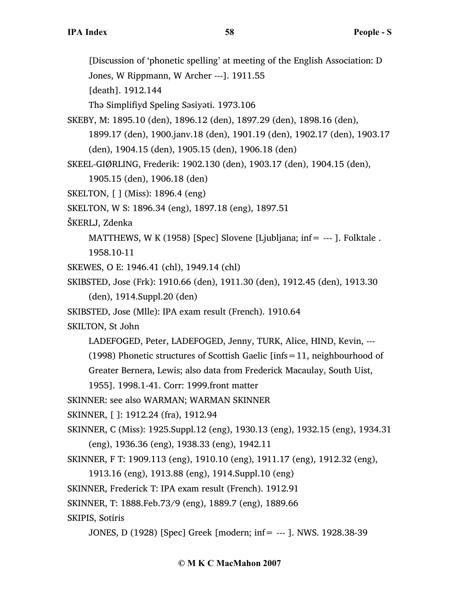[Discussion of 'phonetic spelling' at meeting of the English Association: D Jones, W Rippmann, W Archer ---]. 1911.55 [death]. 1912.144 Thə Simplifiyd Speling Səsiyəti. 1973.106 SKEBY, M: 1895.10 (den), 1896.12 (den), 1897.29 (den), 1898.16 (den), 1899.17 (den), 1900.janv.18 (den), 1901.19 (den), 1902.17 (den), 1903.17 (den), 1904.15 (den), 1905.15 (den), 1906.18 (den) SKEEL-GIØRLING, Frederik: 1902.130 (den), 1903.17 (den), 1904.15 (den), 1905.15 (den), 1906.18 (den) SKELTON, [ ] (Miss): 1896.4 (eng) SKELTON, W S: 1896.34 (eng), 1897.18 (eng), 1897.51 ŠKERLJ, Zdenka MATTHEWS, W K (1958) [Spec] Slovene [Ljubljana; inf=  $-$ -- ]. Folktale . 1958.10-11 SKEWES, O E: 1946.41 (chl), 1949.14 (chl) SKIBSTED, Jose (Frk): 1910.66 (den), 1911.30 (den), 1912.45 (den), 1913.30 (den), 1914.Suppl.20 (den) SKIBSTED, Jose (Mlle): IPA exam result (French). 1910.64 SKILTON, St John LADEFOGED, Peter, LADEFOGED, Jenny, TURK, Alice, HIND, Kevin, --- (1998) Phonetic structures of Scottish Gaelic [infs=11, neighbourhood of Greater Bernera, Lewis; also data from Frederick Macaulay, South Uist, 1955]. 1998.1-41. Corr: 1999.front matter SKINNER: see also WARMAN; WARMAN SKINNER SKINNER, [ ]: 1912.24 (fra), 1912.94 SKINNER, C (Miss): 1925.Suppl.12 (eng), 1930.13 (eng), 1932.15 (eng), 1934.31 (eng), 1936.36 (eng), 1938.33 (eng), 1942.11 SKINNER, F T: 1909.113 (eng), 1910.10 (eng), 1911.17 (eng), 1912.32 (eng), 1913.16 (eng), 1913.88 (eng), 1914.Suppl.10 (eng) SKINNER, Frederick T: IPA exam result (French). 1912.91 SKINNER, T: 1888.Feb.73/9 (eng), 1889.7 (eng), 1889.66 SKIPIS, Sotiris

JONES, D (1928) [Spec] Greek [modern; inf= --- ]. NWS. 1928.38-39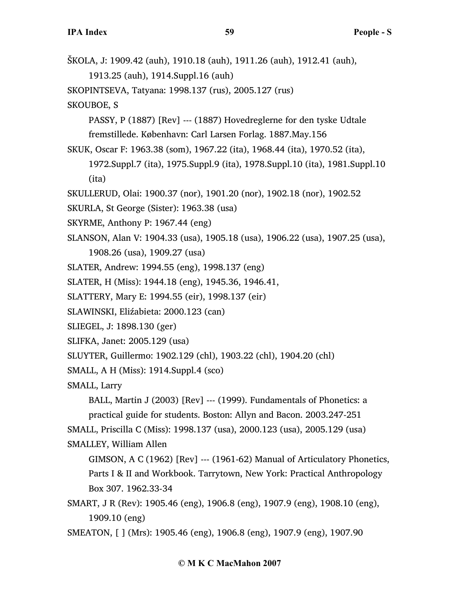ŠKOLA, J: 1909.42 (auh), 1910.18 (auh), 1911.26 (auh), 1912.41 (auh), 1913.25 (auh), 1914.Suppl.16 (auh) SKOPINTSEVA, Tatyana: 1998.137 (rus), 2005.127 (rus) SKOUBOE, S PASSY, P (1887) [Rev] --- (1887) Hovedreglerne for den tyske Udtale fremstillede. København: Carl Larsen Forlag. 1887.May.156 SKUK, Oscar F: 1963.38 (som), 1967.22 (ita), 1968.44 (ita), 1970.52 (ita), 1972.Suppl.7 (ita), 1975.Suppl.9 (ita), 1978.Suppl.10 (ita), 1981.Suppl.10 (ita) SKULLERUD, Olai: 1900.37 (nor), 1901.20 (nor), 1902.18 (nor), 1902.52 SKURLA, St George (Sister): 1963.38 (usa) SKYRME, Anthony P: 1967.44 (eng) SLANSON, Alan V: 1904.33 (usa), 1905.18 (usa), 1906.22 (usa), 1907.25 (usa), 1908.26 (usa), 1909.27 (usa) SLATER, Andrew: 1994.55 (eng), 1998.137 (eng) SLATER, H (Miss): 1944.18 (eng), 1945.36, 1946.41, SLATTERY, Mary E: 1994.55 (eir), 1998.137 (eir) SLAWINSKI, Eliźabieta: 2000.123 (can) SLIEGEL, J: 1898.130 (ger) SLIFKA, Janet: 2005.129 (usa) SLUYTER, Guillermo: 1902.129 (chl), 1903.22 (chl), 1904.20 (chl) SMALL, A H (Miss): 1914.Suppl.4 (sco) SMALL, Larry BALL, Martin J (2003) [Rev] --- (1999). Fundamentals of Phonetics: a practical guide for students. Boston: Allyn and Bacon. 2003.247-251 SMALL, Priscilla C (Miss): 1998.137 (usa), 2000.123 (usa), 2005.129 (usa) SMALLEY, William Allen GIMSON, A C (1962) [Rev] --- (1961-62) Manual of Articulatory Phonetics, Parts I & II and Workbook. Tarrytown, New York: Practical Anthropology Box 307. 1962.33-34 SMART, J R (Rev): 1905.46 (eng), 1906.8 (eng), 1907.9 (eng), 1908.10 (eng), 1909.10 (eng)

SMEATON, [ ] (Mrs): 1905.46 (eng), 1906.8 (eng), 1907.9 (eng), 1907.90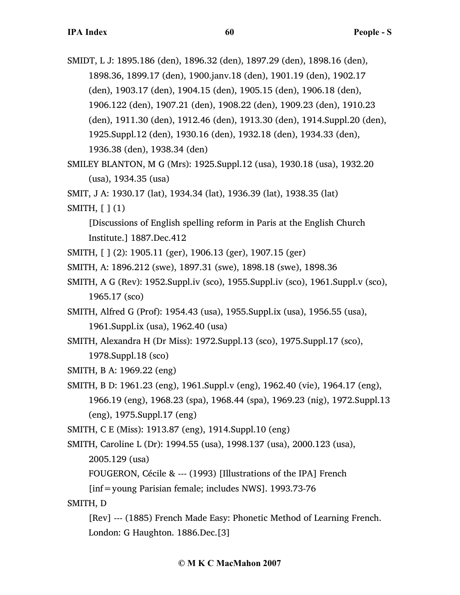SMIDT, L J: 1895.186 (den), 1896.32 (den), 1897.29 (den), 1898.16 (den), 1898.36, 1899.17 (den), 1900.janv.18 (den), 1901.19 (den), 1902.17 (den), 1903.17 (den), 1904.15 (den), 1905.15 (den), 1906.18 (den), 1906.122 (den), 1907.21 (den), 1908.22 (den), 1909.23 (den), 1910.23 (den), 1911.30 (den), 1912.46 (den), 1913.30 (den), 1914.Suppl.20 (den), 1925.Suppl.12 (den), 1930.16 (den), 1932.18 (den), 1934.33 (den), 1936.38 (den), 1938.34 (den)

SMILEY BLANTON, M G (Mrs): 1925.Suppl.12 (usa), 1930.18 (usa), 1932.20 (usa), 1934.35 (usa)

SMIT, J A: 1930.17 (lat), 1934.34 (lat), 1936.39 (lat), 1938.35 (lat)

SMITH, [ ] (1)

[Discussions of English spelling reform in Paris at the English Church Institute.] 1887.Dec.412

- SMITH, [ ] (2): 1905.11 (ger), 1906.13 (ger), 1907.15 (ger)
- SMITH, A: 1896.212 (swe), 1897.31 (swe), 1898.18 (swe), 1898.36
- SMITH, A G (Rev): 1952.Suppl.iv (sco), 1955.Suppl.iv (sco), 1961.Suppl.v (sco), 1965.17 (sco)
- SMITH, Alfred G (Prof): 1954.43 (usa), 1955.Suppl.ix (usa), 1956.55 (usa), 1961.Suppl.ix (usa), 1962.40 (usa)
- SMITH, Alexandra H (Dr Miss): 1972.Suppl.13 (sco), 1975.Suppl.17 (sco), 1978.Suppl.18 (sco)

SMITH, B A: 1969.22 (eng)

SMITH, B D: 1961.23 (eng), 1961.Suppl.v (eng), 1962.40 (vie), 1964.17 (eng), 1966.19 (eng), 1968.23 (spa), 1968.44 (spa), 1969.23 (nig), 1972.Suppl.13 (eng), 1975.Suppl.17 (eng)

SMITH, C E (Miss): 1913.87 (eng), 1914.Suppl.10 (eng)

SMITH, Caroline L (Dr): 1994.55 (usa), 1998.137 (usa), 2000.123 (usa),

2005.129 (usa)

FOUGERON, Cécile & --- (1993) [Illustrations of the IPA] French

 $[inf=$ young Parisian female; includes NWS]. 1993.73-76

SMITH, D

[Rev] --- (1885) French Made Easy: Phonetic Method of Learning French. London: G Haughton. 1886.Dec.[3]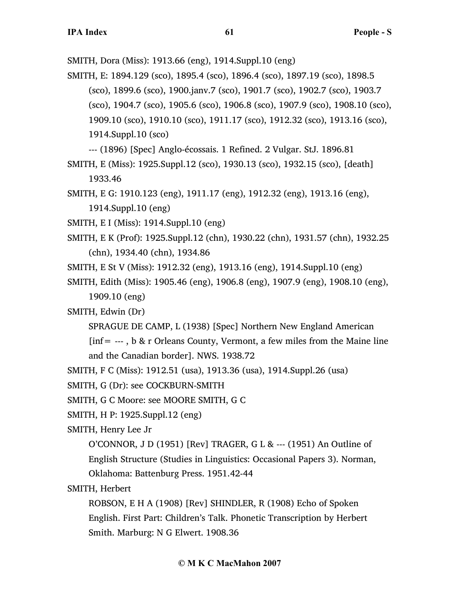SMITH, Dora (Miss): 1913.66 (eng), 1914.Suppl.10 (eng)

SMITH, E: 1894.129 (sco), 1895.4 (sco), 1896.4 (sco), 1897.19 (sco), 1898.5 (sco), 1899.6 (sco), 1900.janv.7 (sco), 1901.7 (sco), 1902.7 (sco), 1903.7 (sco), 1904.7 (sco), 1905.6 (sco), 1906.8 (sco), 1907.9 (sco), 1908.10 (sco), 1909.10 (sco), 1910.10 (sco), 1911.17 (sco), 1912.32 (sco), 1913.16 (sco), 1914.Suppl.10 (sco)

--- (1896) [Spec] Anglo-écossais. 1 Refined. 2 Vulgar. StJ. 1896.81

- SMITH, E (Miss): 1925.Suppl.12 (sco), 1930.13 (sco), 1932.15 (sco), [death] 1933.46
- SMITH, E G: 1910.123 (eng), 1911.17 (eng), 1912.32 (eng), 1913.16 (eng), 1914.Suppl.10 (eng)

SMITH, E I (Miss): 1914.Suppl.10 (eng)

- SMITH, E K (Prof): 1925.Suppl.12 (chn), 1930.22 (chn), 1931.57 (chn), 1932.25 (chn), 1934.40 (chn), 1934.86
- SMITH, E St V (Miss): 1912.32 (eng), 1913.16 (eng), 1914.Suppl.10 (eng)
- SMITH, Edith (Miss): 1905.46 (eng), 1906.8 (eng), 1907.9 (eng), 1908.10 (eng), 1909.10 (eng)

SMITH, Edwin (Dr)

- SPRAGUE DE CAMP, L (1938) [Spec] Northern New England American
- [inf= --- , b & r Orleans County, Vermont, a few miles from the Maine line and the Canadian border]. NWS. 1938.72
- SMITH, F C (Miss): 1912.51 (usa), 1913.36 (usa), 1914.Suppl.26 (usa)

SMITH, G (Dr): see COCKBURN-SMITH

- SMITH, G C Moore: see MOORE SMITH, G C
- SMITH, H P: 1925.Suppl.12 (eng)

SMITH, Henry Lee Jr

O'CONNOR, J D (1951) [Rev] TRAGER, G L & --- (1951) An Outline of English Structure (Studies in Linguistics: Occasional Papers 3). Norman, Oklahoma: Battenburg Press. 1951.42-44

SMITH, Herbert

ROBSON, E H A (1908) [Rev] SHINDLER, R (1908) Echo of Spoken English. First Part: Children's Talk. Phonetic Transcription by Herbert Smith. Marburg: N G Elwert. 1908.36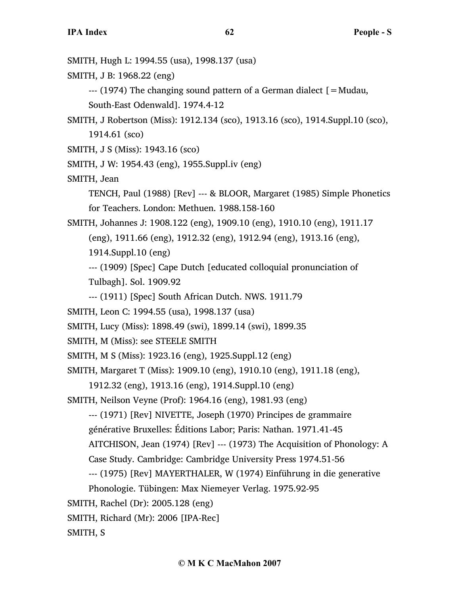**IPA Index 62 People - S** SMITH, Hugh L: 1994.55 (usa), 1998.137 (usa) SMITH, J B: 1968.22 (eng) --- (1974) The changing sound pattern of a German dialect [=Mudau, South-East Odenwald]. 1974.4-12 SMITH, J Robertson (Miss): 1912.134 (sco), 1913.16 (sco), 1914.Suppl.10 (sco), 1914.61 (sco) SMITH, J S (Miss): 1943.16 (sco) SMITH, J W: 1954.43 (eng), 1955.Suppl.iv (eng) SMITH, Jean TENCH, Paul (1988) [Rev] --- & BLOOR, Margaret (1985) Simple Phonetics for Teachers. London: Methuen. 1988.158-160 SMITH, Johannes J: 1908.122 (eng), 1909.10 (eng), 1910.10 (eng), 1911.17 (eng), 1911.66 (eng), 1912.32 (eng), 1912.94 (eng), 1913.16 (eng), 1914.Suppl.10 (eng) --- (1909) [Spec] Cape Dutch [educated colloquial pronunciation of Tulbagh]. Sol. 1909.92 --- (1911) [Spec] South African Dutch. NWS. 1911.79 SMITH, Leon C: 1994.55 (usa), 1998.137 (usa) SMITH, Lucy (Miss): 1898.49 (swi), 1899.14 (swi), 1899.35 SMITH, M (Miss): see STEELE SMITH SMITH, M S (Miss): 1923.16 (eng), 1925.Suppl.12 (eng) SMITH, Margaret T (Miss): 1909.10 (eng), 1910.10 (eng), 1911.18 (eng), 1912.32 (eng), 1913.16 (eng), 1914.Suppl.10 (eng) SMITH, Neilson Veyne (Prof): 1964.16 (eng), 1981.93 (eng) --- (1971) [Rev] NIVETTE, Joseph (1970) Principes de grammaire générative Bruxelles: Éditions Labor; Paris: Nathan. 1971.41-45 AITCHISON, Jean (1974) [Rev] --- (1973) The Acquisition of Phonology: A Case Study. Cambridge: Cambridge University Press 1974.51-56 --- (1975) [Rev] MAYERTHALER, W (1974) Einführung in die generative Phonologie. Tübingen: Max Niemeyer Verlag. 1975.92-95

SMITH, Rachel (Dr): 2005.128 (eng)

SMITH, Richard (Mr): 2006 [IPA-Rec]

SMITH, S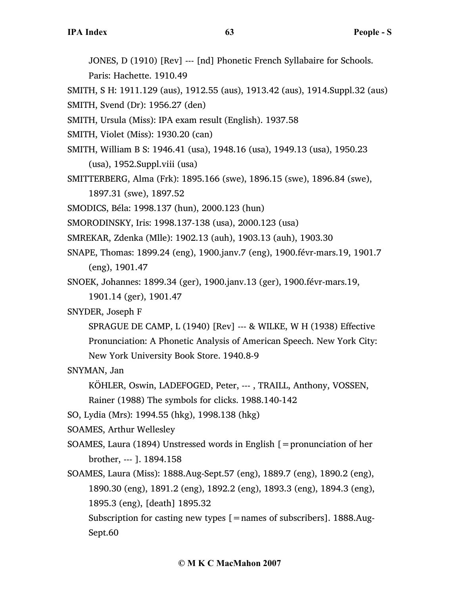JONES, D (1910) [Rev] --- [nd] Phonetic French Syllabaire for Schools. Paris: Hachette. 1910.49

SMITH, S H: 1911.129 (aus), 1912.55 (aus), 1913.42 (aus), 1914.Suppl.32 (aus)

SMITH, Svend (Dr): 1956.27 (den)

SMITH, Ursula (Miss): IPA exam result (English). 1937.58

SMITH, Violet (Miss): 1930.20 (can)

SMITH, William B S: 1946.41 (usa), 1948.16 (usa), 1949.13 (usa), 1950.23 (usa), 1952.Suppl.viii (usa)

SMITTERBERG, Alma (Frk): 1895.166 (swe), 1896.15 (swe), 1896.84 (swe), 1897.31 (swe), 1897.52

SMODICS, Béla: 1998.137 (hun), 2000.123 (hun)

SMORODINSKY, Iris: 1998.137-138 (usa), 2000.123 (usa)

SMREKAR, Zdenka (Mlle): 1902.13 (auh), 1903.13 (auh), 1903.30

SNAPE, Thomas: 1899.24 (eng), 1900.janv.7 (eng), 1900.févr-mars.19, 1901.7 (eng), 1901.47

SNOEK, Johannes: 1899.34 (ger), 1900.janv.13 (ger), 1900.févr-mars.19, 1901.14 (ger), 1901.47

SNYDER, Joseph F

SPRAGUE DE CAMP, L (1940) [Rev] --- & WILKE, W H (1938) Effective Pronunciation: A Phonetic Analysis of American Speech. New York City: New York University Book Store. 1940.8-9

SNYMAN, Jan

KÖHLER, Oswin, LADEFOGED, Peter, --- , TRAILL, Anthony, VOSSEN, Rainer (1988) The symbols for clicks. 1988.140-142

SO, Lydia (Mrs): 1994.55 (hkg), 1998.138 (hkg)

SOAMES, Arthur Wellesley

- SOAMES, Laura (1894) Unstressed words in English  $\mathfrak{[}=$  pronunciation of her brother, --- ]. 1894.158
- SOAMES, Laura (Miss): 1888.Aug-Sept.57 (eng), 1889.7 (eng), 1890.2 (eng), 1890.30 (eng), 1891.2 (eng), 1892.2 (eng), 1893.3 (eng), 1894.3 (eng), 1895.3 (eng), [death] 1895.32

Subscription for casting new types  $[ =$ names of subscribers]. 1888.Aug-Sept.60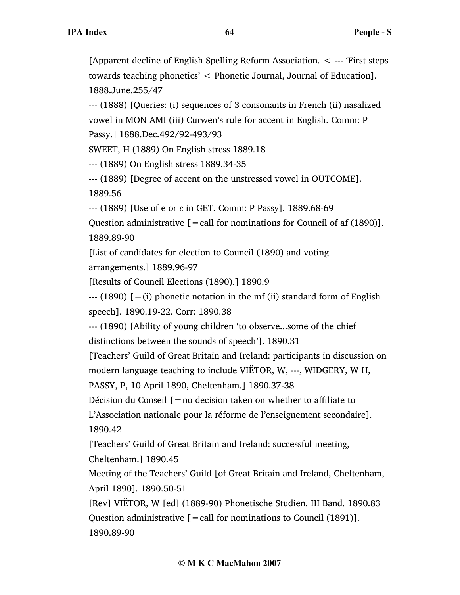[Apparent decline of English Spelling Reform Association. < --- 'First steps towards teaching phonetics' < Phonetic Journal, Journal of Education]. 1888.June.255/47

--- (1888) [Queries: (i) sequences of 3 consonants in French (ii) nasalized vowel in MON AMI (iii) Curwen's rule for accent in English. Comm: P Passy.] 1888.Dec.492/92-493/93

SWEET, H (1889) On English stress 1889.18

--- (1889) On English stress 1889.34-35

--- (1889) [Degree of accent on the unstressed vowel in OUTCOME]. 1889.56

--- (1889) [Use of e or ɛ in GET. Comm: P Passy]. 1889.68-69

Question administrative  $[=$  call for nominations for Council of af  $(1890)$ ]. 1889.89-90

[List of candidates for election to Council (1890) and voting arrangements.] 1889.96-97

[Results of Council Elections (1890).] 1890.9

 $-$ -- (1890) [=(i) phonetic notation in the mf (ii) standard form of English speech]. 1890.19-22. Corr: 1890.38

--- (1890) [Ability of young children 'to observe...some of the chief distinctions between the sounds of speech']. 1890.31

[Teachers' Guild of Great Britain and Ireland: participants in discussion on modern language teaching to include VIËTOR, W, ---, WIDGERY, W H,

PASSY, P, 10 April 1890, Cheltenham.] 1890.37-38

Décision du Conseil  $[=$  no decision taken on whether to affiliate to L'Association nationale pour la réforme de l'enseignement secondaire].

1890.42

[Teachers' Guild of Great Britain and Ireland: successful meeting, Cheltenham.] 1890.45

Meeting of the Teachers' Guild [of Great Britain and Ireland, Cheltenham, April 1890]. 1890.50-51

[Rev] VIËTOR, W [ed] (1889-90) Phonetische Studien. III Band. 1890.83 Question administrative  $[$  = call for nominations to Council (1891)]. 1890.89-90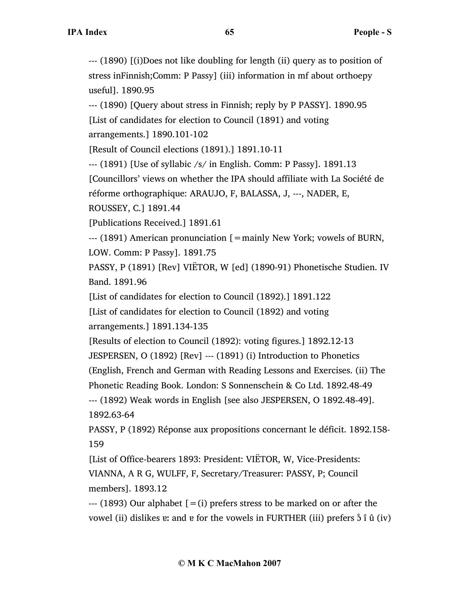--- (1890) [(i)Does not like doubling for length (ii) query as to position of stress inFinnish;Comm: P Passy] (iii) information in mf about orthoepy useful]. 1890.95

--- (1890) [Query about stress in Finnish; reply by P PASSY]. 1890.95 [List of candidates for election to Council (1891) and voting

arrangements.] 1890.101-102

[Result of Council elections (1891).] 1891.10-11

--- (1891) [Use of syllabic /s/ in English. Comm: P Passy]. 1891.13

[Councillors' views on whether the IPA should affiliate with La Société de

réforme orthographique: ARAUJO, F, BALASSA, J, ---, NADER, E,

ROUSSEY, C.] 1891.44

[Publications Received.] 1891.61

--- (1891) American pronunciation [=mainly New York; vowels of BURN,

LOW. Comm: P Passy]. 1891.75

PASSY, P (1891) [Rev] VIËTOR, W [ed] (1890-91) Phonetische Studien. IV Band. 1891.96

[List of candidates for election to Council (1892).] 1891.122

[List of candidates for election to Council (1892) and voting arrangements.] 1891.134-135

[Results of election to Council (1892): voting figures.] 1892.12-13

JESPERSEN, O (1892) [Rev] --- (1891) (i) Introduction to Phonetics

(English, French and German with Reading Lessons and Exercises. (ii) The

Phonetic Reading Book. London: S Sonnenschein & Co Ltd. 1892.48-49

--- (1892) Weak words in English [see also JESPERSEN, O 1892.48-49]. 1892.63-64

PASSY, P (1892) Réponse aux propositions concernant le déficit. 1892.158- 159

[List of Office-bearers 1893: President: VIËTOR, W, Vice-Presidents: VIANNA, A R G, WULFF, F, Secretary/Treasurer: PASSY, P; Council members]. 1893.12

 $-$ -- (1893) Our alphabet  $[=(i)]$  prefers stress to be marked on or after the vowel (ii) dislikes  $e$ : and  $e$  for the vowels in FURTHER (iii) prefers  $\delta \hat{i}$   $\hat{u}$  (iv)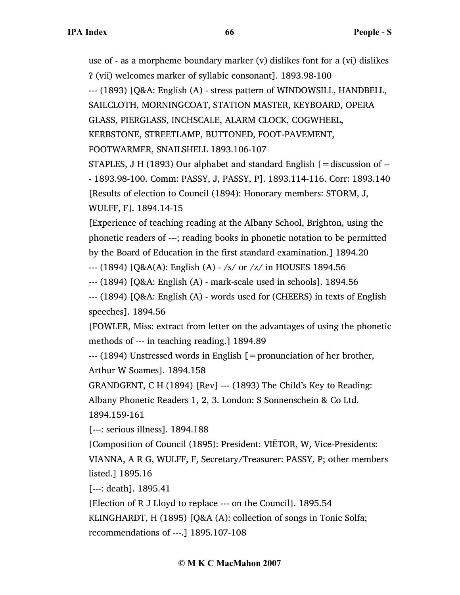use of - as a morpheme boundary marker (v) dislikes font for a (vi) dislikes Ɂ (vii) welcomes marker of syllabic consonant]. 1893.98-100 --- (1893) [Q&A: English (A) - stress pattern of WINDOWSILL, HANDBELL, SAILCLOTH, MORNINGCOAT, STATION MASTER, KEYBOARD, OPERA GLASS, PIERGLASS, INCHSCALE, ALARM CLOCK, COGWHEEL, KERBSTONE, STREETLAMP, BUTTONED, FOOT-PAVEMENT, FOOTWARMER, SNAILSHELL 1893.106-107

STAPLES, J H (1893) Our alphabet and standard English [=discussion of -- - 1893.98-100. Comm: PASSY, J, PASSY, P]. 1893.114-116. Corr: 1893.140 [Results of election to Council (1894): Honorary members: STORM, J, WULFF, F]. 1894.14-15

[Experience of teaching reading at the Albany School, Brighton, using the phonetic readers of ---; reading books in phonetic notation to be permitted by the Board of Education in the first standard examination.] 1894.20

--- (1894) [Q&A(A): English (A) - /s/ or /z/ in HOUSES 1894.56

--- (1894) [Q&A: English (A) - mark-scale used in schools]. 1894.56

--- (1894) [Q&A: English (A) - words used for (CHEERS) in texts of English speeches]. 1894.56

[FOWLER, Miss: extract from letter on the advantages of using the phonetic methods of --- in teaching reading.] 1894.89

 $-$ --- (1894) Unstressed words in English  $\mathfrak{b}$  = pronunciation of her brother, Arthur W Soames]. 1894.158

GRANDGENT, C H (1894) [Rev] --- (1893) The Child's Key to Reading:

Albany Phonetic Readers 1, 2, 3. London: S Sonnenschein & Co Ltd. 1894.159-161

[---: serious illness]. 1894.188

[Composition of Council (1895): President: VIËTOR, W, Vice-Presidents: VIANNA, A R G, WULFF, F, Secretary/Treasurer: PASSY, P; other members listed.] 1895.16

[---: death]. 1895.41

[Election of R J Lloyd to replace --- on the Council]. 1895.54

KLINGHARDT, H (1895) [Q&A (A): collection of songs in Tonic Solfa; recommendations of ---.] 1895.107-108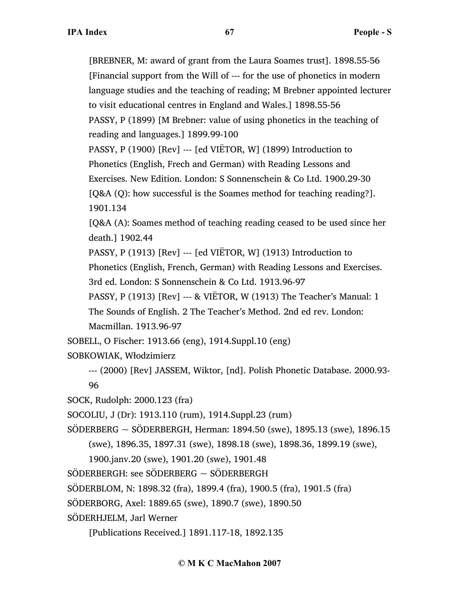[BREBNER, M: award of grant from the Laura Soames trust]. 1898.55-56 [Financial support from the Will of --- for the use of phonetics in modern language studies and the teaching of reading; M Brebner appointed lecturer to visit educational centres in England and Wales.] 1898.55-56 PASSY, P (1899) [M Brebner: value of using phonetics in the teaching of reading and languages.] 1899.99-100 PASSY, P (1900) [Rev] --- [ed VIËTOR, W] (1899) Introduction to Phonetics (English, Frech and German) with Reading Lessons and Exercises. New Edition. London: S Sonnenschein & Co Ltd. 1900.29-30 [Q&A (Q): how successful is the Soames method for teaching reading?]. 1901.134 [Q&A (A): Soames method of teaching reading ceased to be used since her death.] 1902.44 PASSY, P (1913) [Rev] --- [ed VIËTOR, W] (1913) Introduction to Phonetics (English, French, German) with Reading Lessons and Exercises. 3rd ed. London: S Sonnenschein & Co Ltd. 1913.96-97 PASSY, P (1913) [Rev] --- & VIËTOR, W (1913) The Teacher's Manual: 1 The Sounds of English. 2 The Teacher's Method. 2nd ed rev. London: Macmillan. 1913.96-97 SOBELL, O Fischer: 1913.66 (eng), 1914.Suppl.10 (eng) SOBKOWIAK, Włodzimierz --- (2000) [Rev] JASSEM, Wiktor, [nd]. Polish Phonetic Database. 2000.93- 96 SOCK, Rudolph: 2000.123 (fra) SOCOLIU, J (Dr): 1913.110 (rum), 1914.Suppl.23 (rum) SÖDERBERG ~ SÖDERBERGH, Herman: 1894.50 (swe), 1895.13 (swe), 1896.15 (swe), 1896.35, 1897.31 (swe), 1898.18 (swe), 1898.36, 1899.19 (swe), 1900.janv.20 (swe), 1901.20 (swe), 1901.48  $SÖDERBERGH:$  see  $SÖDERBERG \sim SÖDERBERGH$ SÖDERBLOM, N: 1898.32 (fra), 1899.4 (fra), 1900.5 (fra), 1901.5 (fra) SÖDERBORG, Axel: 1889.65 (swe), 1890.7 (swe), 1890.50 SÖDERHJELM, Jarl Werner [Publications Received.] 1891.117-18, 1892.135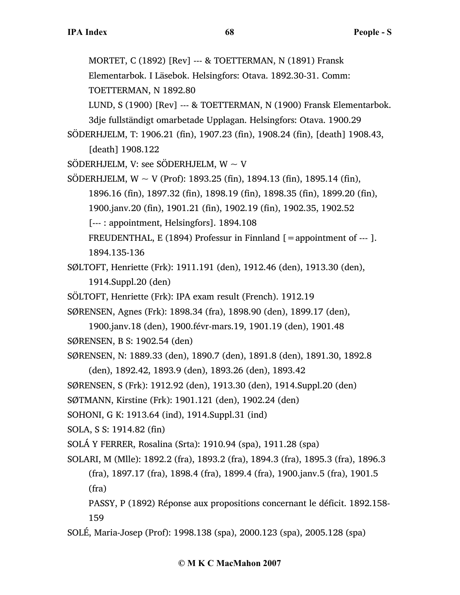MORTET, C (1892) [Rev] --- & TOETTERMAN, N (1891) Fransk Elementarbok. I Läsebok. Helsingfors: Otava. 1892.30-31. Comm: TOETTERMAN, N 1892.80 LUND, S (1900) [Rev] --- & TOETTERMAN, N (1900) Fransk Elementarbok. 3dje fullständigt omarbetade Upplagan. Helsingfors: Otava. 1900.29 SÖDERHJELM, T: 1906.21 (fin), 1907.23 (fin), 1908.24 (fin), [death] 1908.43, [death] 1908.122 SÖDERHJELM, V: see SÖDERHJELM,  $W \sim V$ SÖDERHJELM, W  $\sim$  V (Prof): 1893.25 (fin), 1894.13 (fin), 1895.14 (fin), 1896.16 (fin), 1897.32 (fin), 1898.19 (fin), 1898.35 (fin), 1899.20 (fin), 1900.janv.20 (fin), 1901.21 (fin), 1902.19 (fin), 1902.35, 1902.52 [--- : appointment, Helsingfors]. 1894.108 FREUDENTHAL, E (1894) Professur in Finnland  $[=$  appointment of --- ]. 1894.135-136 SØLTOFT, Henriette (Frk): 1911.191 (den), 1912.46 (den), 1913.30 (den), 1914.Suppl.20 (den) SÖLTOFT, Henriette (Frk): IPA exam result (French). 1912.19 SØRENSEN, Agnes (Frk): 1898.34 (fra), 1898.90 (den), 1899.17 (den), 1900.janv.18 (den), 1900.févr-mars.19, 1901.19 (den), 1901.48 SØRENSEN, B S: 1902.54 (den) SØRENSEN, N: 1889.33 (den), 1890.7 (den), 1891.8 (den), 1891.30, 1892.8 (den), 1892.42, 1893.9 (den), 1893.26 (den), 1893.42 SØRENSEN, S (Frk): 1912.92 (den), 1913.30 (den), 1914.Suppl.20 (den) SØTMANN, Kirstine (Frk): 1901.121 (den), 1902.24 (den) SOHONI, G K: 1913.64 (ind), 1914.Suppl.31 (ind) SOLA, S S: 1914.82 (fin) SOLÁ Y FERRER, Rosalina (Srta): 1910.94 (spa), 1911.28 (spa) SOLARI, M (Mlle): 1892.2 (fra), 1893.2 (fra), 1894.3 (fra), 1895.3 (fra), 1896.3 (fra), 1897.17 (fra), 1898.4 (fra), 1899.4 (fra), 1900.janv.5 (fra), 1901.5 (fra) PASSY, P (1892) Réponse aux propositions concernant le déficit. 1892.158-

159

SOLÉ, Maria-Josep (Prof): 1998.138 (spa), 2000.123 (spa), 2005.128 (spa)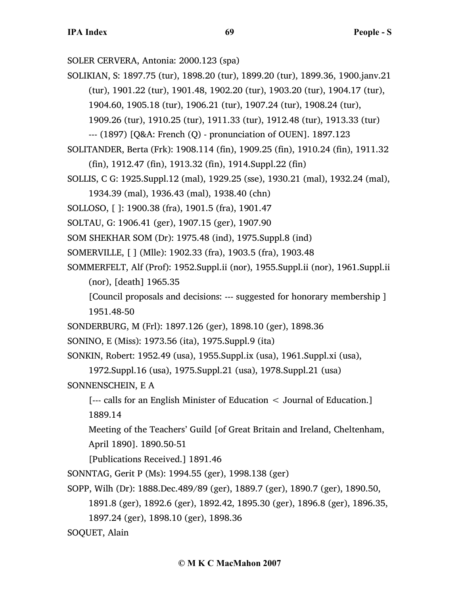SOLER CERVERA, Antonia: 2000.123 (spa)

SOLIKIAN, S: 1897.75 (tur), 1898.20 (tur), 1899.20 (tur), 1899.36, 1900.janv.21

(tur), 1901.22 (tur), 1901.48, 1902.20 (tur), 1903.20 (tur), 1904.17 (tur),

1904.60, 1905.18 (tur), 1906.21 (tur), 1907.24 (tur), 1908.24 (tur),

1909.26 (tur), 1910.25 (tur), 1911.33 (tur), 1912.48 (tur), 1913.33 (tur)

--- (1897) [Q&A: French (Q) - pronunciation of OUEN]. 1897.123

SOLITANDER, Berta (Frk): 1908.114 (fin), 1909.25 (fin), 1910.24 (fin), 1911.32

- (fin), 1912.47 (fin), 1913.32 (fin), 1914.Suppl.22 (fin)
- SOLLIS, C G: 1925.Suppl.12 (mal), 1929.25 (sse), 1930.21 (mal), 1932.24 (mal),

1934.39 (mal), 1936.43 (mal), 1938.40 (chn)

SOLLOSO, [ ]: 1900.38 (fra), 1901.5 (fra), 1901.47

SOLTAU, G: 1906.41 (ger), 1907.15 (ger), 1907.90

SOM SHEKHAR SOM (Dr): 1975.48 (ind), 1975.Suppl.8 (ind)

SOMERVILLE, [ ] (Mlle): 1902.33 (fra), 1903.5 (fra), 1903.48

SOMMERFELT, Alf (Prof): 1952.Suppl.ii (nor), 1955.Suppl.ii (nor), 1961.Suppl.ii (nor), [death] 1965.35

[Council proposals and decisions: --- suggested for honorary membership ] 1951.48-50

SONDERBURG, M (Frl): 1897.126 (ger), 1898.10 (ger), 1898.36

SONINO, E (Miss): 1973.56 (ita), 1975.Suppl.9 (ita)

SONKIN, Robert: 1952.49 (usa), 1955.Suppl.ix (usa), 1961.Suppl.xi (usa),

1972.Suppl.16 (usa), 1975.Suppl.21 (usa), 1978.Suppl.21 (usa)

SONNENSCHEIN, E A

[--- calls for an English Minister of Education < Journal of Education.] 1889.14

Meeting of the Teachers' Guild [of Great Britain and Ireland, Cheltenham, April 1890]. 1890.50-51

[Publications Received.] 1891.46

SONNTAG, Gerit P (Ms): 1994.55 (ger), 1998.138 (ger)

SOPP, Wilh (Dr): 1888.Dec.489/89 (ger), 1889.7 (ger), 1890.7 (ger), 1890.50,

1891.8 (ger), 1892.6 (ger), 1892.42, 1895.30 (ger), 1896.8 (ger), 1896.35,

1897.24 (ger), 1898.10 (ger), 1898.36

SOQUET, Alain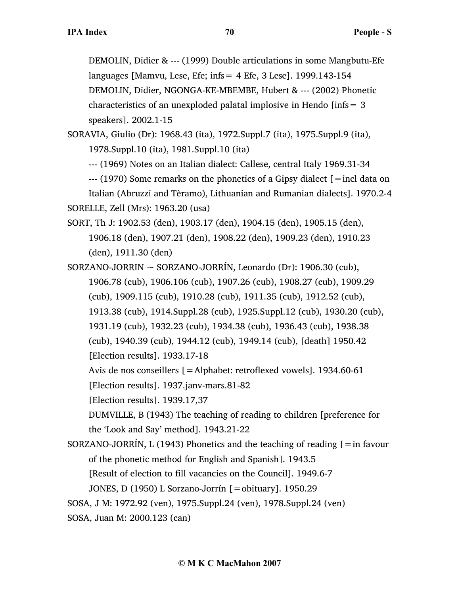DEMOLIN, Didier & --- (1999) Double articulations in some Mangbutu-Efe languages [Mamvu, Lese, Efe; infs  $= 4$  Efe, 3 Lese]. 1999.143-154 DEMOLIN, Didier, NGONGA-KE-MBEMBE, Hubert & --- (2002) Phonetic characteristics of an unexploded palatal implosive in Hendo [infs= 3 speakers]. 2002.1-15

SORAVIA, Giulio (Dr): 1968.43 (ita), 1972.Suppl.7 (ita), 1975.Suppl.9 (ita), 1978.Suppl.10 (ita), 1981.Suppl.10 (ita)

--- (1969) Notes on an Italian dialect: Callese, central Italy 1969.31-34

 $-$ --- (1970) Some remarks on the phonetics of a Gipsy dialect  $\lceil$  = incl data on Italian (Abruzzi and Tèramo), Lithuanian and Rumanian dialects]. 1970.2-4 SORELLE, Zell (Mrs): 1963.20 (usa)

SORT, Th J: 1902.53 (den), 1903.17 (den), 1904.15 (den), 1905.15 (den), 1906.18 (den), 1907.21 (den), 1908.22 (den), 1909.23 (den), 1910.23 (den), 1911.30 (den)

SORZANO-JORRIN ~ SORZANO-JORRÍN, Leonardo (Dr): 1906.30 (cub), 1906.78 (cub), 1906.106 (cub), 1907.26 (cub), 1908.27 (cub), 1909.29 (cub), 1909.115 (cub), 1910.28 (cub), 1911.35 (cub), 1912.52 (cub), 1913.38 (cub), 1914.Suppl.28 (cub), 1925.Suppl.12 (cub), 1930.20 (cub), 1931.19 (cub), 1932.23 (cub), 1934.38 (cub), 1936.43 (cub), 1938.38 (cub), 1940.39 (cub), 1944.12 (cub), 1949.14 (cub), [death] 1950.42 [Election results]. 1933.17-18

Avis de nos conseillers [=Alphabet: retroflexed vowels]. 1934.60-61 [Election results]. 1937.janv-mars.81-82

[Election results]. 1939.17,37

DUMVILLE, B (1943) The teaching of reading to children [preference for the 'Look and Say' method]. 1943.21-22

SORZANO-JORRÍN, L (1943) Phonetics and the teaching of reading  $\mathcal{I} = \text{in favour}$ of the phonetic method for English and Spanish]. 1943.5 [Result of election to fill vacancies on the Council]. 1949.6-7 JONES, D (1950) L Sorzano-Jorrín [=obituary]. 1950.29

SOSA, J M: 1972.92 (ven), 1975.Suppl.24 (ven), 1978.Suppl.24 (ven)

SOSA, Juan M: 2000.123 (can)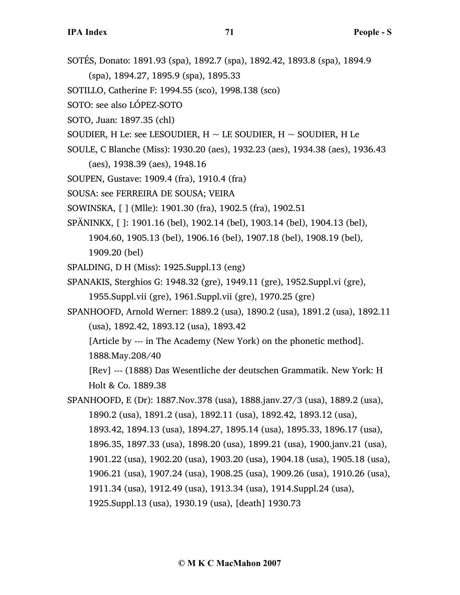SOTÉS, Donato: 1891.93 (spa), 1892.7 (spa), 1892.42, 1893.8 (spa), 1894.9

(spa), 1894.27, 1895.9 (spa), 1895.33

- SOTILLO, Catherine F: 1994.55 (sco), 1998.138 (sco)
- SOTO: see also LÓPEZ-SOTO
- SOTO, Juan: 1897.35 (chl)
- SOUDIER, H Le: see LESOUDIER,  $H \sim$  LE SOUDIER,  $H \sim$  SOUDIER, H Le
- SOULE, C Blanche (Miss): 1930.20 (aes), 1932.23 (aes), 1934.38 (aes), 1936.43
	- (aes), 1938.39 (aes), 1948.16
- SOUPEN, Gustave: 1909.4 (fra), 1910.4 (fra)
- SOUSA: see FERREIRA DE SOUSA; VEIRA
- SOWINSKA, [ ] (Mlle): 1901.30 (fra), 1902.5 (fra), 1902.51
- SPÄNINKX, [ ]: 1901.16 (bel), 1902.14 (bel), 1903.14 (bel), 1904.13 (bel),
	- 1904.60, 1905.13 (bel), 1906.16 (bel), 1907.18 (bel), 1908.19 (bel), 1909.20 (bel)
- SPALDING, D H (Miss): 1925.Suppl.13 (eng)
- SPANAKIS, Sterghios G: 1948.32 (gre), 1949.11 (gre), 1952.Suppl.vi (gre), 1955.Suppl.vii (gre), 1961.Suppl.vii (gre), 1970.25 (gre)
- SPANHOOFD, Arnold Werner: 1889.2 (usa), 1890.2 (usa), 1891.2 (usa), 1892.11 (usa), 1892.42, 1893.12 (usa), 1893.42
	- [Article by --- in The Academy (New York) on the phonetic method].

1888.May.208/40

[Rev] --- (1888) Das Wesentliche der deutschen Grammatik. New York: H Holt & Co. 1889.38

SPANHOOFD, E (Dr): 1887.Nov.378 (usa), 1888.janv.27/3 (usa), 1889.2 (usa), 1890.2 (usa), 1891.2 (usa), 1892.11 (usa), 1892.42, 1893.12 (usa), 1893.42, 1894.13 (usa), 1894.27, 1895.14 (usa), 1895.33, 1896.17 (usa), 1896.35, 1897.33 (usa), 1898.20 (usa), 1899.21 (usa), 1900.janv.21 (usa), 1901.22 (usa), 1902.20 (usa), 1903.20 (usa), 1904.18 (usa), 1905.18 (usa), 1906.21 (usa), 1907.24 (usa), 1908.25 (usa), 1909.26 (usa), 1910.26 (usa), 1911.34 (usa), 1912.49 (usa), 1913.34 (usa), 1914.Suppl.24 (usa), 1925.Suppl.13 (usa), 1930.19 (usa), [death] 1930.73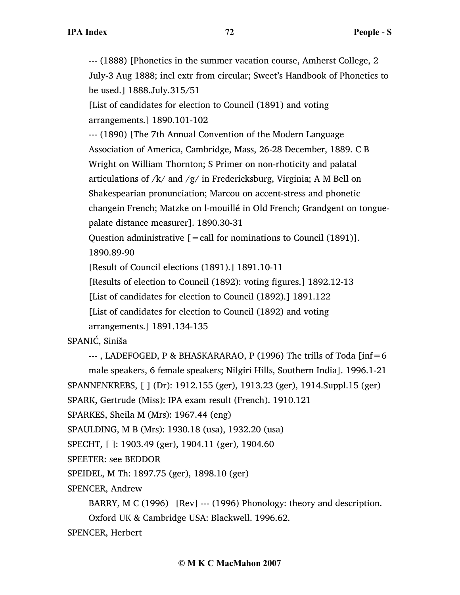--- (1888) [Phonetics in the summer vacation course, Amherst College, 2 July-3 Aug 1888; incl extr from circular; Sweet's Handbook of Phonetics to be used.] 1888.July.315/51

[List of candidates for election to Council (1891) and voting arrangements.] 1890.101-102

--- (1890) [The 7th Annual Convention of the Modern Language Association of America, Cambridge, Mass, 26-28 December, 1889. C B Wright on William Thornton; S Primer on non-rhoticity and palatal articulations of /k/ and /g/ in Fredericksburg, Virginia; A M Bell on Shakespearian pronunciation; Marcou on accent-stress and phonetic changein French; Matzke on l-mouillé in Old French; Grandgent on tonguepalate distance measurer]. 1890.30-31

Question administrative  $[=$  call for nominations to Council (1891)]. 1890.89-90

[Result of Council elections (1891).] 1891.10-11

[Results of election to Council (1892): voting figures.] 1892.12-13

[List of candidates for election to Council (1892).] 1891.122

[List of candidates for election to Council (1892) and voting

arrangements.] 1891.134-135

SPANIĆ, Siniša

 $-$ --, LADEFOGED, P & BHASKARARAO, P (1996) The trills of Toda [inf=6]

male speakers, 6 female speakers; Nilgiri Hills, Southern India]. 1996.1-21 SPANNENKREBS, [ ] (Dr): 1912.155 (ger), 1913.23 (ger), 1914.Suppl.15 (ger)

SPARK, Gertrude (Miss): IPA exam result (French). 1910.121

```
SPARKES, Sheila M (Mrs): 1967.44 (eng)
```
SPAULDING, M B (Mrs): 1930.18 (usa), 1932.20 (usa)

SPECHT, [ ]: 1903.49 (ger), 1904.11 (ger), 1904.60

SPEETER: see BEDDOR

SPEIDEL, M Th: 1897.75 (ger), 1898.10 (ger)

SPENCER, Andrew

BARRY, M C (1996) [Rev] --- (1996) Phonology: theory and description.

Oxford UK & Cambridge USA: Blackwell. 1996.62.

SPENCER, Herbert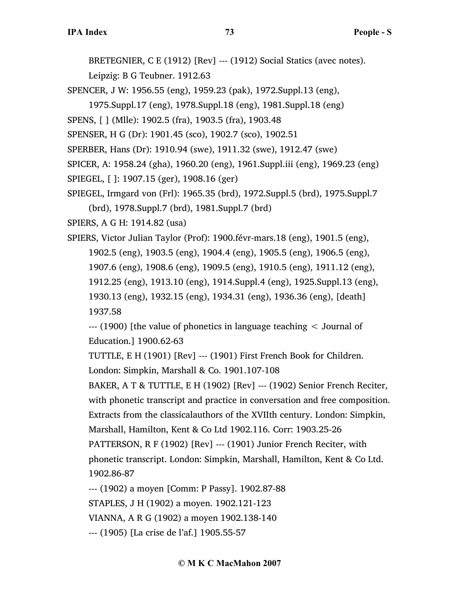BRETEGNIER, C E (1912) [Rev] --- (1912) Social Statics (avec notes).

Leipzig: B G Teubner. 1912.63

SPENCER, J W: 1956.55 (eng), 1959.23 (pak), 1972.Suppl.13 (eng),

1975.Suppl.17 (eng), 1978.Suppl.18 (eng), 1981.Suppl.18 (eng)

SPENS, [ ] (Mlle): 1902.5 (fra), 1903.5 (fra), 1903.48

SPENSER, H G (Dr): 1901.45 (sco), 1902.7 (sco), 1902.51

SPERBER, Hans (Dr): 1910.94 (swe), 1911.32 (swe), 1912.47 (swe)

SPICER, A: 1958.24 (gha), 1960.20 (eng), 1961.Suppl.iii (eng), 1969.23 (eng)

```
SPIEGEL, [ ]: 1907.15 (ger), 1908.16 (ger)
```
SPIEGEL, Irmgard von (Frl): 1965.35 (brd), 1972.Suppl.5 (brd), 1975.Suppl.7

(brd), 1978.Suppl.7 (brd), 1981.Suppl.7 (brd)

SPIERS, A G H: 1914.82 (usa)

SPIERS, Victor Julian Taylor (Prof): 1900.févr-mars.18 (eng), 1901.5 (eng), 1902.5 (eng), 1903.5 (eng), 1904.4 (eng), 1905.5 (eng), 1906.5 (eng), 1907.6 (eng), 1908.6 (eng), 1909.5 (eng), 1910.5 (eng), 1911.12 (eng), 1912.25 (eng), 1913.10 (eng), 1914.Suppl.4 (eng), 1925.Suppl.13 (eng), 1930.13 (eng), 1932.15 (eng), 1934.31 (eng), 1936.36 (eng), [death] 1937.58

--- (1900) [the value of phonetics in language teaching < Journal of Education.] 1900.62-63

TUTTLE, E H (1901) [Rev] --- (1901) First French Book for Children. London: Simpkin, Marshall & Co. 1901.107-108

BAKER, A T & TUTTLE, E H (1902) [Rev] --- (1902) Senior French Reciter, with phonetic transcript and practice in conversation and free composition. Extracts from the classicalauthors of the XVIIth century. London: Simpkin, Marshall, Hamilton, Kent & Co Ltd 1902.116. Corr: 1903.25-26

PATTERSON, R F (1902) [Rev] --- (1901) Junior French Reciter, with phonetic transcript. London: Simpkin, Marshall, Hamilton, Kent & Co Ltd. 1902.86-87

--- (1902) a moyen [Comm: P Passy]. 1902.87-88

STAPLES, J H (1902) a moyen. 1902.121-123

VIANNA, A R G (1902) a moyen 1902.138-140

--- (1905) [La crise de l'af.] 1905.55-57

## **© M K C MacMahon 2007**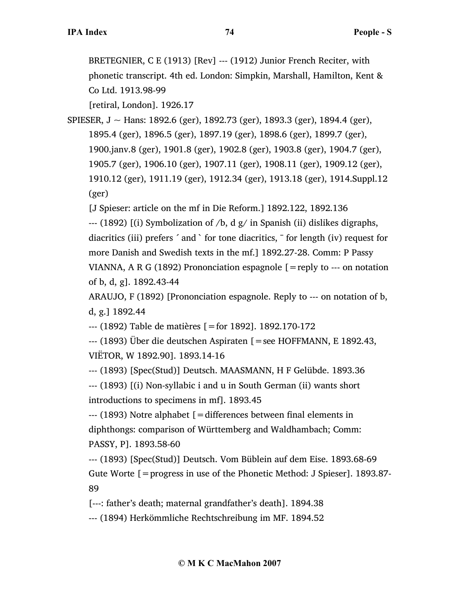BRETEGNIER, C E (1913) [Rev] --- (1912) Junior French Reciter, with phonetic transcript. 4th ed. London: Simpkin, Marshall, Hamilton, Kent & Co Ltd. 1913.98-99

[retiral, London]. 1926.17

SPIESER, J ~ Hans: 1892.6 (ger), 1892.73 (ger), 1893.3 (ger), 1894.4 (ger), 1895.4 (ger), 1896.5 (ger), 1897.19 (ger), 1898.6 (ger), 1899.7 (ger), 1900.janv.8 (ger), 1901.8 (ger), 1902.8 (ger), 1903.8 (ger), 1904.7 (ger), 1905.7 (ger), 1906.10 (ger), 1907.11 (ger), 1908.11 (ger), 1909.12 (ger), 1910.12 (ger), 1911.19 (ger), 1912.34 (ger), 1913.18 (ger), 1914.Suppl.12 (ger)

[J Spieser: article on the mf in Die Reform.] 1892.122, 1892.136

--- (1892) [(i) Symbolization of  $/b$ , d  $g/$  in Spanish (ii) dislikes digraphs, diacritics (iii) prefers ´ and ` for tone diacritics, ˉ for length (iv) request for more Danish and Swedish texts in the mf.] 1892.27-28. Comm: P Passy VIANNA, A R G (1892) Prononciation espagnole  $[=$ reply to  $-$ -- on notation of b, d, g]. 1892.43-44

ARAUJO, F (1892) [Prononciation espagnole. Reply to --- on notation of b, d, g.] 1892.44

--- (1892) Table de matières [=for 1892]. 1892.170-172

--- (1893) Über die deutschen Aspiraten [=see HOFFMANN, E 1892.43, VIËTOR, W 1892.90]. 1893.14-16

--- (1893) [Spec(Stud)] Deutsch. MAASMANN, H F Gelübde. 1893.36

--- (1893) [(i) Non-syllabic i and u in South German (ii) wants short introductions to specimens in mf]. 1893.45

--- (1893) Notre alphabet [=differences between final elements in diphthongs: comparison of Württemberg and Waldhambach; Comm: PASSY, P]. 1893.58-60

--- (1893) [Spec(Stud)] Deutsch. Vom Büblein auf dem Eise. 1893.68-69 Gute Worte [=progress in use of the Phonetic Method: J Spieser]. 1893.87- 89

[---: father's death; maternal grandfather's death]. 1894.38

--- (1894) Herkömmliche Rechtschreibung im MF. 1894.52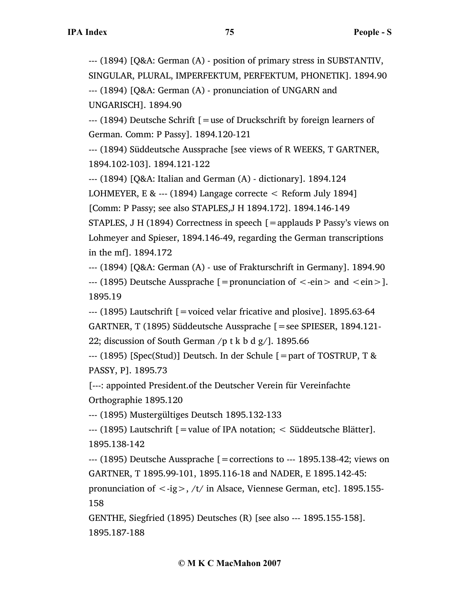--- (1894) [Q&A: German (A) - position of primary stress in SUBSTANTIV, SINGULAR, PLURAL, IMPERFEKTUM, PERFEKTUM, PHONETIK]. 1894.90

--- (1894) [Q&A: German (A) - pronunciation of UNGARN and UNGARISCH]. 1894.90

--- (1894) Deutsche Schrift [=use of Druckschrift by foreign learners of German. Comm: P Passy]. 1894.120-121

--- (1894) Süddeutsche Aussprache [see views of R WEEKS, T GARTNER, 1894.102-103]. 1894.121-122

--- (1894) [Q&A: Italian and German (A) - dictionary]. 1894.124

LOHMEYER, E & --- (1894) Langage correcte < Reform July 1894]

[Comm: P Passy; see also STAPLES,J H 1894.172]. 1894.146-149

STAPLES, J H (1894) Correctness in speech [=applauds P Passy's views on Lohmeyer and Spieser, 1894.146-49, regarding the German transcriptions in the mf]. 1894.172

--- (1894) [Q&A: German (A) - use of Frakturschrift in Germany]. 1894.90  $-$ -- (1895) Deutsche Aussprache [=pronunciation of  $\le$ -ein  $>$  and  $\le$ ein  $>$ ]. 1895.19

 $-$ -- (1895) Lautschrift  $=$  voiced velar fricative and plosive]. 1895.63-64 GARTNER, T (1895) Süddeutsche Aussprache [=see SPIESER, 1894.121- 22; discussion of South German /p t k b d g/]. 1895.66

--- (1895) [Spec(Stud)] Deutsch. In der Schule [=part of TOSTRUP, T & PASSY, P]. 1895.73

[---: appointed President.of the Deutscher Verein für Vereinfachte Orthographie 1895.120

--- (1895) Mustergültiges Deutsch 1895.132-133

--- (1895) Lautschrift [=value of IPA notation; < Süddeutsche Blätter]. 1895.138-142

 $-$ -- $(1895)$  Deutsche Aussprache [=corrections to  $-$ - $1895.138-42$ ; views on GARTNER, T 1895.99-101, 1895.116-18 and NADER, E 1895.142-45:

pronunciation of  $\langle -ig \rangle$ , /t/ in Alsace, Viennese German, etc]. 1895.155-158

GENTHE, Siegfried (1895) Deutsches (R) [see also --- 1895.155-158]. 1895.187-188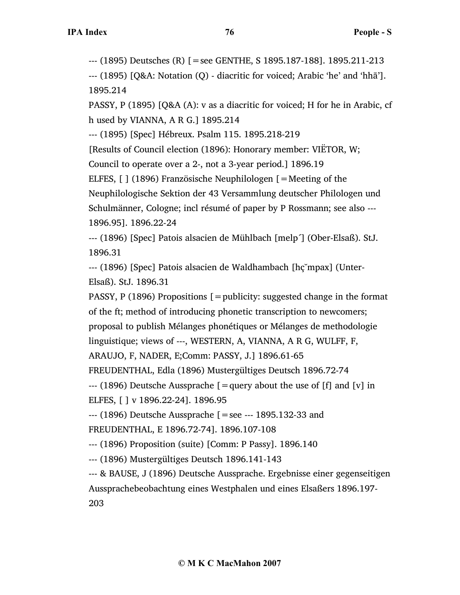--- (1895) Deutsches (R) [=see GENTHE, S 1895.187-188]. 1895.211-213

--- (1895) [Q&A: Notation (Q) - diacritic for voiced; Arabic 'he' and 'hhā']. 1895.214

PASSY, P (1895) [Q&A (A): v as a diacritic for voiced; H for he in Arabic, cf h used by VIANNA, A R G.] 1895.214

--- (1895) [Spec] Hébreux. Psalm 115. 1895.218-219

[Results of Council election (1896): Honorary member: VIËTOR, W;

Council to operate over a 2-, not a 3-year period.] 1896.19

ELFES, [ ] (1896) Französische Neuphilologen [=Meeting of the

Neuphilologische Sektion der 43 Versammlung deutscher Philologen und

Schulmänner, Cologne; incl résumé of paper by P Rossmann; see also --- 1896.95]. 1896.22-24

--- (1896) [Spec] Patois alsacien de Mühlbach [melp´] (Ober-Elsaß). StJ. 1896.31

--- (1896) [Spec] Patois alsacien de Waldhambach [hç˘mpax] (Unter-Elsaß). StJ. 1896.31

PASSY, P (1896) Propositions  $[=$  publicity: suggested change in the format of the ft; method of introducing phonetic transcription to newcomers; proposal to publish Mélanges phonétiques or Mélanges de methodologie linguistique; views of ---, WESTERN, A, VIANNA, A R G, WULFF, F,

ARAUJO, F, NADER, E;Comm: PASSY, J.] 1896.61-65

FREUDENTHAL, Edla (1896) Mustergültiges Deutsch 1896.72-74

 $-$ -- (1896) Deutsche Aussprache [=query about the use of [f] and [v] in ELFES, [ ] v 1896.22-24]. 1896.95

--- (1896) Deutsche Aussprache [=see --- 1895.132-33 and

FREUDENTHAL, E 1896.72-74]. 1896.107-108

--- (1896) Proposition (suite) [Comm: P Passy]. 1896.140

--- (1896) Mustergültiges Deutsch 1896.141-143

--- & BAUSE, J (1896) Deutsche Aussprache. Ergebnisse einer gegenseitigen Aussprachebeobachtung eines Westphalen und eines Elsaßers 1896.197- 203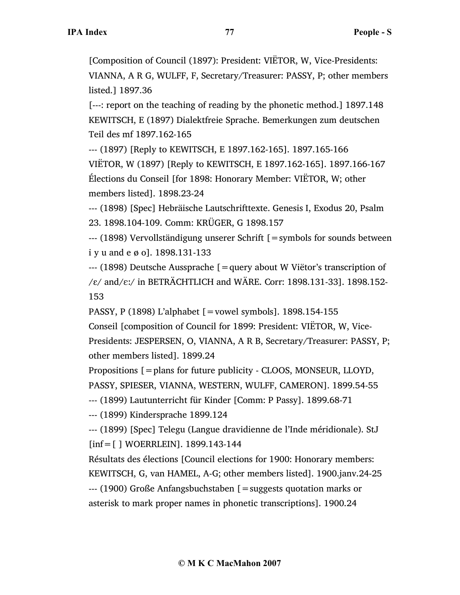[Composition of Council (1897): President: VIËTOR, W, Vice-Presidents: VIANNA, A R G, WULFF, F, Secretary/Treasurer: PASSY, P; other members listed.] 1897.36

[---: report on the teaching of reading by the phonetic method.] 1897.148 KEWITSCH, E (1897) Dialektfreie Sprache. Bemerkungen zum deutschen Teil des mf 1897.162-165

--- (1897) [Reply to KEWITSCH, E 1897.162-165]. 1897.165-166

VIËTOR, W (1897) [Reply to KEWITSCH, E 1897.162-165]. 1897.166-167 Élections du Conseil [for 1898: Honorary Member: VIËTOR, W; other members listed]. 1898.23-24

--- (1898) [Spec] Hebräische Lautschrifttexte. Genesis I, Exodus 20, Psalm 23. 1898.104-109. Comm: KRÜGER, G 1898.157

--- (1898) Vervollständigung unserer Schrift [=symbols for sounds between i y u and e ø o]. 1898.131-133

--- (1898) Deutsche Aussprache [=query about W Viëtor's transcription of  $/\varepsilon$ / and/ $\varepsilon$ :/ in BETRÄCHTLICH and WÄRE. Corr: 1898.131-33]. 1898.152-153

PASSY, P (1898) L'alphabet [=vowel symbols]. 1898.154-155

Conseil [composition of Council for 1899: President: VIËTOR, W, Vice-Presidents: JESPERSEN, O, VIANNA, A R B, Secretary/Treasurer: PASSY, P; other members listed]. 1899.24

Propositions [=plans for future publicity - CLOOS, MONSEUR, LLOYD, PASSY, SPIESER, VIANNA, WESTERN, WULFF, CAMERON]. 1899.54-55

--- (1899) Lautunterricht für Kinder [Comm: P Passy]. 1899.68-71

--- (1899) Kindersprache 1899.124

--- (1899) [Spec] Telegu (Langue dravidienne de l'Inde méridionale). StJ [inf = [] WOERRLEIN]. 1899.143-144

Résultats des élections [Council elections for 1900: Honorary members: KEWITSCH, G, van HAMEL, A-G; other members listed]. 1900.janv.24-25 --- (1900) Große Anfangsbuchstaben [=suggests quotation marks or

asterisk to mark proper names in phonetic transcriptions]. 1900.24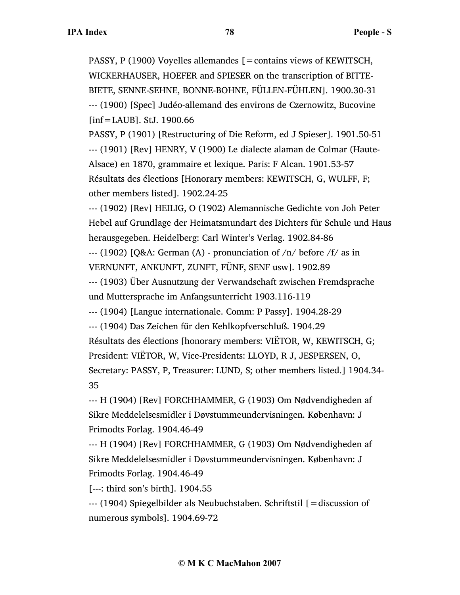PASSY, P (1900) Voyelles allemandes [=contains views of KEWITSCH, WICKERHAUSER, HOEFER and SPIESER on the transcription of BITTE-BIETE, SENNE-SEHNE, BONNE-BOHNE, FÜLLEN-FÜHLEN]. 1900.30-31 --- (1900) [Spec] Judéo-allemand des environs de Czernowitz, Bucovine [inf=LAUB]. StJ. 1900.66

PASSY, P (1901) [Restructuring of Die Reform, ed J Spieser]. 1901.50-51 --- (1901) [Rev] HENRY, V (1900) Le dialecte alaman de Colmar (Haute-Alsace) en 1870, grammaire et lexique. Paris: F Alcan. 1901.53-57 Résultats des élections [Honorary members: KEWITSCH, G, WULFF, F; other members listed]. 1902.24-25

--- (1902) [Rev] HEILIG, O (1902) Alemannische Gedichte von Joh Peter Hebel auf Grundlage der Heimatsmundart des Dichters für Schule und Haus herausgegeben. Heidelberg: Carl Winter's Verlag. 1902.84-86

 $-$ --- (1902) [Q&A: German (A) - pronunciation of  $/n/$  before  $/f/$  as in VERNUNFT, ANKUNFT, ZUNFT, FÜNF, SENF usw]. 1902.89

--- (1903) Über Ausnutzung der Verwandschaft zwischen Fremdsprache und Muttersprache im Anfangsunterricht 1903.116-119

--- (1904) [Langue internationale. Comm: P Passy]. 1904.28-29

--- (1904) Das Zeichen für den Kehlkopfverschluß. 1904.29

Résultats des élections [honorary members: VIËTOR, W, KEWITSCH, G;

President: VIËTOR, W, Vice-Presidents: LLOYD, R J, JESPERSEN, O,

Secretary: PASSY, P, Treasurer: LUND, S; other members listed.] 1904.34- 35

--- H (1904) [Rev] FORCHHAMMER, G (1903) Om Nødvendigheden af Sikre Meddelelsesmidler i Døvstummeundervisningen. København: J Frimodts Forlag. 1904.46-49

--- H (1904) [Rev] FORCHHAMMER, G (1903) Om Nødvendigheden af Sikre Meddelelsesmidler i Døvstummeundervisningen. København: J Frimodts Forlag. 1904.46-49

[---: third son's birth]. 1904.55

--- (1904) Spiegelbilder als Neubuchstaben. Schriftstil [=discussion of numerous symbols]. 1904.69-72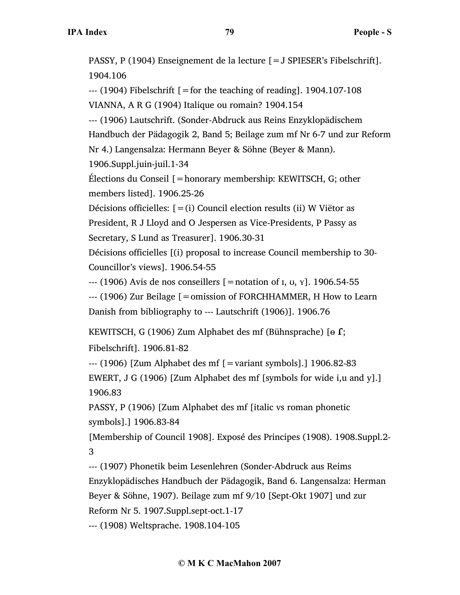PASSY, P (1904) Enseignement de la lecture [=J SPIESER's Fibelschrift]. 1904.106  $-$ -- $(1904)$  Fibelschrift [=for the teaching of reading]. 1904.107-108 VIANNA, A R G (1904) Italique ou romain? 1904.154 --- (1906) Lautschrift. (Sonder-Abdruck aus Reins Enzyklopädischem Handbuch der Pädagogik 2, Band 5; Beilage zum mf Nr 6-7 und zur Reform Nr 4.) Langensalza: Hermann Beyer & Söhne (Beyer & Mann). 1906.Suppl.juin-juil.1-34 Élections du Conseil [=honorary membership: KEWITSCH, G; other members listed]. 1906.25-26 Décisions officielles:  $[=(i)$  Council election results (ii) W Viëtor as President, R J Lloyd and O Jespersen as Vice-Presidents, P Passy as Secretary, S Lund as Treasurer]. 1906.30-31 Décisions officielles [(i) proposal to increase Council membership to 30- Councillor's views]. 1906.54-55  $-$ -- (1906) Avis de nos conseillers  $[$  = notation of  $I, U, Y]$ . 1906.54-55 --- (1906) Zur Beilage [=omission of FORCHHAMMER, H How to Learn Danish from bibliography to --- Lautschrift (1906)]. 1906.76 KEWITSCH, G (1906) Zum Alphabet des mf (Bühnsprache) [ $\theta$  f;

Fibelschrift]. 1906.81-82

--- (1906) [Zum Alphabet des mf [=variant symbols].] 1906.82-83 EWERT, J G (1906) [Zum Alphabet des mf [symbols for wide i,u and y].] 1906.83

PASSY, P (1906) [Zum Alphabet des mf [italic vs roman phonetic symbols].] 1906.83-84

[Membership of Council 1908]. Exposé des Principes (1908). 1908.Suppl.2- 3

--- (1907) Phonetik beim Lesenlehren (Sonder-Abdruck aus Reims Enzyklopädisches Handbuch der Pädagogik, Band 6. Langensalza: Herman Beyer & Söhne, 1907). Beilage zum mf 9/10 [Sept-Okt 1907] und zur Reform Nr 5. 1907.Suppl.sept-oct.1-17

--- (1908) Weltsprache. 1908.104-105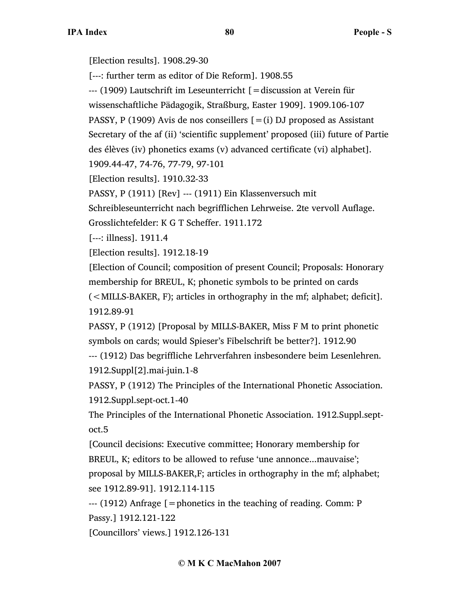[Election results]. 1908.29-30

[---: further term as editor of Die Reform]. 1908.55

--- (1909) Lautschrift im Leseunterricht [=discussion at Verein für

wissenschaftliche Pädagogik, Straßburg, Easter 1909]. 1909.106-107

PASSY, P (1909) Avis de nos conseillers  $[=(i)$  DJ proposed as Assistant

Secretary of the af (ii) 'scientific supplement' proposed (iii) future of Partie

des élèves (iv) phonetics exams (v) advanced certificate (vi) alphabet].

1909.44-47, 74-76, 77-79, 97-101

[Election results]. 1910.32-33

PASSY, P (1911) [Rev] --- (1911) Ein Klassenversuch mit

Schreibleseunterricht nach begrifflichen Lehrweise. 2te vervoll Auflage. Grosslichtefelder: K G T Scheffer. 1911.172

[---: illness]. 1911.4

[Election results]. 1912.18-19

[Election of Council; composition of present Council; Proposals: Honorary membership for BREUL, K; phonetic symbols to be printed on cards

(<MILLS-BAKER, F); articles in orthography in the mf; alphabet; deficit]. 1912.89-91

PASSY, P (1912) [Proposal by MILLS-BAKER, Miss F M to print phonetic symbols on cards; would Spieser's Fibelschrift be better?]. 1912.90

--- (1912) Das begriffliche Lehrverfahren insbesondere beim Lesenlehren. 1912.Suppl[2].mai-juin.1-8

PASSY, P (1912) The Principles of the International Phonetic Association. 1912.Suppl.sept-oct.1-40

The Principles of the International Phonetic Association. 1912.Suppl.septoct.5

[Council decisions: Executive committee; Honorary membership for BREUL, K; editors to be allowed to refuse 'une annonce...mauvaise'; proposal by MILLS-BAKER,F; articles in orthography in the mf; alphabet; see 1912.89-91]. 1912.114-115

--- (1912) Anfrage [=phonetics in the teaching of reading. Comm: P Passy.] 1912.121-122

[Councillors' views.] 1912.126-131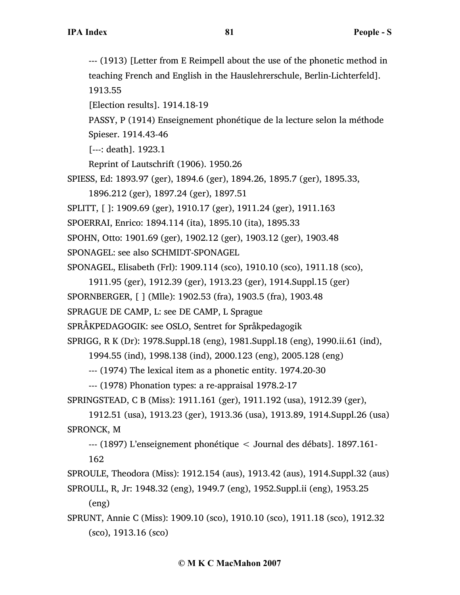--- (1913) [Letter from E Reimpell about the use of the phonetic method in teaching French and English in the Hauslehrerschule, Berlin-Lichterfeld]. 1913.55 [Election results]. 1914.18-19 PASSY, P (1914) Enseignement phonétique de la lecture selon la méthode Spieser. 1914.43-46 [---: death]. 1923.1 Reprint of Lautschrift (1906). 1950.26 SPIESS, Ed: 1893.97 (ger), 1894.6 (ger), 1894.26, 1895.7 (ger), 1895.33, 1896.212 (ger), 1897.24 (ger), 1897.51 SPLITT, [ ]: 1909.69 (ger), 1910.17 (ger), 1911.24 (ger), 1911.163 SPOERRAI, Enrico: 1894.114 (ita), 1895.10 (ita), 1895.33 SPOHN, Otto: 1901.69 (ger), 1902.12 (ger), 1903.12 (ger), 1903.48 SPONAGEL: see also SCHMIDT-SPONAGEL SPONAGEL, Elisabeth (Frl): 1909.114 (sco), 1910.10 (sco), 1911.18 (sco), 1911.95 (ger), 1912.39 (ger), 1913.23 (ger), 1914.Suppl.15 (ger) SPORNBERGER, [ ] (Mlle): 1902.53 (fra), 1903.5 (fra), 1903.48 SPRAGUE DE CAMP, L: see DE CAMP, L Sprague SPRÅKPEDAGOGIK: see OSLO, Sentret for Språkpedagogik SPRIGG, R K (Dr): 1978.Suppl.18 (eng), 1981.Suppl.18 (eng), 1990.ii.61 (ind), 1994.55 (ind), 1998.138 (ind), 2000.123 (eng), 2005.128 (eng) --- (1974) The lexical item as a phonetic entity. 1974.20-30 --- (1978) Phonation types: a re-appraisal 1978.2-17 SPRINGSTEAD, C B (Miss): 1911.161 (ger), 1911.192 (usa), 1912.39 (ger), 1912.51 (usa), 1913.23 (ger), 1913.36 (usa), 1913.89, 1914.Suppl.26 (usa) SPRONCK, M --- (1897) L'enseignement phonétique < Journal des débats]. 1897.161-

162

SPROULE, Theodora (Miss): 1912.154 (aus), 1913.42 (aus), 1914.Suppl.32 (aus)

SPROULL, R, Jr: 1948.32 (eng), 1949.7 (eng), 1952.Suppl.ii (eng), 1953.25 (eng)

SPRUNT, Annie C (Miss): 1909.10 (sco), 1910.10 (sco), 1911.18 (sco), 1912.32 (sco), 1913.16 (sco)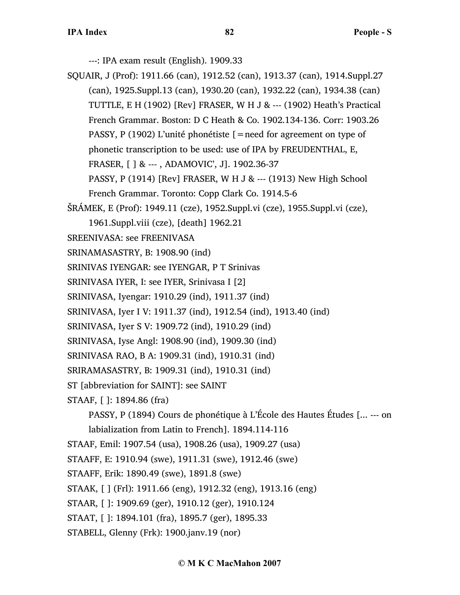---: IPA exam result (English). 1909.33

- SQUAIR, J (Prof): 1911.66 (can), 1912.52 (can), 1913.37 (can), 1914.Suppl.27 (can), 1925.Suppl.13 (can), 1930.20 (can), 1932.22 (can), 1934.38 (can) TUTTLE, E H (1902) [Rev] FRASER, W H J & --- (1902) Heath's Practical French Grammar. Boston: D C Heath & Co. 1902.134-136. Corr: 1903.26 PASSY, P (1902) L'unité phonétiste [=need for agreement on type of phonetic transcription to be used: use of IPA by FREUDENTHAL, E, FRASER, [ ] & --- , ADAMOVIC', J]. 1902.36-37 PASSY, P (1914) [Rev] FRASER, W H J & --- (1913) New High School French Grammar. Toronto: Copp Clark Co. 1914.5-6 ŠRÁMEK, E (Prof): 1949.11 (cze), 1952.Suppl.vi (cze), 1955.Suppl.vi (cze), 1961.Suppl.viii (cze), [death] 1962.21 SREENIVASA: see FREENIVASA SRINAMASASTRY, B: 1908.90 (ind) SRINIVAS IYENGAR: see IYENGAR, P T Srinivas SRINIVASA IYER, I: see IYER, Srinivasa I [2] SRINIVASA, Iyengar: 1910.29 (ind), 1911.37 (ind) SRINIVASA, Iyer I V: 1911.37 (ind), 1912.54 (ind), 1913.40 (ind) SRINIVASA, Iyer S V: 1909.72 (ind), 1910.29 (ind) SRINIVASA, Iyse Angl: 1908.90 (ind), 1909.30 (ind) SRINIVASA RAO, B A: 1909.31 (ind), 1910.31 (ind) SRIRAMASASTRY, B: 1909.31 (ind), 1910.31 (ind) ST [abbreviation for SAINT]: see SAINT
- STAAF, [ ]: 1894.86 (fra)

PASSY, P (1894) Cours de phonétique à L'École des Hautes Études [... --- on labialization from Latin to French]. 1894.114-116

STAAF, Emil: 1907.54 (usa), 1908.26 (usa), 1909.27 (usa)

STAAFF, E: 1910.94 (swe), 1911.31 (swe), 1912.46 (swe)

STAAFF, Erik: 1890.49 (swe), 1891.8 (swe)

STAAK, [ ] (Frl): 1911.66 (eng), 1912.32 (eng), 1913.16 (eng)

STAAR, [ ]: 1909.69 (ger), 1910.12 (ger), 1910.124

STAAT, [ ]: 1894.101 (fra), 1895.7 (ger), 1895.33

STABELL, Glenny (Frk): 1900.janv.19 (nor)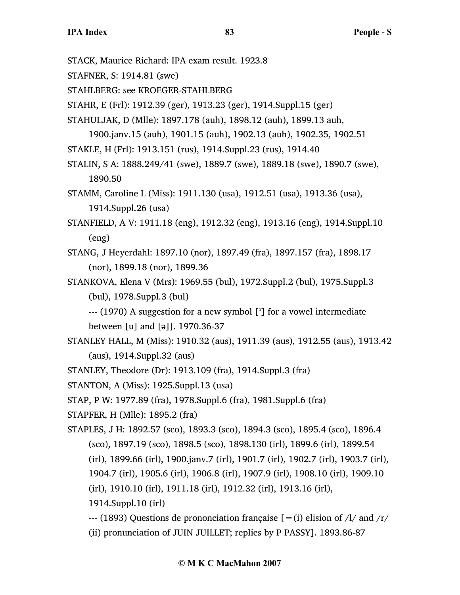- STACK, Maurice Richard: IPA exam result. 1923.8
- STAFNER, S: 1914.81 (swe)
- STAHLBERG: see KROEGER-STAHLBERG
- STAHR, E (Frl): 1912.39 (ger), 1913.23 (ger), 1914.Suppl.15 (ger)
- STAHULJAK, D (Mlle): 1897.178 (auh), 1898.12 (auh), 1899.13 auh,

1900.janv.15 (auh), 1901.15 (auh), 1902.13 (auh), 1902.35, 1902.51

- STAKLE, H (Frl): 1913.151 (rus), 1914.Suppl.23 (rus), 1914.40
- STALIN, S A: 1888.249/41 (swe), 1889.7 (swe), 1889.18 (swe), 1890.7 (swe), 1890.50
- STAMM, Caroline L (Miss): 1911.130 (usa), 1912.51 (usa), 1913.36 (usa), 1914.Suppl.26 (usa)
- STANFIELD, A V: 1911.18 (eng), 1912.32 (eng), 1913.16 (eng), 1914.Suppl.10 (eng)
- STANG, J Heyerdahl: 1897.10 (nor), 1897.49 (fra), 1897.157 (fra), 1898.17 (nor), 1899.18 (nor), 1899.36
- STANKOVA, Elena V (Mrs): 1969.55 (bul), 1972.Suppl.2 (bul), 1975.Suppl.3 (bul), 1978.Suppl.3 (bul)
	- --- (1970) A suggestion for a new symbol [<sup>3</sup>] for a vowel intermediate between [u] and [ə]]. 1970.36-37
- STANLEY HALL, M (Miss): 1910.32 (aus), 1911.39 (aus), 1912.55 (aus), 1913.42 (aus), 1914.Suppl.32 (aus)
- STANLEY, Theodore (Dr): 1913.109 (fra), 1914.Suppl.3 (fra)
- STANTON, A (Miss): 1925.Suppl.13 (usa)
- STAP, P W: 1977.89 (fra), 1978.Suppl.6 (fra), 1981.Suppl.6 (fra)
- STAPFER, H (Mlle): 1895.2 (fra)
- STAPLES, J H: 1892.57 (sco), 1893.3 (sco), 1894.3 (sco), 1895.4 (sco), 1896.4 (sco), 1897.19 (sco), 1898.5 (sco), 1898.130 (irl), 1899.6 (irl), 1899.54 (irl), 1899.66 (irl), 1900.janv.7 (irl), 1901.7 (irl), 1902.7 (irl), 1903.7 (irl), 1904.7 (irl), 1905.6 (irl), 1906.8 (irl), 1907.9 (irl), 1908.10 (irl), 1909.10 (irl), 1910.10 (irl), 1911.18 (irl), 1912.32 (irl), 1913.16 (irl),
	- 1914.Suppl.10 (irl)
	- --- (1893) Questions de prononciation française  $[=(i)]$  elision of  $/1/$  and  $/r/$
	- (ii) pronunciation of JUIN JUILLET; replies by P PASSY]. 1893.86-87

## **© M K C MacMahon 2007**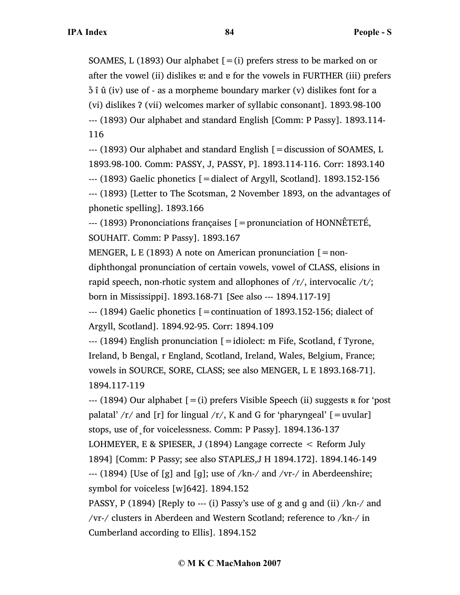SOAMES, L (1893) Our alphabet  $[=(i)]$  prefers stress to be marked on or after the vowel (ii) dislikes ɐː and ɐ for the vowels in FURTHER (iii) prefers  $\delta$  î û (iv) use of - as a morpheme boundary marker (v) dislikes font for a (vi) dislikes Ɂ (vii) welcomes marker of syllabic consonant]. 1893.98-100 --- (1893) Our alphabet and standard English [Comm: P Passy]. 1893.114- 116

--- (1893) Our alphabet and standard English [=discussion of SOAMES, L 1893.98-100. Comm: PASSY, J, PASSY, P]. 1893.114-116. Corr: 1893.140  $-$ -- (1893) Gaelic phonetics  $\mathcal{L} = 0$  dialect of Argyll, Scotland]. 1893.152-156 --- (1893) [Letter to The Scotsman, 2 November 1893, on the advantages of

phonetic spelling]. 1893.166

--- (1893) Prononciations françaises [=pronunciation of HONNÊTETÉ, SOUHAIT. Comm: P Passy]. 1893.167

MENGER, L E (1893) A note on American pronunciation  $\lceil = \text{non-} \rceil$ diphthongal pronunciation of certain vowels, vowel of CLASS, elisions in rapid speech, non-rhotic system and allophones of  $/r/$ , intervocalic  $/t/$ ; born in Mississippi]. 1893.168-71 [See also --- 1894.117-19]

--- (1894) Gaelic phonetics [=continuation of 1893.152-156; dialect of Argyll, Scotland]. 1894.92-95. Corr: 1894.109

--- (1894) English pronunciation [=idiolect: m Fife, Scotland, f Tyrone, Ireland, b Bengal, r England, Scotland, Ireland, Wales, Belgium, France; vowels in SOURCE, SORE, CLASS; see also MENGER, L E 1893.168-71]. 1894.117-119

 $-$ -- (1894) Our alphabet  $[=(i)]$  prefers Visible Speech (ii) suggests  $R$  for 'post palatal'  $/r/$  and [r] for lingual  $/r/$ , K and G for 'pharyngeal' [=uvular] stops, use of for voicelessness. Comm: P Passy]. 1894.136-137 LOHMEYER, E & SPIESER, J (1894) Langage correcte < Reform July 1894] [Comm: P Passy; see also STAPLES,J H 1894.172]. 1894.146-149  $-$ -- (1894) [Use of [g] and [g]; use of /kn-/ and /vr-/ in Aberdeenshire; symbol for voiceless [w]642]. 1894.152

PASSY, P (1894) [Reply to --- (i) Passy's use of g and g and (ii)  $/kn$ -/ and /vr-/ clusters in Aberdeen and Western Scotland; reference to /kn-/ in Cumberland according to Ellis]. 1894.152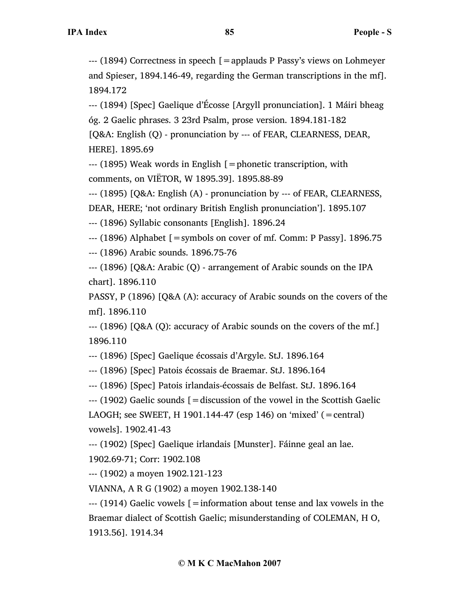--- (1894) Correctness in speech [=applauds P Passy's views on Lohmeyer and Spieser, 1894.146-49, regarding the German transcriptions in the mf]. 1894.172

--- (1894) [Spec] Gaelique d'Écosse [Argyll pronunciation]. 1 Máiri bheag óg. 2 Gaelic phrases. 3 23rd Psalm, prose version. 1894.181-182 [Q&A: English (Q) - pronunciation by --- of FEAR, CLEARNESS, DEAR, HERE]. 1895.69

--- (1895) Weak words in English [=phonetic transcription, with comments, on VIËTOR, W 1895.39]. 1895.88-89

--- (1895) [Q&A: English (A) - pronunciation by --- of FEAR, CLEARNESS,

DEAR, HERE; 'not ordinary British English pronunciation']. 1895.107

--- (1896) Syllabic consonants [English]. 1896.24

--- (1896) Alphabet [=symbols on cover of mf. Comm: P Passy]. 1896.75

--- (1896) Arabic sounds. 1896.75-76

--- (1896) [Q&A: Arabic (Q) - arrangement of Arabic sounds on the IPA chart]. 1896.110

PASSY, P (1896) [Q&A (A): accuracy of Arabic sounds on the covers of the mf]. 1896.110

--- (1896) [Q&A (Q): accuracy of Arabic sounds on the covers of the mf.] 1896.110

--- (1896) [Spec] Gaelique écossais d'Argyle. StJ. 1896.164

--- (1896) [Spec] Patois écossais de Braemar. StJ. 1896.164

--- (1896) [Spec] Patois irlandais-écossais de Belfast. StJ. 1896.164

--- (1902) Gaelic sounds [=discussion of the vowel in the Scottish Gaelic

LAOGH; see SWEET, H 1901.144-47 (esp 146) on 'mixed' (=central) vowels]. 1902.41-43

--- (1902) [Spec] Gaelique irlandais [Munster]. Fáinne geal an lae.

1902.69-71; Corr: 1902.108

--- (1902) a moyen 1902.121-123

VIANNA, A R G (1902) a moyen 1902.138-140

--- (1914) Gaelic vowels [=information about tense and lax vowels in the Braemar dialect of Scottish Gaelic; misunderstanding of COLEMAN, H O, 1913.56]. 1914.34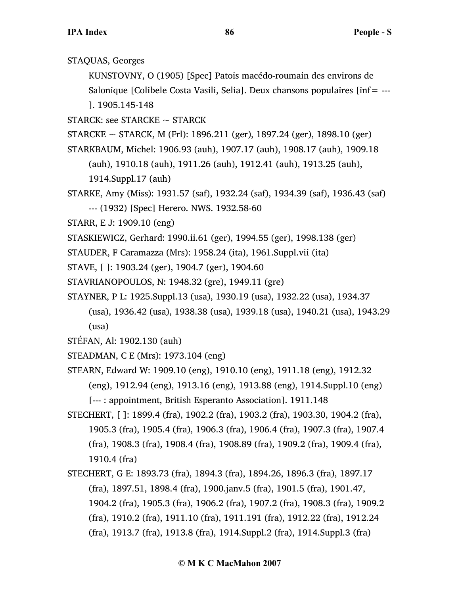STAQUAS, Georges

KUNSTOVNY, O (1905) [Spec] Patois macédo-roumain des environs de Salonique [Colibele Costa Vasili, Selia]. Deux chansons populaires [inf= --- ]. 1905.145-148

- STARCK: see STARCKE  $\sim$  STARCK
- STARCKE  $\sim$  STARCK, M (Frl): 1896.211 (ger), 1897.24 (ger), 1898.10 (ger)
- STARKBAUM, Michel: 1906.93 (auh), 1907.17 (auh), 1908.17 (auh), 1909.18
	- (auh), 1910.18 (auh), 1911.26 (auh), 1912.41 (auh), 1913.25 (auh),
	- 1914.Suppl.17 (auh)
- STARKE, Amy (Miss): 1931.57 (saf), 1932.24 (saf), 1934.39 (saf), 1936.43 (saf) --- (1932) [Spec] Herero. NWS. 1932.58-60
- STARR, E J: 1909.10 (eng)
- STASKIEWICZ, Gerhard: 1990.ii.61 (ger), 1994.55 (ger), 1998.138 (ger)
- STAUDER, F Caramazza (Mrs): 1958.24 (ita), 1961.Suppl.vii (ita)
- STAVE, [ ]: 1903.24 (ger), 1904.7 (ger), 1904.60
- STAVRIANOPOULOS, N: 1948.32 (gre), 1949.11 (gre)
- STAYNER, P L: 1925.Suppl.13 (usa), 1930.19 (usa), 1932.22 (usa), 1934.37
	- (usa), 1936.42 (usa), 1938.38 (usa), 1939.18 (usa), 1940.21 (usa), 1943.29 (usa)
- STÉFAN, Al: 1902.130 (auh)
- STEADMAN, C E (Mrs): 1973.104 (eng)
- STEARN, Edward W: 1909.10 (eng), 1910.10 (eng), 1911.18 (eng), 1912.32 (eng), 1912.94 (eng), 1913.16 (eng), 1913.88 (eng), 1914.Suppl.10 (eng) [--- : appointment, British Esperanto Association]. 1911.148
- STECHERT, [ ]: 1899.4 (fra), 1902.2 (fra), 1903.2 (fra), 1903.30, 1904.2 (fra), 1905.3 (fra), 1905.4 (fra), 1906.3 (fra), 1906.4 (fra), 1907.3 (fra), 1907.4 (fra), 1908.3 (fra), 1908.4 (fra), 1908.89 (fra), 1909.2 (fra), 1909.4 (fra), 1910.4 (fra)
- STECHERT, G E: 1893.73 (fra), 1894.3 (fra), 1894.26, 1896.3 (fra), 1897.17 (fra), 1897.51, 1898.4 (fra), 1900.janv.5 (fra), 1901.5 (fra), 1901.47, 1904.2 (fra), 1905.3 (fra), 1906.2 (fra), 1907.2 (fra), 1908.3 (fra), 1909.2 (fra), 1910.2 (fra), 1911.10 (fra), 1911.191 (fra), 1912.22 (fra), 1912.24 (fra), 1913.7 (fra), 1913.8 (fra), 1914.Suppl.2 (fra), 1914.Suppl.3 (fra)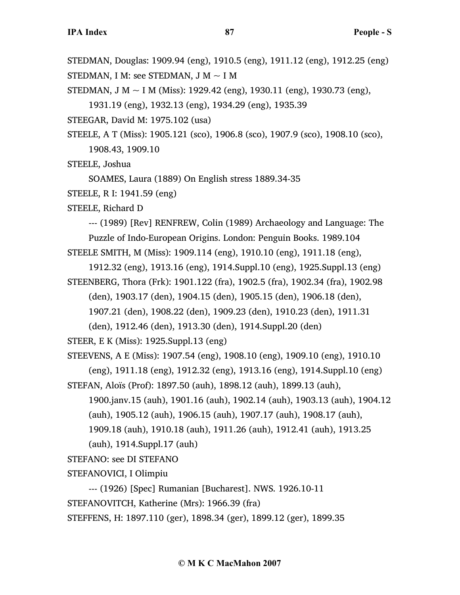STEDMAN, Douglas: 1909.94 (eng), 1910.5 (eng), 1911.12 (eng), 1912.25 (eng)

STEDMAN, I M: see STEDMAN, J M  $\sim$  I M

STEDMAN, J M  $\sim$  I M (Miss): 1929.42 (eng), 1930.11 (eng), 1930.73 (eng),

1931.19 (eng), 1932.13 (eng), 1934.29 (eng), 1935.39

STEEGAR, David M: 1975.102 (usa)

STEELE, A T (Miss): 1905.121 (sco), 1906.8 (sco), 1907.9 (sco), 1908.10 (sco), 1908.43, 1909.10

STEELE, Joshua

SOAMES, Laura (1889) On English stress 1889.34-35

STEELE, R I: 1941.59 (eng)

STEELE, Richard D

--- (1989) [Rev] RENFREW, Colin (1989) Archaeology and Language: The Puzzle of Indo-European Origins. London: Penguin Books. 1989.104 STEELE SMITH, M (Miss): 1909.114 (eng), 1910.10 (eng), 1911.18 (eng),

1912.32 (eng), 1913.16 (eng), 1914.Suppl.10 (eng), 1925.Suppl.13 (eng)

STEENBERG, Thora (Frk): 1901.122 (fra), 1902.5 (fra), 1902.34 (fra), 1902.98

(den), 1903.17 (den), 1904.15 (den), 1905.15 (den), 1906.18 (den),

1907.21 (den), 1908.22 (den), 1909.23 (den), 1910.23 (den), 1911.31

(den), 1912.46 (den), 1913.30 (den), 1914.Suppl.20 (den)

STEER, E K (Miss): 1925.Suppl.13 (eng)

STEEVENS, A E (Miss): 1907.54 (eng), 1908.10 (eng), 1909.10 (eng), 1910.10

(eng), 1911.18 (eng), 1912.32 (eng), 1913.16 (eng), 1914.Suppl.10 (eng) STEFAN, Aloïs (Prof): 1897.50 (auh), 1898.12 (auh), 1899.13 (auh),

1900.janv.15 (auh), 1901.16 (auh), 1902.14 (auh), 1903.13 (auh), 1904.12 (auh), 1905.12 (auh), 1906.15 (auh), 1907.17 (auh), 1908.17 (auh),

1909.18 (auh), 1910.18 (auh), 1911.26 (auh), 1912.41 (auh), 1913.25

(auh), 1914.Suppl.17 (auh)

STEFANO: see DI STEFANO

STEFANOVICI, I Olimpiu

--- (1926) [Spec] Rumanian [Bucharest]. NWS. 1926.10-11

STEFANOVITCH, Katherine (Mrs): 1966.39 (fra)

STEFFENS, H: 1897.110 (ger), 1898.34 (ger), 1899.12 (ger), 1899.35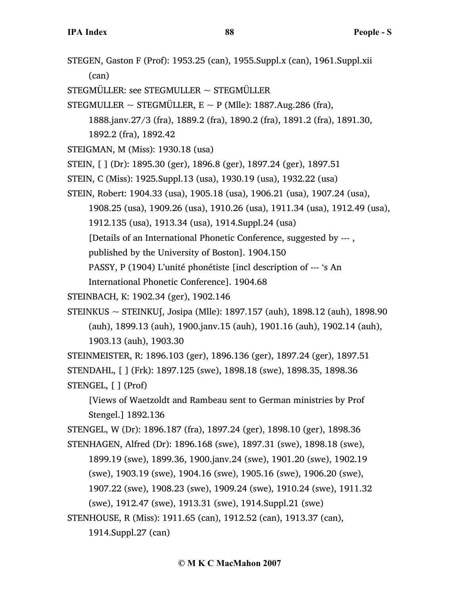- STEGEN, Gaston F (Prof): 1953.25 (can), 1955.Suppl.x (can), 1961.Suppl.xii (can)
- STEGMÜLLER: see STEGMULLER  $\sim$  STEGMÜLLER
- STEGMULLER  $\sim$  STEGMÜLLER, E  $\sim$  P (Mlle): 1887.Aug.286 (fra),

1888.janv.27/3 (fra), 1889.2 (fra), 1890.2 (fra), 1891.2 (fra), 1891.30,

1892.2 (fra), 1892.42

- STEIGMAN, M (Miss): 1930.18 (usa)
- STEIN, [ ] (Dr): 1895.30 (ger), 1896.8 (ger), 1897.24 (ger), 1897.51
- STEIN, C (Miss): 1925.Suppl.13 (usa), 1930.19 (usa), 1932.22 (usa)
- STEIN, Robert: 1904.33 (usa), 1905.18 (usa), 1906.21 (usa), 1907.24 (usa),
	- 1908.25 (usa), 1909.26 (usa), 1910.26 (usa), 1911.34 (usa), 1912.49 (usa),
	- 1912.135 (usa), 1913.34 (usa), 1914.Suppl.24 (usa)

[Details of an International Phonetic Conference, suggested by --- ,

published by the University of Boston]. 1904.150

PASSY, P (1904) L'unité phonétiste [incl description of --- 's An

International Phonetic Conference]. 1904.68

STEINBACH, K: 1902.34 (ger), 1902.146

STEINKUS ~ STEINKUʃ, Josipa (Mlle): 1897.157 (auh), 1898.12 (auh), 1898.90 (auh), 1899.13 (auh), 1900.janv.15 (auh), 1901.16 (auh), 1902.14 (auh), 1903.13 (auh), 1903.30

STEINMEISTER, R: 1896.103 (ger), 1896.136 (ger), 1897.24 (ger), 1897.51 STENDAHL, [ ] (Frk): 1897.125 (swe), 1898.18 (swe), 1898.35, 1898.36 STENGEL, [ ] (Prof)

[Views of Waetzoldt and Rambeau sent to German ministries by Prof Stengel.] 1892.136

STENGEL, W (Dr): 1896.187 (fra), 1897.24 (ger), 1898.10 (ger), 1898.36

STENHAGEN, Alfred (Dr): 1896.168 (swe), 1897.31 (swe), 1898.18 (swe),

1899.19 (swe), 1899.36, 1900.janv.24 (swe), 1901.20 (swe), 1902.19

(swe), 1903.19 (swe), 1904.16 (swe), 1905.16 (swe), 1906.20 (swe),

1907.22 (swe), 1908.23 (swe), 1909.24 (swe), 1910.24 (swe), 1911.32

(swe), 1912.47 (swe), 1913.31 (swe), 1914.Suppl.21 (swe)

STENHOUSE, R (Miss): 1911.65 (can), 1912.52 (can), 1913.37 (can),

1914.Suppl.27 (can)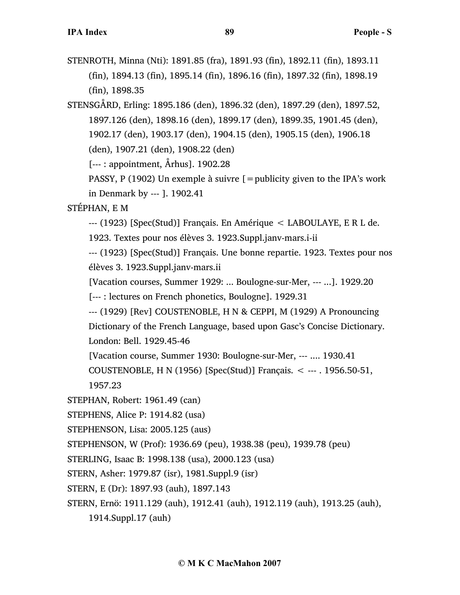STENROTH, Minna (Nti): 1891.85 (fra), 1891.93 (fin), 1892.11 (fin), 1893.11 (fin), 1894.13 (fin), 1895.14 (fin), 1896.16 (fin), 1897.32 (fin), 1898.19 (fin), 1898.35

STENSGÅRD, Erling: 1895.186 (den), 1896.32 (den), 1897.29 (den), 1897.52, 1897.126 (den), 1898.16 (den), 1899.17 (den), 1899.35, 1901.45 (den), 1902.17 (den), 1903.17 (den), 1904.15 (den), 1905.15 (den), 1906.18 (den), 1907.21 (den), 1908.22 (den)

[--- : appointment, Århus]. 1902.28

PASSY, P (1902) Un exemple à suivre  $\mathfrak{g} =$  publicity given to the IPA's work in Denmark by --- ]. 1902.41

## STÉPHAN, E M

--- (1923) [Spec(Stud)] Français. En Amérique < LABOULAYE, E R L de.

1923. Textes pour nos élèves 3. 1923.Suppl.janv-mars.i-ii

--- (1923) [Spec(Stud)] Français. Une bonne repartie. 1923. Textes pour nos élèves 3. 1923.Suppl.janv-mars.ii

[Vacation courses, Summer 1929: ... Boulogne-sur-Mer, --- ...]. 1929.20

[--- : lectures on French phonetics, Boulogne]. 1929.31

--- (1929) [Rev] COUSTENOBLE, H N & CEPPI, M (1929) A Pronouncing

Dictionary of the French Language, based upon Gasc's Concise Dictionary. London: Bell. 1929.45-46

[Vacation course, Summer 1930: Boulogne-sur-Mer, --- .... 1930.41

COUSTENOBLE, H N (1956) [Spec(Stud)] Français. < --- . 1956.50-51, 1957.23

STEPHAN, Robert: 1961.49 (can)

STEPHENS, Alice P: 1914.82 (usa)

STEPHENSON, Lisa: 2005.125 (aus)

STEPHENSON, W (Prof): 1936.69 (peu), 1938.38 (peu), 1939.78 (peu)

STERLING, Isaac B: 1998.138 (usa), 2000.123 (usa)

STERN, Asher: 1979.87 (isr), 1981.Suppl.9 (isr)

STERN, E (Dr): 1897.93 (auh), 1897.143

STERN, Ernö: 1911.129 (auh), 1912.41 (auh), 1912.119 (auh), 1913.25 (auh),

1914.Suppl.17 (auh)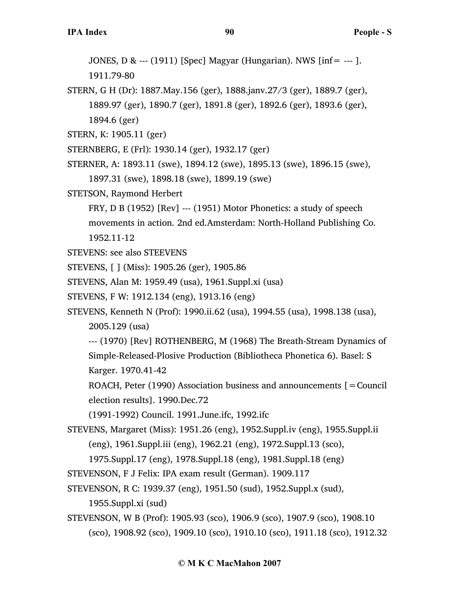JONES, D & --- (1911) [Spec] Magyar (Hungarian). NWS [inf= --- ].

1911.79-80

STERN, G H (Dr): 1887.May.156 (ger), 1888.janv.27/3 (ger), 1889.7 (ger), 1889.97 (ger), 1890.7 (ger), 1891.8 (ger), 1892.6 (ger), 1893.6 (ger), 1894.6 (ger)

STERN, K: 1905.11 (ger)

- STERNBERG, E (Frl): 1930.14 (ger), 1932.17 (ger)
- STERNER, A: 1893.11 (swe), 1894.12 (swe), 1895.13 (swe), 1896.15 (swe), 1897.31 (swe), 1898.18 (swe), 1899.19 (swe)
- STETSON, Raymond Herbert
	- FRY, D B (1952) [Rev] --- (1951) Motor Phonetics: a study of speech movements in action. 2nd ed.Amsterdam: North-Holland Publishing Co. 1952.11-12
- STEVENS: see also STEEVENS
- STEVENS, [ ] (Miss): 1905.26 (ger), 1905.86
- STEVENS, Alan M: 1959.49 (usa), 1961.Suppl.xi (usa)
- STEVENS, F W: 1912.134 (eng), 1913.16 (eng)

STEVENS, Kenneth N (Prof): 1990.ii.62 (usa), 1994.55 (usa), 1998.138 (usa),

2005.129 (usa)

--- (1970) [Rev] ROTHENBERG, M (1968) The Breath-Stream Dynamics of Simple-Released-Plosive Production (Bibliotheca Phonetica 6). Basel: S Karger. 1970.41-42

ROACH, Peter (1990) Association business and announcements  $\mathbf{r} =$  Council election results]. 1990.Dec.72

(1991-1992) Council. 1991.June.ifc, 1992.ifc

STEVENS, Margaret (Miss): 1951.26 (eng), 1952.Suppl.iv (eng), 1955.Suppl.ii (eng), 1961.Suppl.iii (eng), 1962.21 (eng), 1972.Suppl.13 (sco),

1975.Suppl.17 (eng), 1978.Suppl.18 (eng), 1981.Suppl.18 (eng)

STEVENSON, F J Felix: IPA exam result (German). 1909.117

STEVENSON, R C: 1939.37 (eng), 1951.50 (sud), 1952.Suppl.x (sud),

1955.Suppl.xi (sud)

STEVENSON, W B (Prof): 1905.93 (sco), 1906.9 (sco), 1907.9 (sco), 1908.10 (sco), 1908.92 (sco), 1909.10 (sco), 1910.10 (sco), 1911.18 (sco), 1912.32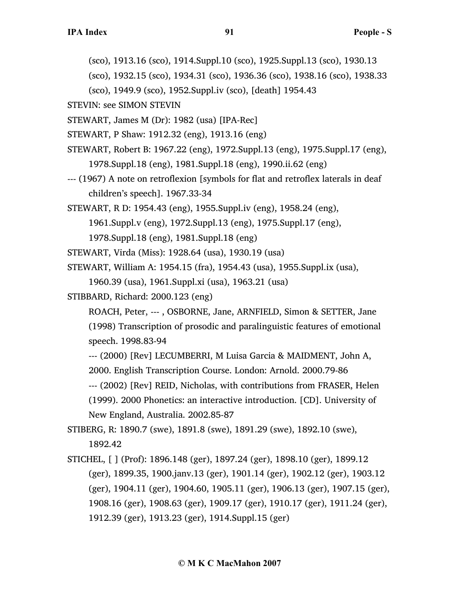(sco), 1913.16 (sco), 1914.Suppl.10 (sco), 1925.Suppl.13 (sco), 1930.13

(sco), 1932.15 (sco), 1934.31 (sco), 1936.36 (sco), 1938.16 (sco), 1938.33

(sco), 1949.9 (sco), 1952.Suppl.iv (sco), [death] 1954.43

STEVIN: see SIMON STEVIN

STEWART, James M (Dr): 1982 (usa) [IPA-Rec]

STEWART, P Shaw: 1912.32 (eng), 1913.16 (eng)

- STEWART, Robert B: 1967.22 (eng), 1972.Suppl.13 (eng), 1975.Suppl.17 (eng), 1978.Suppl.18 (eng), 1981.Suppl.18 (eng), 1990.ii.62 (eng)
- --- (1967) A note on retroflexion [symbols for flat and retroflex laterals in deaf children's speech]. 1967.33-34

STEWART, R D: 1954.43 (eng), 1955.Suppl.iv (eng), 1958.24 (eng),

1961.Suppl.v (eng), 1972.Suppl.13 (eng), 1975.Suppl.17 (eng),

1978.Suppl.18 (eng), 1981.Suppl.18 (eng)

STEWART, Virda (Miss): 1928.64 (usa), 1930.19 (usa)

STEWART, William A: 1954.15 (fra), 1954.43 (usa), 1955.Suppl.ix (usa),

1960.39 (usa), 1961.Suppl.xi (usa), 1963.21 (usa)

STIBBARD, Richard: 2000.123 (eng)

ROACH, Peter, --- , OSBORNE, Jane, ARNFIELD, Simon & SETTER, Jane (1998) Transcription of prosodic and paralinguistic features of emotional speech. 1998.83-94

--- (2000) [Rev] LECUMBERRI, M Luisa Garcia & MAIDMENT, John A,

2000. English Transcription Course. London: Arnold. 2000.79-86

--- (2002) [Rev] REID, Nicholas, with contributions from FRASER, Helen (1999). 2000 Phonetics: an interactive introduction. [CD]. University of New England, Australia. 2002.85-87

STIBERG, R: 1890.7 (swe), 1891.8 (swe), 1891.29 (swe), 1892.10 (swe), 1892.42

STICHEL, [ ] (Prof): 1896.148 (ger), 1897.24 (ger), 1898.10 (ger), 1899.12 (ger), 1899.35, 1900.janv.13 (ger), 1901.14 (ger), 1902.12 (ger), 1903.12 (ger), 1904.11 (ger), 1904.60, 1905.11 (ger), 1906.13 (ger), 1907.15 (ger), 1908.16 (ger), 1908.63 (ger), 1909.17 (ger), 1910.17 (ger), 1911.24 (ger), 1912.39 (ger), 1913.23 (ger), 1914.Suppl.15 (ger)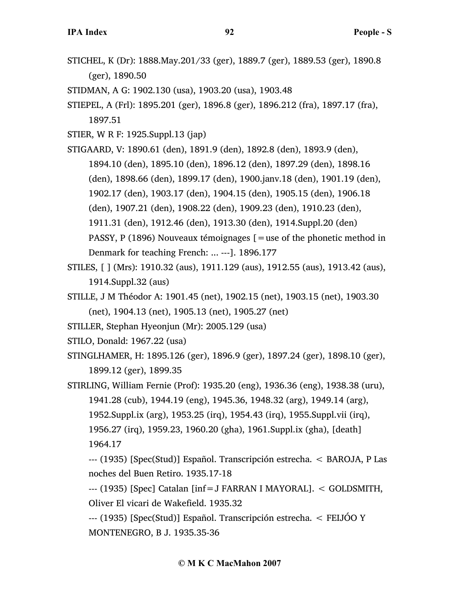- STICHEL, K (Dr): 1888.May.201/33 (ger), 1889.7 (ger), 1889.53 (ger), 1890.8 (ger), 1890.50
- STIDMAN, A G: 1902.130 (usa), 1903.20 (usa), 1903.48
- STIEPEL, A (Frl): 1895.201 (ger), 1896.8 (ger), 1896.212 (fra), 1897.17 (fra), 1897.51
- STIER, W R F: 1925.Suppl.13 (jap)
- STIGAARD, V: 1890.61 (den), 1891.9 (den), 1892.8 (den), 1893.9 (den), 1894.10 (den), 1895.10 (den), 1896.12 (den), 1897.29 (den), 1898.16 (den), 1898.66 (den), 1899.17 (den), 1900.janv.18 (den), 1901.19 (den), 1902.17 (den), 1903.17 (den), 1904.15 (den), 1905.15 (den), 1906.18 (den), 1907.21 (den), 1908.22 (den), 1909.23 (den), 1910.23 (den),
	- 1911.31 (den), 1912.46 (den), 1913.30 (den), 1914.Suppl.20 (den)
	- PASSY, P (1896) Nouveaux témoignages [=use of the phonetic method in Denmark for teaching French: ... ---]. 1896.177
- STILES, [ ] (Mrs): 1910.32 (aus), 1911.129 (aus), 1912.55 (aus), 1913.42 (aus), 1914.Suppl.32 (aus)
- STILLE, J M Théodor A: 1901.45 (net), 1902.15 (net), 1903.15 (net), 1903.30 (net), 1904.13 (net), 1905.13 (net), 1905.27 (net)
- STILLER, Stephan Hyeonjun (Mr): 2005.129 (usa)
- STILO, Donald: 1967.22 (usa)
- STINGLHAMER, H: 1895.126 (ger), 1896.9 (ger), 1897.24 (ger), 1898.10 (ger), 1899.12 (ger), 1899.35
- STIRLING, William Fernie (Prof): 1935.20 (eng), 1936.36 (eng), 1938.38 (uru), 1941.28 (cub), 1944.19 (eng), 1945.36, 1948.32 (arg), 1949.14 (arg), 1952.Suppl.ix (arg), 1953.25 (irq), 1954.43 (irq), 1955.Suppl.vii (irq), 1956.27 (irq), 1959.23, 1960.20 (gha), 1961.Suppl.ix (gha), [death] 1964.17
	- --- (1935) [Spec(Stud)] Español. Transcripción estrecha. < BAROJA, P Las noches del Buen Retiro. 1935.17-18
	- --- (1935) [Spec] Catalan [inf=J FARRAN I MAYORAL]. < GOLDSMITH, Oliver El vicari de Wakefield. 1935.32
	- --- (1935) [Spec(Stud)] Español. Transcripción estrecha. < FEIJÓO Y MONTENEGRO, B J. 1935.35-36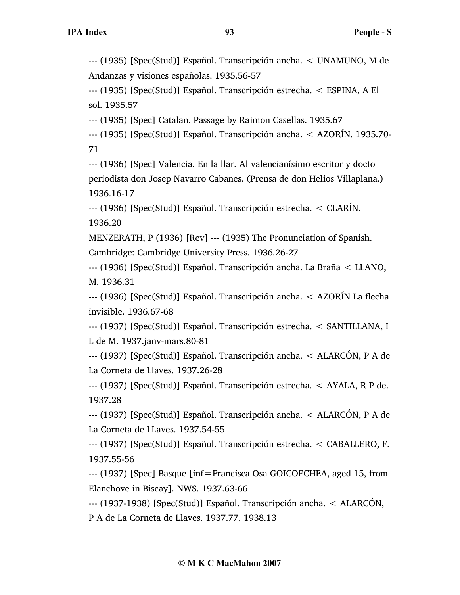--- (1935) [Spec(Stud)] Español. Transcripción ancha. < UNAMUNO, M de Andanzas y visiones españolas. 1935.56-57

--- (1935) [Spec(Stud)] Español. Transcripción estrecha. < ESPINA, A El sol. 1935.57

--- (1935) [Spec] Catalan. Passage by Raimon Casellas. 1935.67

--- (1935) [Spec(Stud)] Español. Transcripción ancha. < AZORÍN. 1935.70- 71

--- (1936) [Spec] Valencia. En la llar. Al valencianísimo escritor y docto periodista don Josep Navarro Cabanes. (Prensa de don Helios Villaplana.) 1936.16-17

--- (1936) [Spec(Stud)] Español. Transcripción estrecha. < CLARÍN. 1936.20

MENZERATH, P (1936) [Rev] --- (1935) The Pronunciation of Spanish. Cambridge: Cambridge University Press. 1936.26-27

--- (1936) [Spec(Stud)] Español. Transcripción ancha. La Braña < LLANO, M. 1936.31

--- (1936) [Spec(Stud)] Español. Transcripción ancha. < AZORÍN La flecha invisible. 1936.67-68

--- (1937) [Spec(Stud)] Español. Transcripción estrecha. < SANTILLANA, I L de M. 1937.janv-mars.80-81

--- (1937) [Spec(Stud)] Español. Transcripción ancha. < ALARCÓN, P A de La Corneta de Llaves. 1937.26-28

--- (1937) [Spec(Stud)] Español. Transcripción estrecha. < AYALA, R P de. 1937.28

--- (1937) [Spec(Stud)] Español. Transcripción ancha. < ALARCÓN, P A de La Corneta de LLaves. 1937.54-55

--- (1937) [Spec(Stud)] Español. Transcripción estrecha. < CABALLERO, F. 1937.55-56

--- (1937) [Spec] Basque [inf=Francisca Osa GOICOECHEA, aged 15, from Elanchove in Biscay]. NWS. 1937.63-66

--- (1937-1938) [Spec(Stud)] Español. Transcripción ancha. < ALARCÓN,

P A de La Corneta de Llaves. 1937.77, 1938.13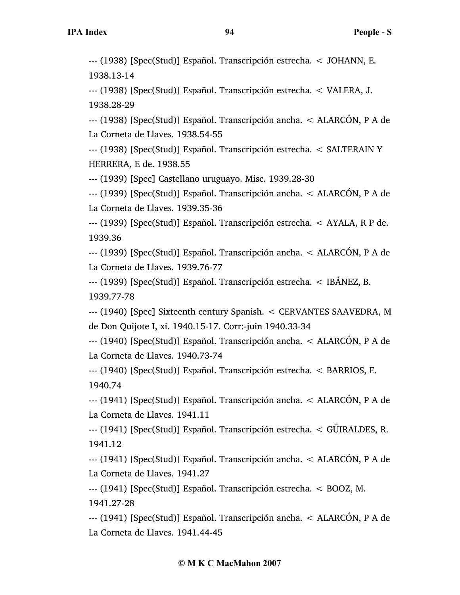--- (1938) [Spec(Stud)] Español. Transcripción estrecha. < JOHANN, E. 1938.13-14

--- (1938) [Spec(Stud)] Español. Transcripción estrecha. < VALERA, J. 1938.28-29

--- (1938) [Spec(Stud)] Español. Transcripción ancha. < ALARCÓN, P A de La Corneta de Llaves. 1938.54-55

--- (1938) [Spec(Stud)] Español. Transcripción estrecha. < SALTERAIN Y HERRERA, E de. 1938.55

--- (1939) [Spec] Castellano uruguayo. Misc. 1939.28-30

--- (1939) [Spec(Stud)] Español. Transcripción ancha. < ALARCÓN, P A de La Corneta de Llaves. 1939.35-36

--- (1939) [Spec(Stud)] Español. Transcripción estrecha. < AYALA, R P de. 1939.36

--- (1939) [Spec(Stud)] Español. Transcripción ancha. < ALARCÓN, P A de La Corneta de Llaves. 1939.76-77

--- (1939) [Spec(Stud)] Español. Transcripción estrecha. < IBÁNEZ, B. 1939.77-78

--- (1940) [Spec] Sixteenth century Spanish. < CERVANTES SAAVEDRA, M de Don Quijote I, xi. 1940.15-17. Corr:-juin 1940.33-34

--- (1940) [Spec(Stud)] Español. Transcripción ancha. < ALARCÓN, P A de La Corneta de Llaves. 1940.73-74

--- (1940) [Spec(Stud)] Español. Transcripción estrecha. < BARRIOS, E. 1940.74

--- (1941) [Spec(Stud)] Español. Transcripción ancha. < ALARCÓN, P A de La Corneta de Llaves. 1941.11

--- (1941) [Spec(Stud)] Español. Transcripción estrecha. < GÜIRALDES, R. 1941.12

--- (1941) [Spec(Stud)] Español. Transcripción ancha. < ALARCÓN, P A de La Corneta de Llaves. 1941.27

--- (1941) [Spec(Stud)] Español. Transcripción estrecha. < BOOZ, M. 1941.27-28

--- (1941) [Spec(Stud)] Español. Transcripción ancha. < ALARCÓN, P A de La Corneta de Llaves. 1941.44-45

## **© M K C MacMahon 2007**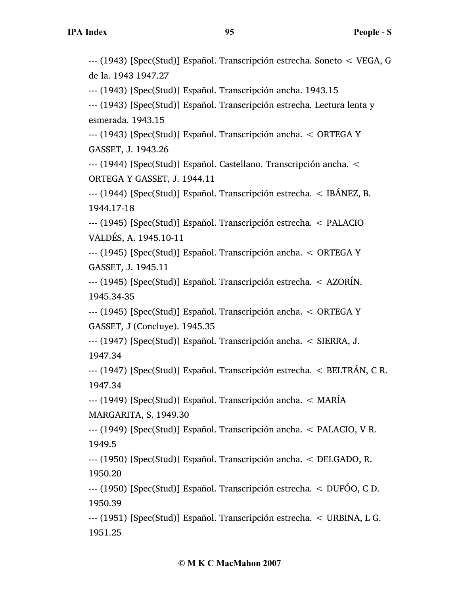--- (1943) [Spec(Stud)] Español. Transcripción estrecha. Soneto < VEGA, G de la. 1943 1947.27

--- (1943) [Spec(Stud)] Español. Transcripción ancha. 1943.15

--- (1943) [Spec(Stud)] Español. Transcripción estrecha. Lectura lenta y esmerada. 1943.15

--- (1943) [Spec(Stud)] Español. Transcripción ancha. < ORTEGA Y GASSET, J. 1943.26

--- (1944) [Spec(Stud)] Español. Castellano. Transcripción ancha. < ORTEGA Y GASSET, J. 1944.11

--- (1944) [Spec(Stud)] Español. Transcripción estrecha. < IBÁNEZ, B. 1944.17-18

--- (1945) [Spec(Stud)] Español. Transcripción estrecha. < PALACIO VALDÉS, A. 1945.10-11

--- (1945) [Spec(Stud)] Español. Transcripción ancha. < ORTEGA Y GASSET, J. 1945.11

--- (1945) [Spec(Stud)] Español. Transcripción estrecha. < AZORÍN. 1945.34-35

--- (1945) [Spec(Stud)] Español. Transcripción ancha. < ORTEGA Y GASSET, J (Concluye). 1945.35

--- (1947) [Spec(Stud)] Español. Transcripción ancha. < SIERRA, J. 1947.34

--- (1947) [Spec(Stud)] Español. Transcripción estrecha. < BELTRÁN, C R. 1947.34

--- (1949) [Spec(Stud)] Español. Transcripción ancha. < MARÍA MARGARITA, S. 1949.30

--- (1949) [Spec(Stud)] Español. Transcripción ancha. < PALACIO, V R. 1949.5

--- (1950) [Spec(Stud)] Español. Transcripción ancha. < DELGADO, R. 1950.20

--- (1950) [Spec(Stud)] Español. Transcripción estrecha. < DUFÓO, C D. 1950.39

--- (1951) [Spec(Stud)] Español. Transcripción estrecha. < URBINA, L G. 1951.25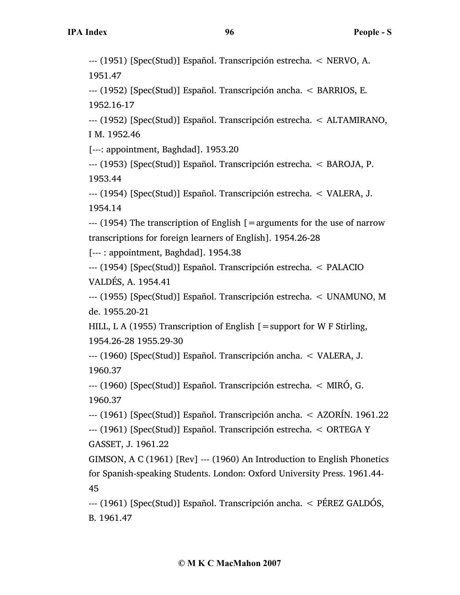--- (1951) [Spec(Stud)] Español. Transcripción estrecha. < NERVO, A. 1951.47

--- (1952) [Spec(Stud)] Español. Transcripción ancha. < BARRIOS, E. 1952.16-17

--- (1952) [Spec(Stud)] Español. Transcripción estrecha. < ALTAMIRANO, I M. 1952.46

[---: appointment, Baghdad]. 1953.20

--- (1953) [Spec(Stud)] Español. Transcripción estrecha. < BAROJA, P. 1953.44

--- (1954) [Spec(Stud)] Español. Transcripción estrecha. < VALERA, J. 1954.14

 $-$ -- $(1954)$  The transcription of English [=arguments for the use of narrow transcriptions for foreign learners of English]. 1954.26-28

[--- : appointment, Baghdad]. 1954.38

--- (1954) [Spec(Stud)] Español. Transcripción estrecha. < PALACIO VALDÉS, A. 1954.41

--- (1955) [Spec(Stud)] Español. Transcripción estrecha. < UNAMUNO, M de. 1955.20-21

HILL, L A (1955) Transcription of English  $[$  = support for W F Stirling, 1954.26-28 1955.29-30

--- (1960) [Spec(Stud)] Español. Transcripción ancha. < VALERA, J. 1960.37

--- (1960) [Spec(Stud)] Español. Transcripción estrecha. < MIRÓ, G. 1960.37

--- (1961) [Spec(Stud)] Español. Transcripción ancha. < AZORÍN. 1961.22 --- (1961) [Spec(Stud)] Español. Transcripción estrecha. < ORTEGA Y

GASSET, J. 1961.22

GIMSON, A C (1961) [Rev] --- (1960) An Introduction to English Phonetics for Spanish-speaking Students. London: Oxford University Press. 1961.44- 45

--- (1961) [Spec(Stud)] Español. Transcripción ancha. < PÉREZ GALDÓS, B. 1961.47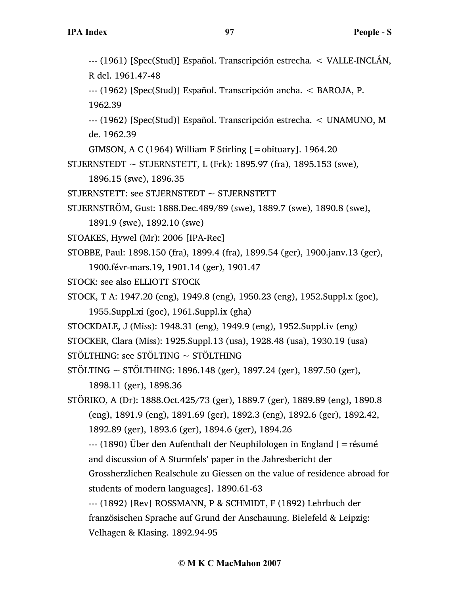--- (1961) [Spec(Stud)] Español. Transcripción estrecha. < VALLE-INCLÁN, R del. 1961.47-48 --- (1962) [Spec(Stud)] Español. Transcripción ancha. < BAROJA, P. 1962.39 --- (1962) [Spec(Stud)] Español. Transcripción estrecha. < UNAMUNO, M de. 1962.39 GIMSON, A C (1964) William F Stirling  $[=$  obituary]. 1964.20 STJERNSTEDT  $\sim$  STJERNSTETT, L (Frk): 1895.97 (fra), 1895.153 (swe), 1896.15 (swe), 1896.35 STJERNSTETT: see STJERNSTEDT  $\sim$  STJERNSTETT STJERNSTRÖM, Gust: 1888.Dec.489/89 (swe), 1889.7 (swe), 1890.8 (swe), 1891.9 (swe), 1892.10 (swe) STOAKES, Hywel (Mr): 2006 [IPA-Rec] STOBBE, Paul: 1898.150 (fra), 1899.4 (fra), 1899.54 (ger), 1900.janv.13 (ger), 1900.févr-mars.19, 1901.14 (ger), 1901.47 STOCK: see also ELLIOTT STOCK STOCK, T A: 1947.20 (eng), 1949.8 (eng), 1950.23 (eng), 1952.Suppl.x (goc), 1955.Suppl.xi (goc), 1961.Suppl.ix (gha) STOCKDALE, J (Miss): 1948.31 (eng), 1949.9 (eng), 1952.Suppl.iv (eng) STOCKER, Clara (Miss): 1925.Suppl.13 (usa), 1928.48 (usa), 1930.19 (usa) STÖLTHING: see STÖLTING ~ STÖLTHING STÖLTING  $\sim$  STÖLTHING: 1896.148 (ger), 1897.24 (ger), 1897.50 (ger), 1898.11 (ger), 1898.36 STÖRIKO, A (Dr): 1888.Oct.425/73 (ger), 1889.7 (ger), 1889.89 (eng), 1890.8 (eng), 1891.9 (eng), 1891.69 (ger), 1892.3 (eng), 1892.6 (ger), 1892.42, 1892.89 (ger), 1893.6 (ger), 1894.6 (ger), 1894.26 --- (1890) Über den Aufenthalt der Neuphilologen in England [=résumé and discussion of A Sturmfels' paper in the Jahresbericht der Grossherzlichen Realschule zu Giessen on the value of residence abroad for students of modern languages]. 1890.61-63 --- (1892) [Rev] ROSSMANN, P & SCHMIDT, F (1892) Lehrbuch der französischen Sprache auf Grund der Anschauung. Bielefeld & Leipzig: Velhagen & Klasing. 1892.94-95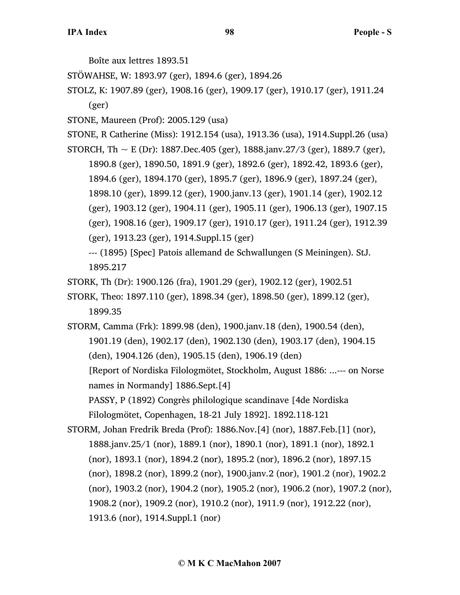Boîte aux lettres 1893.51

STÖWAHSE, W: 1893.97 (ger), 1894.6 (ger), 1894.26

STOLZ, K: 1907.89 (ger), 1908.16 (ger), 1909.17 (ger), 1910.17 (ger), 1911.24 (ger)

STONE, Maureen (Prof): 2005.129 (usa)

STONE, R Catherine (Miss): 1912.154 (usa), 1913.36 (usa), 1914.Suppl.26 (usa)

STORCH, Th  $\sim$  E (Dr): 1887.Dec.405 (ger), 1888.janv.27/3 (ger), 1889.7 (ger), 1890.8 (ger), 1890.50, 1891.9 (ger), 1892.6 (ger), 1892.42, 1893.6 (ger), 1894.6 (ger), 1894.170 (ger), 1895.7 (ger), 1896.9 (ger), 1897.24 (ger), 1898.10 (ger), 1899.12 (ger), 1900.janv.13 (ger), 1901.14 (ger), 1902.12 (ger), 1903.12 (ger), 1904.11 (ger), 1905.11 (ger), 1906.13 (ger), 1907.15 (ger), 1908.16 (ger), 1909.17 (ger), 1910.17 (ger), 1911.24 (ger), 1912.39 (ger), 1913.23 (ger), 1914.Suppl.15 (ger)

--- (1895) [Spec] Patois allemand de Schwallungen (S Meiningen). StJ. 1895.217

STORK, Th (Dr): 1900.126 (fra), 1901.29 (ger), 1902.12 (ger), 1902.51

STORK, Theo: 1897.110 (ger), 1898.34 (ger), 1898.50 (ger), 1899.12 (ger), 1899.35

STORM, Camma (Frk): 1899.98 (den), 1900.janv.18 (den), 1900.54 (den), 1901.19 (den), 1902.17 (den), 1902.130 (den), 1903.17 (den), 1904.15 (den), 1904.126 (den), 1905.15 (den), 1906.19 (den) [Report of Nordiska Filologmötet, Stockholm, August 1886: ...--- on Norse names in Normandy] 1886.Sept.[4] PASSY, P (1892) Congrès philologique scandinave [4de Nordiska Filologmötet, Copenhagen, 18-21 July 1892]. 1892.118-121

STORM, Johan Fredrik Breda (Prof): 1886.Nov.[4] (nor), 1887.Feb.[1] (nor), 1888.janv.25/1 (nor), 1889.1 (nor), 1890.1 (nor), 1891.1 (nor), 1892.1 (nor), 1893.1 (nor), 1894.2 (nor), 1895.2 (nor), 1896.2 (nor), 1897.15 (nor), 1898.2 (nor), 1899.2 (nor), 1900.janv.2 (nor), 1901.2 (nor), 1902.2 (nor), 1903.2 (nor), 1904.2 (nor), 1905.2 (nor), 1906.2 (nor), 1907.2 (nor), 1908.2 (nor), 1909.2 (nor), 1910.2 (nor), 1911.9 (nor), 1912.22 (nor), 1913.6 (nor), 1914.Suppl.1 (nor)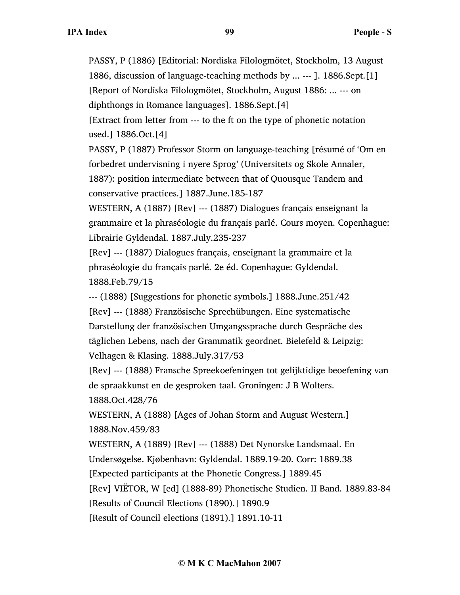PASSY, P (1886) [Editorial: Nordiska Filologmötet, Stockholm, 13 August 1886, discussion of language-teaching methods by ... --- ]. 1886.Sept.[1] [Report of Nordiska Filologmötet, Stockholm, August 1886: ... --- on diphthongs in Romance languages]. 1886.Sept.[4]

[Extract from letter from --- to the ft on the type of phonetic notation used.] 1886.Oct.[4]

PASSY, P (1887) Professor Storm on language-teaching [résumé of 'Om en forbedret undervisning i nyere Sprog' (Universitets og Skole Annaler, 1887): position intermediate between that of Quousque Tandem and

conservative practices.] 1887.June.185-187

WESTERN, A (1887) [Rev] --- (1887) Dialogues français enseignant la grammaire et la phraséologie du français parlé. Cours moyen. Copenhague: Librairie Gyldendal. 1887.July.235-237

[Rev] --- (1887) Dialogues français, enseignant la grammaire et la phraséologie du français parlé. 2e éd. Copenhague: Gyldendal. 1888.Feb.79/15

--- (1888) [Suggestions for phonetic symbols.] 1888.June.251/42

[Rev] --- (1888) Französische Sprechübungen. Eine systematische Darstellung der französischen Umgangssprache durch Gespräche des täglichen Lebens, nach der Grammatik geordnet. Bielefeld & Leipzig: Velhagen & Klasing. 1888.July.317/53

[Rev] --- (1888) Fransche Spreekoefeningen tot gelijktidige beoefening van de spraakkunst en de gesproken taal. Groningen: J B Wolters.

1888.Oct.428/76

WESTERN, A (1888) [Ages of Johan Storm and August Western.] 1888.Nov.459/83

WESTERN, A (1889) [Rev] --- (1888) Det Nynorske Landsmaal. En

Undersøgelse. Kjøbenhavn: Gyldendal. 1889.19-20. Corr: 1889.38

[Expected participants at the Phonetic Congress.] 1889.45

[Rev] VIËTOR, W [ed] (1888-89) Phonetische Studien. II Band. 1889.83-84

[Results of Council Elections (1890).] 1890.9

[Result of Council elections (1891).] 1891.10-11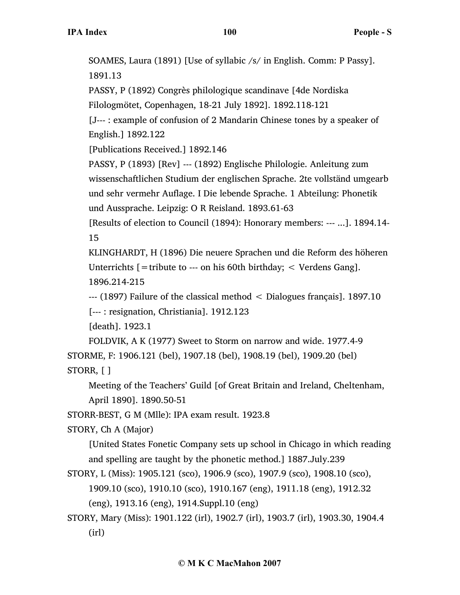SOAMES, Laura (1891) [Use of syllabic /s/ in English. Comm: P Passy]. 1891.13 PASSY, P (1892) Congrès philologique scandinave [4de Nordiska Filologmötet, Copenhagen, 18-21 July 1892]. 1892.118-121 [J--- : example of confusion of 2 Mandarin Chinese tones by a speaker of English.] 1892.122 [Publications Received.] 1892.146 PASSY, P (1893) [Rev] --- (1892) Englische Philologie. Anleitung zum wissenschaftlichen Studium der englischen Sprache. 2te vollständ umgearb und sehr vermehr Auflage. I Die lebende Sprache. 1 Abteilung: Phonetik und Aussprache. Leipzig: O R Reisland. 1893.61-63 [Results of election to Council (1894): Honorary members: --- ...]. 1894.14- 15 KLINGHARDT, H (1896) Die neuere Sprachen und die Reform des höheren Unterrichts  $[$  = tribute to --- on his 60th birthday;  $\lt$  Verdens Gang]. 1896.214-215 --- (1897) Failure of the classical method < Dialogues français]. 1897.10 [--- : resignation, Christiania]. 1912.123 [death]. 1923.1 FOLDVIK, A K (1977) Sweet to Storm on narrow and wide. 1977.4-9 STORME, F: 1906.121 (bel), 1907.18 (bel), 1908.19 (bel), 1909.20 (bel) STORR, [ ] Meeting of the Teachers' Guild [of Great Britain and Ireland, Cheltenham,

April 1890]. 1890.50-51

STORR-BEST, G M (Mlle): IPA exam result. 1923.8

STORY, Ch A (Major)

[United States Fonetic Company sets up school in Chicago in which reading and spelling are taught by the phonetic method.] 1887.July.239

- STORY, L (Miss): 1905.121 (sco), 1906.9 (sco), 1907.9 (sco), 1908.10 (sco), 1909.10 (sco), 1910.10 (sco), 1910.167 (eng), 1911.18 (eng), 1912.32 (eng), 1913.16 (eng), 1914.Suppl.10 (eng)
- STORY, Mary (Miss): 1901.122 (irl), 1902.7 (irl), 1903.7 (irl), 1903.30, 1904.4 (irl)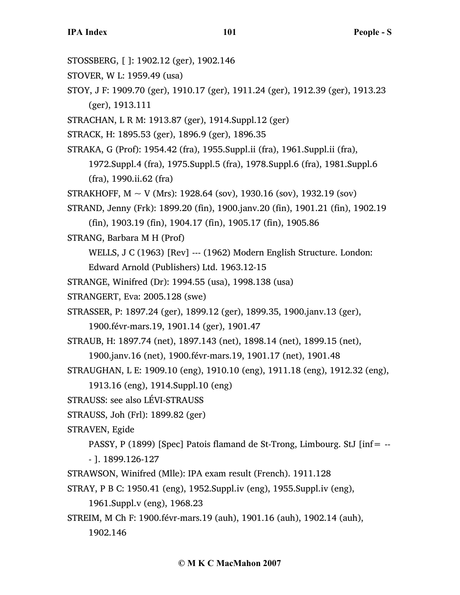**IPA Index 101 People - S** STOSSBERG, [ ]: 1902.12 (ger), 1902.146 STOVER, W L: 1959.49 (usa) STOY, J F: 1909.70 (ger), 1910.17 (ger), 1911.24 (ger), 1912.39 (ger), 1913.23 (ger), 1913.111 STRACHAN, L R M: 1913.87 (ger), 1914.Suppl.12 (ger) STRACK, H: 1895.53 (ger), 1896.9 (ger), 1896.35 STRAKA, G (Prof): 1954.42 (fra), 1955.Suppl.ii (fra), 1961.Suppl.ii (fra), 1972.Suppl.4 (fra), 1975.Suppl.5 (fra), 1978.Suppl.6 (fra), 1981.Suppl.6 (fra), 1990.ii.62 (fra) STRAKHOFF,  $M \sim V$  (Mrs): 1928.64 (sov), 1930.16 (sov), 1932.19 (sov) STRAND, Jenny (Frk): 1899.20 (fin), 1900.janv.20 (fin), 1901.21 (fin), 1902.19 (fin), 1903.19 (fin), 1904.17 (fin), 1905.17 (fin), 1905.86 STRANG, Barbara M H (Prof) WELLS, J C (1963) [Rev] --- (1962) Modern English Structure. London: Edward Arnold (Publishers) Ltd. 1963.12-15 STRANGE, Winifred (Dr): 1994.55 (usa), 1998.138 (usa) STRANGERT, Eva: 2005.128 (swe) STRASSER, P: 1897.24 (ger), 1899.12 (ger), 1899.35, 1900.janv.13 (ger), 1900.févr-mars.19, 1901.14 (ger), 1901.47 STRAUB, H: 1897.74 (net), 1897.143 (net), 1898.14 (net), 1899.15 (net), 1900.janv.16 (net), 1900.févr-mars.19, 1901.17 (net), 1901.48 STRAUGHAN, L E: 1909.10 (eng), 1910.10 (eng), 1911.18 (eng), 1912.32 (eng), 1913.16 (eng), 1914.Suppl.10 (eng) STRAUSS: see also LÉVI-STRAUSS STRAUSS, Joh (Frl): 1899.82 (ger) STRAVEN, Egide PASSY, P (1899) [Spec] Patois flamand de St-Trong, Limbourg. StJ [inf= -- - ]. 1899.126-127 STRAWSON, Winifred (Mlle): IPA exam result (French). 1911.128 STRAY, P B C: 1950.41 (eng), 1952.Suppl.iv (eng), 1955.Suppl.iv (eng),

1961.Suppl.v (eng), 1968.23

STREIM, M Ch F: 1900.févr-mars.19 (auh), 1901.16 (auh), 1902.14 (auh),

1902.146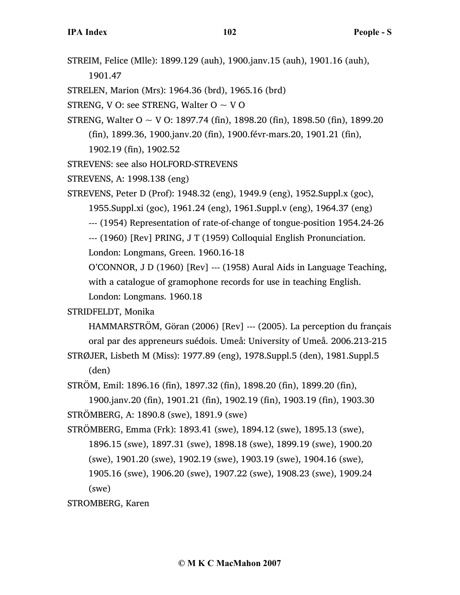STREIM, Felice (Mlle): 1899.129 (auh), 1900.janv.15 (auh), 1901.16 (auh), 1901.47

STRELEN, Marion (Mrs): 1964.36 (brd), 1965.16 (brd)

STRENG, V O: see STRENG, Walter  $O \sim V O$ 

STRENG, Walter  $O \sim V O$ : 1897.74 (fin), 1898.20 (fin), 1898.50 (fin), 1899.20

(fin), 1899.36, 1900.janv.20 (fin), 1900.févr-mars.20, 1901.21 (fin),

1902.19 (fin), 1902.52

STREVENS: see also HOLFORD-STREVENS

STREVENS, A: 1998.138 (eng)

STREVENS, Peter D (Prof): 1948.32 (eng), 1949.9 (eng), 1952.Suppl.x (goc),

1955.Suppl.xi (goc), 1961.24 (eng), 1961.Suppl.v (eng), 1964.37 (eng)

--- (1954) Representation of rate-of-change of tongue-position 1954.24-26

--- (1960) [Rev] PRING, J T (1959) Colloquial English Pronunciation.

London: Longmans, Green. 1960.16-18

O'CONNOR, J D (1960) [Rev] --- (1958) Aural Aids in Language Teaching, with a catalogue of gramophone records for use in teaching English.

London: Longmans. 1960.18

STRIDFELDT, Monika

HAMMARSTRÖM, Göran (2006) [Rev] --- (2005). La perception du français oral par des appreneurs suédois. Umeå: University of Umeå. 2006.213-215

STRØJER, Lisbeth M (Miss): 1977.89 (eng), 1978.Suppl.5 (den), 1981.Suppl.5 (den)

STRÖM, Emil: 1896.16 (fin), 1897.32 (fin), 1898.20 (fin), 1899.20 (fin),

1900.janv.20 (fin), 1901.21 (fin), 1902.19 (fin), 1903.19 (fin), 1903.30 STRÖMBERG, A: 1890.8 (swe), 1891.9 (swe)

STRÖMBERG, Emma (Frk): 1893.41 (swe), 1894.12 (swe), 1895.13 (swe), 1896.15 (swe), 1897.31 (swe), 1898.18 (swe), 1899.19 (swe), 1900.20 (swe), 1901.20 (swe), 1902.19 (swe), 1903.19 (swe), 1904.16 (swe), 1905.16 (swe), 1906.20 (swe), 1907.22 (swe), 1908.23 (swe), 1909.24 (swe)

STROMBERG, Karen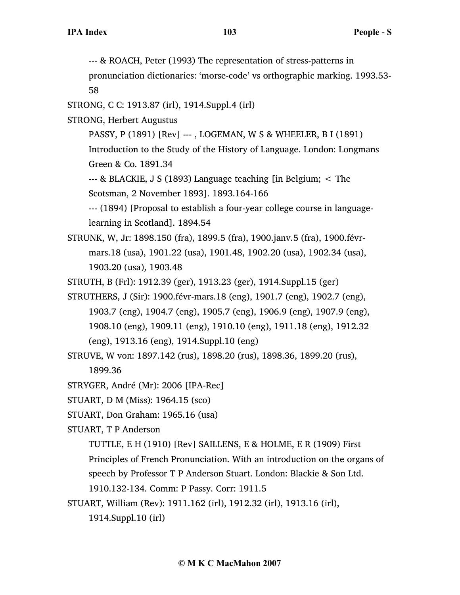--- & ROACH, Peter (1993) The representation of stress-patterns in

pronunciation dictionaries: 'morse-code' vs orthographic marking. 1993.53- 58

- STRONG, C C: 1913.87 (irl), 1914.Suppl.4 (irl)
- STRONG, Herbert Augustus
	- PASSY, P (1891) [Rev] --- , LOGEMAN, W S & WHEELER, B I (1891)

Introduction to the Study of the History of Language. London: Longmans Green & Co. 1891.34

--- & BLACKIE, J S (1893) Language teaching [in Belgium; < The Scotsman, 2 November 1893]. 1893.164-166

--- (1894) [Proposal to establish a four-year college course in languagelearning in Scotland]. 1894.54

STRUNK, W, Jr: 1898.150 (fra), 1899.5 (fra), 1900.janv.5 (fra), 1900.févrmars.18 (usa), 1901.22 (usa), 1901.48, 1902.20 (usa), 1902.34 (usa), 1903.20 (usa), 1903.48

STRUTH, B (Frl): 1912.39 (ger), 1913.23 (ger), 1914.Suppl.15 (ger)

- STRUTHERS, J (Sir): 1900.févr-mars.18 (eng), 1901.7 (eng), 1902.7 (eng), 1903.7 (eng), 1904.7 (eng), 1905.7 (eng), 1906.9 (eng), 1907.9 (eng), 1908.10 (eng), 1909.11 (eng), 1910.10 (eng), 1911.18 (eng), 1912.32 (eng), 1913.16 (eng), 1914.Suppl.10 (eng)
- STRUVE, W von: 1897.142 (rus), 1898.20 (rus), 1898.36, 1899.20 (rus), 1899.36
- STRYGER, André (Mr): 2006 [IPA-Rec]
- STUART, D M (Miss): 1964.15 (sco)
- STUART, Don Graham: 1965.16 (usa)
- STUART, T P Anderson

TUTTLE, E H (1910) [Rev] SAILLENS, E & HOLME, E R (1909) First

Principles of French Pronunciation. With an introduction on the organs of

speech by Professor T P Anderson Stuart. London: Blackie & Son Ltd.

1910.132-134. Comm: P Passy. Corr: 1911.5

STUART, William (Rev): 1911.162 (irl), 1912.32 (irl), 1913.16 (irl),

1914.Suppl.10 (irl)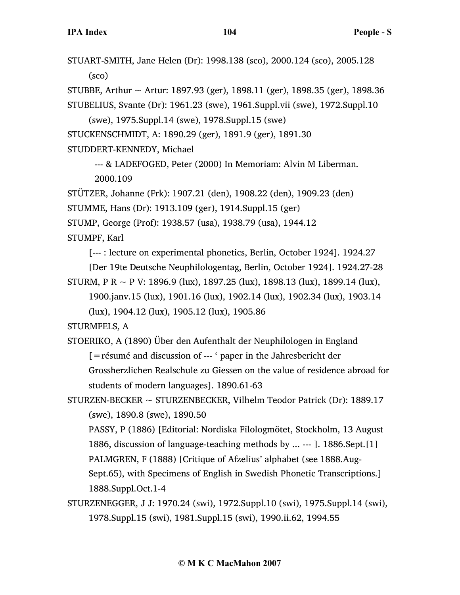STUART-SMITH, Jane Helen (Dr): 1998.138 (sco), 2000.124 (sco), 2005.128 (sco)

STUBBE, Arthur  $\sim$  Artur: 1897.93 (ger), 1898.11 (ger), 1898.35 (ger), 1898.36

STUBELIUS, Svante (Dr): 1961.23 (swe), 1961.Suppl.vii (swe), 1972.Suppl.10

(swe), 1975.Suppl.14 (swe), 1978.Suppl.15 (swe)

STUCKENSCHMIDT, A: 1890.29 (ger), 1891.9 (ger), 1891.30

STUDDERT-KENNEDY, Michael

--- & LADEFOGED, Peter (2000) In Memoriam: Alvin M Liberman. 2000.109

STÜTZER, Johanne (Frk): 1907.21 (den), 1908.22 (den), 1909.23 (den)

STUMME, Hans (Dr): 1913.109 (ger), 1914.Suppl.15 (ger)

STUMP, George (Prof): 1938.57 (usa), 1938.79 (usa), 1944.12

STUMPF, Karl

[--- : lecture on experimental phonetics, Berlin, October 1924]. 1924.27

[Der 19te Deutsche Neuphilologentag, Berlin, October 1924]. 1924.27-28

STURM, P R  $\sim$  P V: 1896.9 (lux), 1897.25 (lux), 1898.13 (lux), 1899.14 (lux), 1900.janv.15 (lux), 1901.16 (lux), 1902.14 (lux), 1902.34 (lux), 1903.14 (lux), 1904.12 (lux), 1905.12 (lux), 1905.86

STURMFELS, A

STOERIKO, A (1890) Über den Aufenthalt der Neuphilologen in England [=résumé and discussion of --- ' paper in the Jahresbericht der Grossherzlichen Realschule zu Giessen on the value of residence abroad for students of modern languages]. 1890.61-63

STURZEN-BECKER ~ STURZENBECKER, Vilhelm Teodor Patrick (Dr): 1889.17 (swe), 1890.8 (swe), 1890.50

PASSY, P (1886) [Editorial: Nordiska Filologmötet, Stockholm, 13 August 1886, discussion of language-teaching methods by ... --- ]. 1886.Sept.[1] PALMGREN, F (1888) [Critique of Afzelius' alphabet (see 1888.Aug-Sept.65), with Specimens of English in Swedish Phonetic Transcriptions.] 1888.Suppl.Oct.1-4

STURZENEGGER, J J: 1970.24 (swi), 1972.Suppl.10 (swi), 1975.Suppl.14 (swi), 1978.Suppl.15 (swi), 1981.Suppl.15 (swi), 1990.ii.62, 1994.55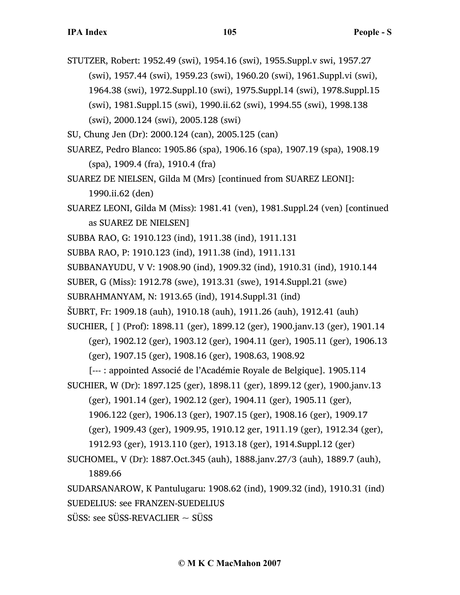- STUTZER, Robert: 1952.49 (swi), 1954.16 (swi), 1955.Suppl.v swi, 1957.27 (swi), 1957.44 (swi), 1959.23 (swi), 1960.20 (swi), 1961.Suppl.vi (swi), 1964.38 (swi), 1972.Suppl.10 (swi), 1975.Suppl.14 (swi), 1978.Suppl.15 (swi), 1981.Suppl.15 (swi), 1990.ii.62 (swi), 1994.55 (swi), 1998.138 (swi), 2000.124 (swi), 2005.128 (swi)
- SU, Chung Jen (Dr): 2000.124 (can), 2005.125 (can)
- SUAREZ, Pedro Blanco: 1905.86 (spa), 1906.16 (spa), 1907.19 (spa), 1908.19 (spa), 1909.4 (fra), 1910.4 (fra)
- SUAREZ DE NIELSEN, Gilda M (Mrs) [continued from SUAREZ LEONI]: 1990.ii.62 (den)
- SUAREZ LEONI, Gilda M (Miss): 1981.41 (ven), 1981.Suppl.24 (ven) [continued as SUAREZ DE NIELSEN]
- SUBBA RAO, G: 1910.123 (ind), 1911.38 (ind), 1911.131
- SUBBA RAO, P: 1910.123 (ind), 1911.38 (ind), 1911.131
- SUBBANAYUDU, V V: 1908.90 (ind), 1909.32 (ind), 1910.31 (ind), 1910.144
- SUBER, G (Miss): 1912.78 (swe), 1913.31 (swe), 1914.Suppl.21 (swe)
- SUBRAHMANYAM, N: 1913.65 (ind), 1914.Suppl.31 (ind)
- ŠUBRT, Fr: 1909.18 (auh), 1910.18 (auh), 1911.26 (auh), 1912.41 (auh)
- SUCHIER, [ ] (Prof): 1898.11 (ger), 1899.12 (ger), 1900.janv.13 (ger), 1901.14 (ger), 1902.12 (ger), 1903.12 (ger), 1904.11 (ger), 1905.11 (ger), 1906.13 (ger), 1907.15 (ger), 1908.16 (ger), 1908.63, 1908.92
	- [--- : appointed Associé de l'Académie Royale de Belgique]. 1905.114
- SUCHIER, W (Dr): 1897.125 (ger), 1898.11 (ger), 1899.12 (ger), 1900.janv.13
	- (ger), 1901.14 (ger), 1902.12 (ger), 1904.11 (ger), 1905.11 (ger),
	- 1906.122 (ger), 1906.13 (ger), 1907.15 (ger), 1908.16 (ger), 1909.17
	- (ger), 1909.43 (ger), 1909.95, 1910.12 ger, 1911.19 (ger), 1912.34 (ger),
	- 1912.93 (ger), 1913.110 (ger), 1913.18 (ger), 1914.Suppl.12 (ger)
- SUCHOMEL, V (Dr): 1887.Oct.345 (auh), 1888.janv.27/3 (auh), 1889.7 (auh), 1889.66
- SUDARSANAROW, K Pantulugaru: 1908.62 (ind), 1909.32 (ind), 1910.31 (ind) SUEDELIUS: see FRANZEN-SUEDELIUS
- $SÜSS:$  see  $SÜSS$ -REVACLIER  $\sim$  SUSS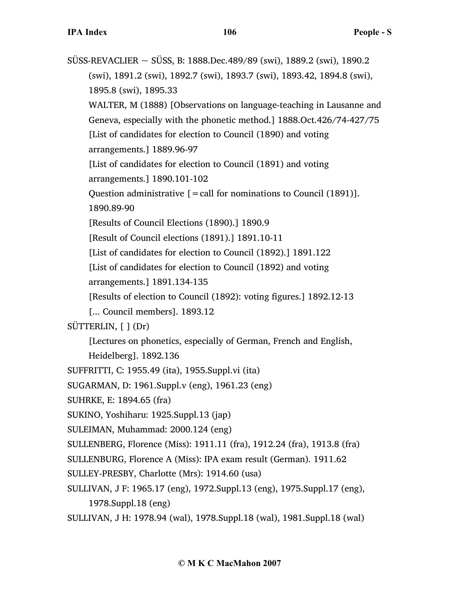$SÜSS-REVACLIER \sim SÜSS$ , B: 1888.Dec.489/89 (swi), 1889.2 (swi), 1890.2 (swi), 1891.2 (swi), 1892.7 (swi), 1893.7 (swi), 1893.42, 1894.8 (swi), 1895.8 (swi), 1895.33 WALTER, M (1888) [Observations on language-teaching in Lausanne and Geneva, especially with the phonetic method.] 1888.Oct.426/74-427/75 [List of candidates for election to Council (1890) and voting arrangements.] 1889.96-97 [List of candidates for election to Council (1891) and voting arrangements.] 1890.101-102 Question administrative  $[=$  call for nominations to Council (1891)]. 1890.89-90 [Results of Council Elections (1890).] 1890.9 [Result of Council elections (1891).] 1891.10-11 [List of candidates for election to Council (1892).] 1891.122 [List of candidates for election to Council (1892) and voting arrangements.] 1891.134-135 [Results of election to Council (1892): voting figures.] 1892.12-13 [... Council members]. 1893.12 SÜTTERLIN, [ ] (Dr) [Lectures on phonetics, especially of German, French and English, Heidelberg]. 1892.136 SUFFRITTI, C: 1955.49 (ita), 1955.Suppl.vi (ita) SUGARMAN, D: 1961.Suppl.v (eng), 1961.23 (eng) SUHRKE, E: 1894.65 (fra) SUKINO, Yoshiharu: 1925.Suppl.13 (jap) SULEIMAN, Muhammad: 2000.124 (eng) SULLENBERG, Florence (Miss): 1911.11 (fra), 1912.24 (fra), 1913.8 (fra) SULLENBURG, Florence A (Miss): IPA exam result (German). 1911.62 SULLEY-PRESBY, Charlotte (Mrs): 1914.60 (usa) SULLIVAN, J F: 1965.17 (eng), 1972.Suppl.13 (eng), 1975.Suppl.17 (eng), 1978.Suppl.18 (eng)

SULLIVAN, J H: 1978.94 (wal), 1978.Suppl.18 (wal), 1981.Suppl.18 (wal)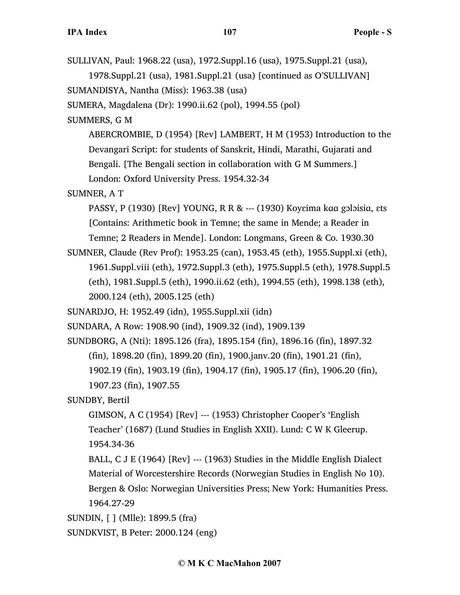SULLIVAN, Paul: 1968.22 (usa), 1972.Suppl.16 (usa), 1975.Suppl.21 (usa), 1978.Suppl.21 (usa), 1981.Suppl.21 (usa) [continued as O'SULLIVAN] SUMANDISYA, Nantha (Miss): 1963.38 (usa) SUMERA, Magdalena (Dr): 1990.ii.62 (pol), 1994.55 (pol) SUMMERS, G M ABERCROMBIE, D (1954) [Rev] LAMBERT, H M (1953) Introduction to the Devangari Script: for students of Sanskrit, Hindi, Marathi, Gujarati and Bengali. [The Bengali section in collaboration with G M Summers.] London: Oxford University Press. 1954.32-34 SUMNER, A T PASSY, P (1930) [Rev] YOUNG, R R & --- (1930) Koyɛima kɑɑ gɔlɔisiɑ, ɛts [Contains: Arithmetic book in Temne; the same in Mende; a Reader in Temne; 2 Readers in Mende]. London: Longmans, Green & Co. 1930.30 SUMNER, Claude (Rev Prof): 1953.25 (can), 1953.45 (eth), 1955.Suppl.xi (eth), 1961.Suppl.viii (eth), 1972.Suppl.3 (eth), 1975.Suppl.5 (eth), 1978.Suppl.5 (eth), 1981.Suppl.5 (eth), 1990.ii.62 (eth), 1994.55 (eth), 1998.138 (eth), 2000.124 (eth), 2005.125 (eth) SUNARDJO, H: 1952.49 (idn), 1955.Suppl.xii (idn) SUNDARA, A Row: 1908.90 (ind), 1909.32 (ind), 1909.139 SUNDBORG, A (Nti): 1895.126 (fra), 1895.154 (fin), 1896.16 (fin), 1897.32 (fin), 1898.20 (fin), 1899.20 (fin), 1900.janv.20 (fin), 1901.21 (fin), 1902.19 (fin), 1903.19 (fin), 1904.17 (fin), 1905.17 (fin), 1906.20 (fin), 1907.23 (fin), 1907.55 SUNDBY, Bertil GIMSON, A C (1954) [Rev] --- (1953) Christopher Cooper's 'English Teacher' (1687) (Lund Studies in English XXII). Lund: C W K Gleerup. 1954.34-36 BALL, C J E (1964) [Rev] --- (1963) Studies in the Middle English Dialect Material of Worcestershire Records (Norwegian Studies in English No 10). Bergen & Oslo: Norwegian Universities Press; New York: Humanities Press. 1964.27-29 SUNDIN, [ ] (Mlle): 1899.5 (fra) SUNDKVIST, B Peter: 2000.124 (eng)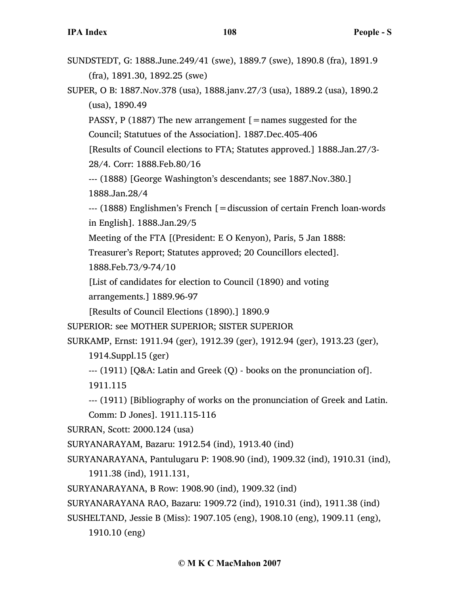| SUNDSTEDT, G: 1888.June.249/41 (swe), 1889.7 (swe), 1890.8 (fra), 1891.9         |  |
|----------------------------------------------------------------------------------|--|
| $(fra)$ , 1891.30, 1892.25 (swe)                                                 |  |
| SUPER, O B: 1887. Nov. 378 (usa), 1888. janv. 27/3 (usa), 1889. 2 (usa), 1890. 2 |  |

PASSY, P (1887) The new arrangement  $[$  = names suggested for the

Council; Statutues of the Association]. 1887.Dec.405-406

[Results of Council elections to FTA; Statutes approved.] 1888.Jan.27/3-

28/4. Corr: 1888.Feb.80/16

(usa), 1890.49

--- (1888) [George Washington's descendants; see 1887.Nov.380.] 1888.Jan.28/4

--- (1888) Englishmen's French [=discussion of certain French loan-words in English]. 1888.Jan.29/5

Meeting of the FTA [(President: E O Kenyon), Paris, 5 Jan 1888:

Treasurer's Report; Statutes approved; 20 Councillors elected].

1888.Feb.73/9-74/10

[List of candidates for election to Council (1890) and voting

arrangements.] 1889.96-97

[Results of Council Elections (1890).] 1890.9

SUPERIOR: see MOTHER SUPERIOR; SISTER SUPERIOR

SURKAMP, Ernst: 1911.94 (ger), 1912.39 (ger), 1912.94 (ger), 1913.23 (ger),

1914.Suppl.15 (ger)

```
--- (1911) [Q&A: Latin and Greek (Q) - books on the pronunciation of].
```
1911.115

--- (1911) [Bibliography of works on the pronunciation of Greek and Latin.

Comm: D Jones]. 1911.115-116

SURRAN, Scott: 2000.124 (usa)

SURYANARAYAM, Bazaru: 1912.54 (ind), 1913.40 (ind)

SURYANARAYANA, Pantulugaru P: 1908.90 (ind), 1909.32 (ind), 1910.31 (ind), 1911.38 (ind), 1911.131,

SURYANARAYANA, B Row: 1908.90 (ind), 1909.32 (ind)

SURYANARAYANA RAO, Bazaru: 1909.72 (ind), 1910.31 (ind), 1911.38 (ind)

SUSHELTAND, Jessie B (Miss): 1907.105 (eng), 1908.10 (eng), 1909.11 (eng),

1910.10 (eng)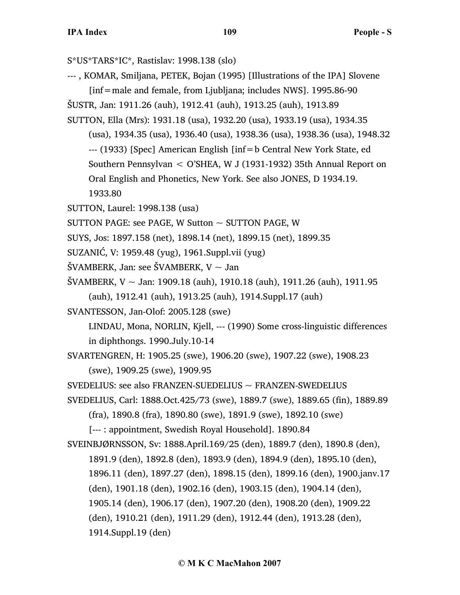S\*US\*TARS\*IC\*, Rastislav: 1998.138 (slo) --- , KOMAR, Smiljana, PETEK, Bojan (1995) [Illustrations of the IPA] Slovene  $[inf=male$  and female, from Ljubljana; includes NWS]. 1995.86-90 ŠUSTR, Jan: 1911.26 (auh), 1912.41 (auh), 1913.25 (auh), 1913.89 SUTTON, Ella (Mrs): 1931.18 (usa), 1932.20 (usa), 1933.19 (usa), 1934.35 (usa), 1934.35 (usa), 1936.40 (usa), 1938.36 (usa), 1938.36 (usa), 1948.32 --- (1933) [Spec] American English [inf=b Central New York State, ed Southern Pennsylvan < O'SHEA, W J (1931-1932) 35th Annual Report on Oral English and Phonetics, New York. See also JONES, D 1934.19. 1933.80 SUTTON, Laurel: 1998.138 (usa) SUTTON PAGE: see PAGE, W Sutton  $\sim$  SUTTON PAGE, W SUYS, Jos: 1897.158 (net), 1898.14 (net), 1899.15 (net), 1899.35

- SUZANIĆ, V: 1959.48 (yug), 1961.Suppl.vii (yug)
- ŠVAMBERK, Jan: see ŠVAMBERK, V  $\sim$  Jan
- ŠVAMBERK, V ~ Jan: 1909.18 (auh), 1910.18 (auh), 1911.26 (auh), 1911.95 (auh), 1912.41 (auh), 1913.25 (auh), 1914.Suppl.17 (auh)
- SVANTESSON, Jan-Olof: 2005.128 (swe)

LINDAU, Mona, NORLIN, Kjell, --- (1990) Some cross-linguistic differences in diphthongs. 1990.July.10-14

SVARTENGREN, H: 1905.25 (swe), 1906.20 (swe), 1907.22 (swe), 1908.23 (swe), 1909.25 (swe), 1909.95

SVEDELIUS: see also FRANZEN-SUEDELIUS ~ FRANZEN-SWEDELIUS

SVEDELIUS, Carl: 1888.Oct.425/73 (swe), 1889.7 (swe), 1889.65 (fin), 1889.89

(fra), 1890.8 (fra), 1890.80 (swe), 1891.9 (swe), 1892.10 (swe)

[--- : appointment, Swedish Royal Household]. 1890.84

SVEINBJØRNSSON, Sv: 1888.April.169/25 (den), 1889.7 (den), 1890.8 (den), 1891.9 (den), 1892.8 (den), 1893.9 (den), 1894.9 (den), 1895.10 (den), 1896.11 (den), 1897.27 (den), 1898.15 (den), 1899.16 (den), 1900.janv.17 (den), 1901.18 (den), 1902.16 (den), 1903.15 (den), 1904.14 (den), 1905.14 (den), 1906.17 (den), 1907.20 (den), 1908.20 (den), 1909.22 (den), 1910.21 (den), 1911.29 (den), 1912.44 (den), 1913.28 (den), 1914.Suppl.19 (den)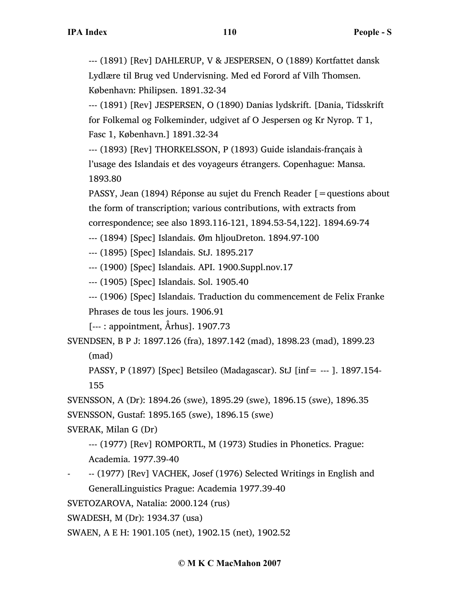--- (1891) [Rev] DAHLERUP, V & JESPERSEN, O (1889) Kortfattet dansk Lydlære til Brug ved Undervisning. Med ed Forord af Vilh Thomsen. København: Philipsen. 1891.32-34

--- (1891) [Rev] JESPERSEN, O (1890) Danias lydskrift. [Dania, Tidsskrift for Folkemal og Folkeminder, udgivet af O Jespersen og Kr Nyrop. T 1, Fasc 1, København.] 1891.32-34

--- (1893) [Rev] THORKELSSON, P (1893) Guide islandais-français à l'usage des Islandais et des voyageurs étrangers. Copenhague: Mansa. 1893.80

PASSY, Jean (1894) Réponse au sujet du French Reader [=questions about the form of transcription; various contributions, with extracts from correspondence; see also 1893.116-121, 1894.53-54,122]. 1894.69-74

--- (1894) [Spec] Islandais. Øm hljouDreton. 1894.97-100

--- (1895) [Spec] Islandais. StJ. 1895.217

--- (1900) [Spec] Islandais. API. 1900.Suppl.nov.17

--- (1905) [Spec] Islandais. Sol. 1905.40

--- (1906) [Spec] Islandais. Traduction du commencement de Felix Franke Phrases de tous les jours. 1906.91

[--- : appointment, Århus]. 1907.73

SVENDSEN, B P J: 1897.126 (fra), 1897.142 (mad), 1898.23 (mad), 1899.23

(mad)

PASSY, P (1897) [Spec] Betsileo (Madagascar). StJ [inf= --- ]. 1897.154- 155

SVENSSON, A (Dr): 1894.26 (swe), 1895.29 (swe), 1896.15 (swe), 1896.35 SVENSSON, Gustaf: 1895.165 (swe), 1896.15 (swe)

SVERAK, Milan G (Dr)

--- (1977) [Rev] ROMPORTL, M (1973) Studies in Phonetics. Prague: Academia. 1977.39-40

- -- (1977) [Rev] VACHEK, Josef (1976) Selected Writings in English and GeneralLinguistics Prague: Academia 1977.39-40

SVETOZAROVA, Natalia: 2000.124 (rus)

SWADESH, M (Dr): 1934.37 (usa)

SWAEN, A E H: 1901.105 (net), 1902.15 (net), 1902.52

## **© M K C MacMahon 2007**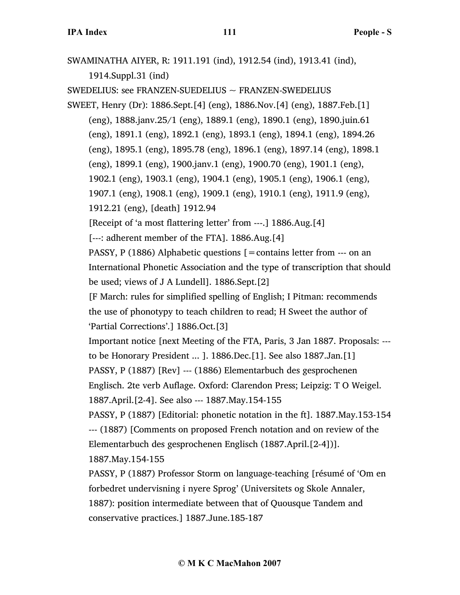SWAMINATHA AIYER, R: 1911.191 (ind), 1912.54 (ind), 1913.41 (ind), 1914.Suppl.31 (ind) SWEDELIUS: see FRANZEN-SUEDELIUS ~ FRANZEN-SWEDELIUS SWEET, Henry (Dr): 1886.Sept.[4] (eng), 1886.Nov.[4] (eng), 1887.Feb.[1] (eng), 1888.janv.25/1 (eng), 1889.1 (eng), 1890.1 (eng), 1890.juin.61 (eng), 1891.1 (eng), 1892.1 (eng), 1893.1 (eng), 1894.1 (eng), 1894.26 (eng), 1895.1 (eng), 1895.78 (eng), 1896.1 (eng), 1897.14 (eng), 1898.1 (eng), 1899.1 (eng), 1900.janv.1 (eng), 1900.70 (eng), 1901.1 (eng), 1902.1 (eng), 1903.1 (eng), 1904.1 (eng), 1905.1 (eng), 1906.1 (eng), 1907.1 (eng), 1908.1 (eng), 1909.1 (eng), 1910.1 (eng), 1911.9 (eng), 1912.21 (eng), [death] 1912.94 [Receipt of 'a most flattering letter' from ---.] 1886.Aug.[4] [---: adherent member of the FTA]. 1886.Aug.[4] PASSY, P (1886) Alphabetic questions  $\mathbf{r} =$  contains letter from  $\cdots$  on an International Phonetic Association and the type of transcription that should be used; views of J A Lundell]. 1886.Sept.[2] [F March: rules for simplified spelling of English; I Pitman: recommends the use of phonotypy to teach children to read; H Sweet the author of 'Partial Corrections'.] 1886.Oct.[3] Important notice [next Meeting of the FTA, Paris, 3 Jan 1887. Proposals: -- to be Honorary President ... ]. 1886.Dec.[1]. See also 1887.Jan.[1] PASSY, P (1887) [Rev] --- (1886) Elementarbuch des gesprochenen Englisch. 2te verb Auflage. Oxford: Clarendon Press; Leipzig: T O Weigel. 1887.April.[2-4]. See also --- 1887.May.154-155 PASSY, P (1887) [Editorial: phonetic notation in the ft]. 1887.May.153-154 --- (1887) [Comments on proposed French notation and on review of the Elementarbuch des gesprochenen Englisch (1887.April.[2-4])]. 1887.May.154-155 PASSY, P (1887) Professor Storm on language-teaching [résumé of 'Om en forbedret undervisning i nyere Sprog' (Universitets og Skole Annaler, 1887): position intermediate between that of Quousque Tandem and conservative practices.] 1887.June.185-187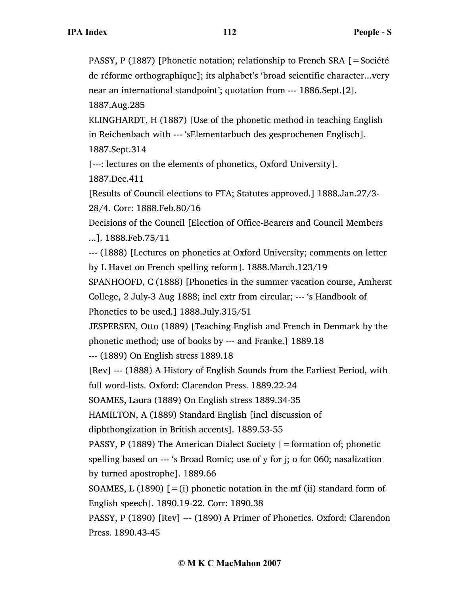PASSY, P (1887) [Phonetic notation; relationship to French SRA [=Société de réforme orthographique]; its alphabet's 'broad scientific character...very near an international standpoint'; quotation from --- 1886.Sept.[2]. 1887.Aug.285

KLINGHARDT, H (1887) [Use of the phonetic method in teaching English in Reichenbach with --- 'sElementarbuch des gesprochenen Englisch]. 1887.Sept.314

[---: lectures on the elements of phonetics, Oxford University].

1887.Dec.411

[Results of Council elections to FTA; Statutes approved.] 1888.Jan.27/3- 28/4. Corr: 1888.Feb.80/16

Decisions of the Council [Election of Office-Bearers and Council Members

...]. 1888.Feb.75/11

--- (1888) [Lectures on phonetics at Oxford University; comments on letter by L Havet on French spelling reform]. 1888.March.123/19

SPANHOOFD, C (1888) [Phonetics in the summer vacation course, Amherst

College, 2 July-3 Aug 1888; incl extr from circular; --- 's Handbook of Phonetics to be used.] 1888.July.315/51

JESPERSEN, Otto (1889) [Teaching English and French in Denmark by the phonetic method; use of books by --- and Franke.] 1889.18

--- (1889) On English stress 1889.18

[Rev] --- (1888) A History of English Sounds from the Earliest Period, with full word-lists. Oxford: Clarendon Press. 1889.22-24

SOAMES, Laura (1889) On English stress 1889.34-35

HAMILTON, A (1889) Standard English [incl discussion of

diphthongization in British accents]. 1889.53-55

PASSY, P (1889) The American Dialect Society [=formation of; phonetic spelling based on --- 's Broad Romic; use of y for j; o for 060; nasalization by turned apostrophe]. 1889.66

SOAMES, L (1890)  $[=(i)]$  phonetic notation in the mf (ii) standard form of English speech]. 1890.19-22. Corr: 1890.38

PASSY, P (1890) [Rev] --- (1890) A Primer of Phonetics. Oxford: Clarendon Press. 1890.43-45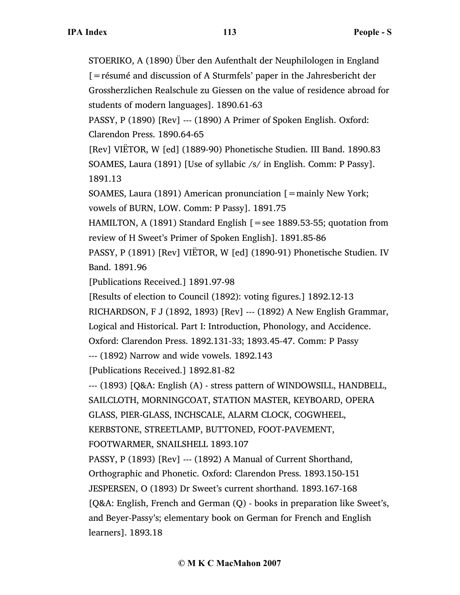STOERIKO, A (1890) Über den Aufenthalt der Neuphilologen in England [=résumé and discussion of A Sturmfels' paper in the Jahresbericht der Grossherzlichen Realschule zu Giessen on the value of residence abroad for students of modern languages]. 1890.61-63 PASSY, P (1890) [Rev] --- (1890) A Primer of Spoken English. Oxford: Clarendon Press. 1890.64-65 [Rev] VIËTOR, W [ed] (1889-90) Phonetische Studien. III Band. 1890.83 SOAMES, Laura (1891) [Use of syllabic /s/ in English. Comm: P Passy]. 1891.13 SOAMES, Laura (1891) American pronunciation [=mainly New York; vowels of BURN, LOW. Comm: P Passy]. 1891.75 HAMILTON, A (1891) Standard English [=see 1889.53-55; quotation from review of H Sweet's Primer of Spoken English]. 1891.85-86 PASSY, P (1891) [Rev] VIËTOR, W [ed] (1890-91) Phonetische Studien. IV Band. 1891.96 [Publications Received.] 1891.97-98 [Results of election to Council (1892): voting figures.] 1892.12-13 RICHARDSON, F J (1892, 1893) [Rev] --- (1892) A New English Grammar, Logical and Historical. Part I: Introduction, Phonology, and Accidence. Oxford: Clarendon Press. 1892.131-33; 1893.45-47. Comm: P Passy --- (1892) Narrow and wide vowels. 1892.143 [Publications Received.] 1892.81-82 --- (1893) [Q&A: English (A) - stress pattern of WINDOWSILL, HANDBELL, SAILCLOTH, MORNINGCOAT, STATION MASTER, KEYBOARD, OPERA GLASS, PIER-GLASS, INCHSCALE, ALARM CLOCK, COGWHEEL, KERBSTONE, STREETLAMP, BUTTONED, FOOT-PAVEMENT, FOOTWARMER, SNAILSHELL 1893.107 PASSY, P (1893) [Rev] --- (1892) A Manual of Current Shorthand, Orthographic and Phonetic. Oxford: Clarendon Press. 1893.150-151 JESPERSEN, O (1893) Dr Sweet's current shorthand. 1893.167-168 [Q&A: English, French and German (Q) - books in preparation like Sweet's, and Beyer-Passy's; elementary book on German for French and English learners]. 1893.18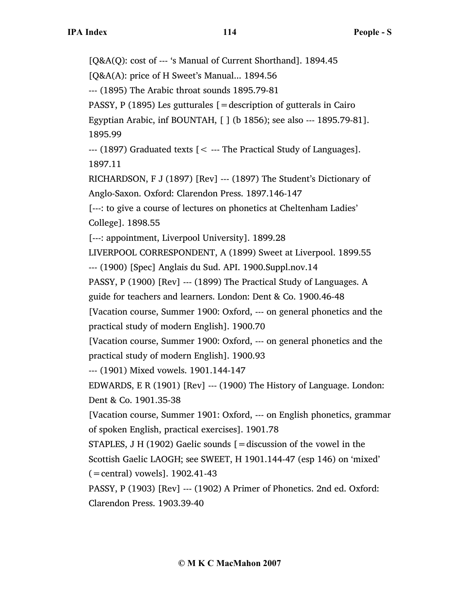[Q&A(Q): cost of --- 's Manual of Current Shorthand]. 1894.45 [Q&A(A): price of H Sweet's Manual... 1894.56 --- (1895) The Arabic throat sounds 1895.79-81 PASSY, P (1895) Les gutturales  $=$  description of gutterals in Cairo Egyptian Arabic, inf BOUNTAH, [ ] (b 1856); see also --- 1895.79-81]. 1895.99  $-$ --- (1897) Graduated texts  $\zeta$  --- The Practical Study of Languages]. 1897.11 RICHARDSON, F J (1897) [Rev] --- (1897) The Student's Dictionary of Anglo-Saxon. Oxford: Clarendon Press. 1897.146-147 [---: to give a course of lectures on phonetics at Cheltenham Ladies' College]. 1898.55 [---: appointment, Liverpool University]. 1899.28 LIVERPOOL CORRESPONDENT, A (1899) Sweet at Liverpool. 1899.55 --- (1900) [Spec] Anglais du Sud. API. 1900.Suppl.nov.14 PASSY, P (1900) [Rev] --- (1899) The Practical Study of Languages. A guide for teachers and learners. London: Dent & Co. 1900.46-48 [Vacation course, Summer 1900: Oxford, --- on general phonetics and the practical study of modern English]. 1900.70 [Vacation course, Summer 1900: Oxford, --- on general phonetics and the practical study of modern English]. 1900.93 --- (1901) Mixed vowels. 1901.144-147 EDWARDS, E R (1901) [Rev] --- (1900) The History of Language. London: Dent & Co. 1901.35-38 [Vacation course, Summer 1901: Oxford, --- on English phonetics, grammar of spoken English, practical exercises]. 1901.78 STAPLES, J H (1902) Gaelic sounds  $=$  discussion of the vowel in the Scottish Gaelic LAOGH; see SWEET, H 1901.144-47 (esp 146) on 'mixed' (=central) vowels]. 1902.41-43 PASSY, P (1903) [Rev] --- (1902) A Primer of Phonetics. 2nd ed. Oxford: Clarendon Press. 1903.39-40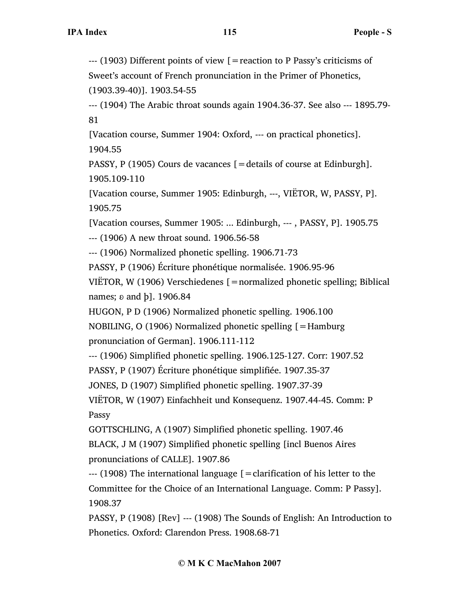--- (1903) Different points of view [=reaction to P Passy's criticisms of Sweet's account of French pronunciation in the Primer of Phonetics, (1903.39-40)]. 1903.54-55

--- (1904) The Arabic throat sounds again 1904.36-37. See also --- 1895.79- 81

[Vacation course, Summer 1904: Oxford, --- on practical phonetics]. 1904.55

PASSY, P (1905) Cours de vacances [=details of course at Edinburgh]. 1905.109-110

[Vacation course, Summer 1905: Edinburgh, ---, VIËTOR, W, PASSY, P]. 1905.75

[Vacation courses, Summer 1905: ... Edinburgh, --- , PASSY, P]. 1905.75

--- (1906) A new throat sound. 1906.56-58

--- (1906) Normalized phonetic spelling. 1906.71-73

PASSY, P (1906) Écriture phonétique normalisée. 1906.95-96

VIËTOR, W (1906) Verschiedenes [=normalized phonetic spelling; Biblical names;  $\delta$  and  $\delta$ ]. 1906.84

HUGON, P D (1906) Normalized phonetic spelling. 1906.100

NOBILING, O (1906) Normalized phonetic spelling [=Hamburg pronunciation of German]. 1906.111-112

--- (1906) Simplified phonetic spelling. 1906.125-127. Corr: 1907.52

PASSY, P (1907) Écriture phonétique simplifiée. 1907.35-37

JONES, D (1907) Simplified phonetic spelling. 1907.37-39

VIËTOR, W (1907) Einfachheit und Konsequenz. 1907.44-45. Comm: P Passy

GOTTSCHLING, A (1907) Simplified phonetic spelling. 1907.46

BLACK, J M (1907) Simplified phonetic spelling [incl Buenos Aires pronunciations of CALLE]. 1907.86

--- (1908) The international language [=clarification of his letter to the Committee for the Choice of an International Language. Comm: P Passy]. 1908.37

PASSY, P (1908) [Rev] --- (1908) The Sounds of English: An Introduction to Phonetics. Oxford: Clarendon Press. 1908.68-71

## **© M K C MacMahon 2007**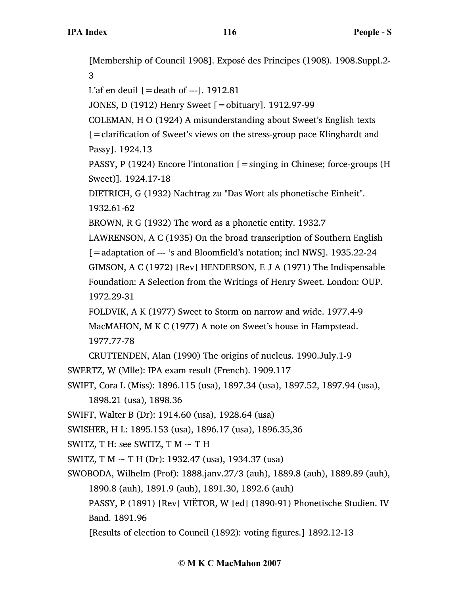[Membership of Council 1908]. Exposé des Principes (1908). 1908.Suppl.2- 3

L'af en deuil  $[$  = death of ---]. 1912.81

JONES, D (1912) Henry Sweet [=obituary]. 1912.97-99

COLEMAN, H O (1924) A misunderstanding about Sweet's English texts

[=clarification of Sweet's views on the stress-group pace Klinghardt and Passy]. 1924.13

PASSY, P (1924) Encore l'intonation [=singing in Chinese; force-groups (H Sweet)]. 1924.17-18

DIETRICH, G (1932) Nachtrag zu "Das Wort als phonetische Einheit". 1932.61-62

BROWN, R G (1932) The word as a phonetic entity. 1932.7

LAWRENSON, A C (1935) On the broad transcription of Southern English [=adaptation of --- 's and Bloomfield's notation; incl NWS]. 1935.22-24 GIMSON, A C (1972) [Rev] HENDERSON, E J A (1971) The Indispensable Foundation: A Selection from the Writings of Henry Sweet. London: OUP. 1972.29-31

FOLDVIK, A K (1977) Sweet to Storm on narrow and wide. 1977.4-9 MacMAHON, M K C (1977) A note on Sweet's house in Hampstead. 1977.77-78

CRUTTENDEN, Alan (1990) The origins of nucleus. 1990.July.1-9

SWERTZ, W (Mlle): IPA exam result (French). 1909.117

SWIFT, Cora L (Miss): 1896.115 (usa), 1897.34 (usa), 1897.52, 1897.94 (usa),

1898.21 (usa), 1898.36

SWIFT, Walter B (Dr): 1914.60 (usa), 1928.64 (usa)

SWISHER, H L: 1895.153 (usa), 1896.17 (usa), 1896.35,36

SWITZ, T H: see SWITZ, T M  $\sim$  T H

SWITZ, T M  $\sim$  T H (Dr): 1932.47 (usa), 1934.37 (usa)

SWOBODA, Wilhelm (Prof): 1888.janv.27/3 (auh), 1889.8 (auh), 1889.89 (auh), 1890.8 (auh), 1891.9 (auh), 1891.30, 1892.6 (auh)

PASSY, P (1891) [Rev] VIËTOR, W [ed] (1890-91) Phonetische Studien. IV Band. 1891.96

[Results of election to Council (1892): voting figures.] 1892.12-13

## **© M K C MacMahon 2007**